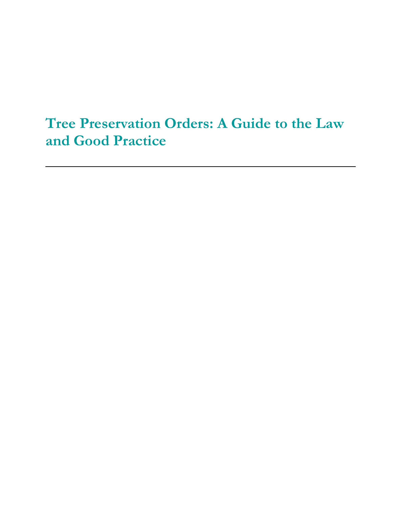# **Tree Preservation Orders: A Guide to the Law and Good Practice**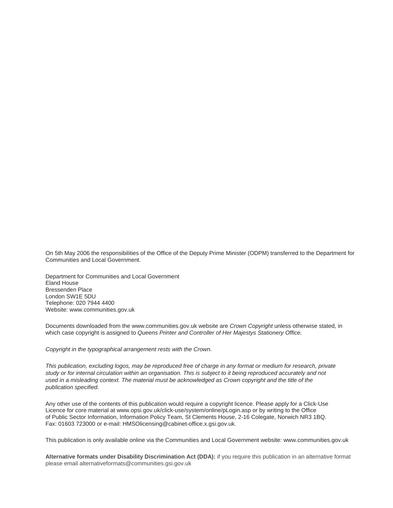On 5th May 2006 the responsibilities of the Office of the Deputy Prime Minister (ODPM) transferred to the Department for Communities and Local Government.

Department for Communities and Local Government Eland House Bressenden Place London SW1E 5DU Telephone: 020 7944 4400 Website: www.communities.gov.uk

Documents downloaded from the www.communities.gov.uk website are *Crown Copyright* unless otherwise stated, in which case copyright is assigned to *Queens Printer and Controller of Her Majestys Stationery Office.*

*Copyright in the typographical arrangement rests with the Crown.* 

*This publication, excluding logos, may be reproduced free of charge in any format or medium for research, private study or for internal circulation within an organisation. This is subject to it being reproduced accurately and not used in a misleading context. The material must be acknowledged as Crown copyright and the title of the publication specified.* 

Any other use of the contents of this publication would require a copyright licence. Please apply for a Click-Use Licence for core material at www.opsi.gov.uk/click-use/system/online/pLogin.asp or by writing to the Office of Public Sector Information, Information Policy Team, St Clements House, 2-16 Colegate, Norwich NR3 1BQ. Fax: 01603 723000 or e-mail: HMSOlicensing@cabinet-office.x.gsi.gov.uk.

This publication is only available online via the Communities and Local Government website: www.communities.gov.uk

**Alternative formats under Disability Discrimination Act (DDA):** if you require this publication in an alternative format please email alternativeformats@communities.gsi.gov.uk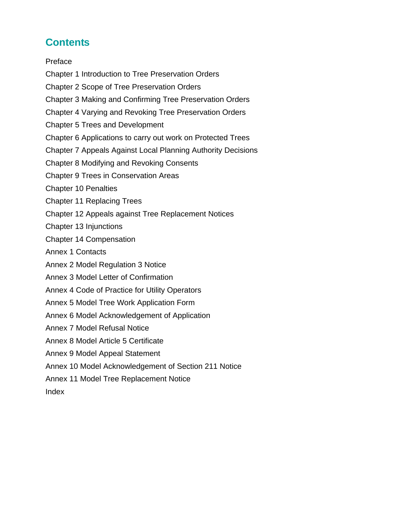# **Contents**

### [Preface](#page-3-0)

[Chapter 1 Introduction to Tree Preservation Orders](#page-4-0) 

- [Chapter 2 Scope of Tree Preservation Orders](#page-6-0)
- [Chapter 3 Making and Confirming Tree Preservation Orders](#page-9-0)
- [Chapter 4 Varying and Revoking Tree Preservation Orders](#page-21-0)
- [Chapter 5 Trees and Development](#page-26-0)
- [Chapter 6 Applications to carry out work on Protected Trees](#page-33-0)
- [Chapter 7 Appeals Against Local Planning Authority Decisions](#page-49-0)
- [Chapter 8 Modifying and Revoking Consents](#page-53-0)
- [Chapter 9 Trees in Conservation Areas](#page-55-0)
- [Chapter 10 Penalties](#page-59-0)
- [Chapter 11 Replacing Trees](#page-62-0)
- [Chapter 12 Appeals against Tree Replacement Notices](#page-67-0)
- [Chapter 13 Injunctions](#page-70-0)
- [Chapter 14 Compensation](#page-72-0)
- [Annex 1 Contacts](#page-75-0)
- [Annex 2 Model Regulation 3 Notice](#page-80-0)
- [Annex 3 Model Letter of Confirmation](#page-82-0)
- [Annex 4 Code of Practice for Utility Operators](#page-83-0)
- [Annex 5 Model Tree Work Application Form](#page-85-0)
- [Annex 6 Model Acknowledgement of Application](#page-87-0)
- [Annex 7 Model Refusal Notice](#page-88-0)
- [Annex 8 Model Article 5 Certificate](#page-89-0)
- [Annex 9 Model Appeal Statement](#page-90-0)
- [Annex 10 Model Acknowledgement of Section 211 Notice](#page-91-0)
- [Annex 11 Model Tree Replacement Notice](#page-92-0)
- [Index](#page-95-0)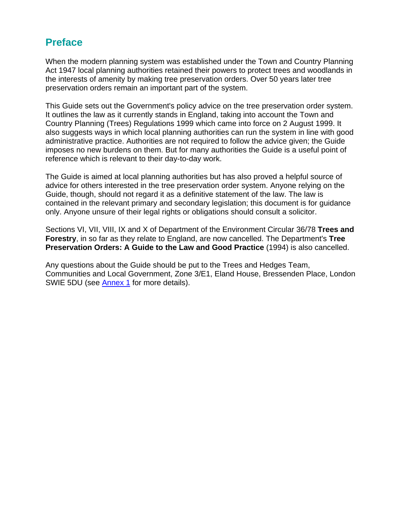# <span id="page-3-0"></span>**Preface**

When the modern planning system was established under the Town and Country Planning Act 1947 local planning authorities retained their powers to protect trees and woodlands in the interests of amenity by making tree preservation orders. Over 50 years later tree preservation orders remain an important part of the system.

This Guide sets out the Government's policy advice on the tree preservation order system. It outlines the law as it currently stands in England, taking into account the Town and Country Planning (Trees) Regulations 1999 which came into force on 2 August 1999. It also suggests ways in which local planning authorities can run the system in line with good administrative practice. Authorities are not required to follow the advice given; the Guide imposes no new burdens on them. But for many authorities the Guide is a useful point of reference which is relevant to their day-to-day work.

The Guide is aimed at local planning authorities but has also proved a helpful source of advice for others interested in the tree preservation order system. Anyone relying on the Guide, though, should not regard it as a definitive statement of the law. The law is contained in the relevant primary and secondary legislation; this document is for guidance only. Anyone unsure of their legal rights or obligations should consult a solicitor.

Sections VI, VII, VIII, IX and X of Department of the Environment Circular 36/78 **Trees and Forestry**, in so far as they relate to England, are now cancelled. The Department's **Tree Preservation Orders: A Guide to the Law and Good Practice** (1994) is also cancelled.

Any questions about the Guide should be put to the Trees and Hedges Team, Communities and Local Government, Zone 3/E1, Eland House, Bressenden Place, London SWIE 5DU (see [Annex 1](#page-75-0) for more details).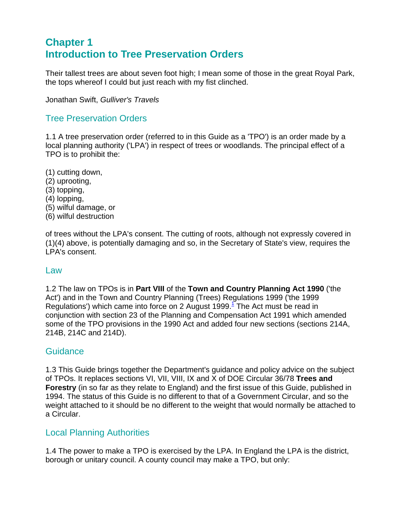# <span id="page-4-0"></span>**Chapter 1 Introduction to Tree Preservation Orders**

Their tallest trees are about seven foot high; I mean some of those in the great Royal Park, the tops whereof I could but just reach with my fist clinched.

Jonathan Swift, *Gulliver's Travels*

### Tree Preservation Orders

1.1 A tree preservation order (referred to in this Guide as a 'TPO') is an order made by a local planning authority ('LPA') in respect of trees or woodlands. The principal effect of a TPO is to prohibit the:

- (1) cutting down,
- (2) uprooting,
- (3) topping,
- (4) lopping,
- (5) wilful damage, or
- (6) wilful destruction

of trees without the LPA's consent. The cutting of roots, although not expressly covered in (1)(4) above, is potentially damaging and so, in the Secretary of State's view, requires the LPA's consent.

#### Law

1.2 The law on TPOs is in **Part VIII** of the **Town and Country Planning Act 1990** ('the Act') and in the Town and Country Planning (Trees) Regulations 1999 ('the 1999 Regulations') which came into force on 2 August  $1999.<sup>1</sup>$  $1999.<sup>1</sup>$  The Act must be read in conjunction with section 23 of the Planning and Compensation Act 1991 which amended some of the TPO provisions in the 1990 Act and added four new sections (sections 214A, 214B, 214C and 214D).

### **Guidance**

1.3 This Guide brings together the Department's guidance and policy advice on the subject of TPOs. It replaces sections VI, VII, VIII, IX and X of DOE Circular 36/78 **Trees and Forestry** (in so far as they relate to England) and the first issue of this Guide, published in 1994. The status of this Guide is no different to that of a Government Circular, and so the weight attached to it should be no different to the weight that would normally be attached to a Circular.

### Local Planning Authorities

1.4 The power to make a TPO is exercised by the LPA. In England the LPA is the district, borough or unitary council. A county council may make a TPO, but only: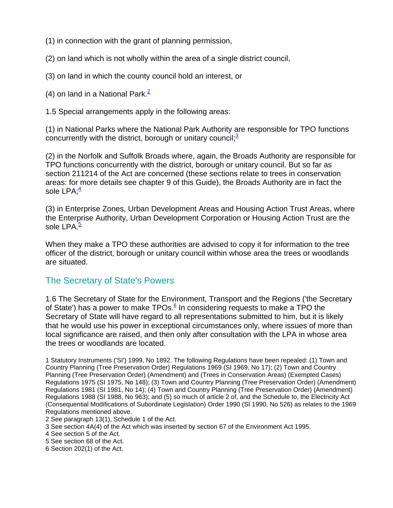<span id="page-5-0"></span>(1) in connection with the grant of planning permission,

- (2) on land which is not wholly within the area of a single district council,
- (3) on land in which the county council hold an interest, or
- (4) on land in a National Park.<sup>[2](#page-5-0)</sup>
- 1.5 Special arrangements apply in the following areas:

(1) in National Parks where the National Park Authority are responsible for TPO functions concurrently with the district, borough or unitary council: $3/3$  $3/3$ 

(2) in the Norfolk and Suffolk Broads where, again, the Broads Authority are responsible for TPO functions concurrently with the district, borough or unitary council. But so far as section 211214 of the Act are concerned (these sections relate to trees in conservation areas: for more details see chapter 9 of this Guide), the Broads Authority are in fact the sole  $\mathsf{LPA:}^4$  $\mathsf{LPA:}^4$ 

(3) in Enterprise Zones, Urban Development Areas and Housing Action Trust Areas, where the Enterprise Authority, Urban Development Corporation or Housing Action Trust are the sole LPA.<sup>[5](#page-5-0)</sup>

When they make a TPO these authorities are advised to copy it for information to the tree officer of the district, borough or unitary council within whose area the trees or woodlands are situated.

### The Secretary of State's Powers

1.6 The Secretary of State for the Environment, Transport and the Regions ('the Secretary of State') has a power to make TPOs. $6$  In considering requests to make a TPO the Secretary of State will have regard to all representations submitted to him, but it is likely that he would use his power in exceptional circumstances only, where issues of more than local significance are raised, and then only after consultation with the LPA in whose area the trees or woodlands are located.

1 Statutory Instruments ('SI') 1999, No 1892. The following Regulations have been repealed: (1) Town and Country Planning (Tree Preservation Order) Regulations 1969 (SI 1969, No 17); (2) Town and Country Planning (Tree Preservation Order) (Amendment) and (Trees in Conservation Areas) (Exempted Cases) Regulations 1975 (SI 1975, No 148); (3) Town and Country Planning (Tree Preservation Order) (Amendment) Regulations 1981 (SI 1981, No 14); (4) Town and Country Planning (Tree Preservation Order) (Amendment) Regulations 1988 (SI 1988, No 963); and (5) so much of article 2 of, and the Schedule to, the Electricity Act (Consequential Modifications of Subordinate Legislation) Order 1990 (SI 1990, No 526) as relates to the 1969 Regulations mentioned above.

- 2 See paragraph 13(1), Schedule 1 of the Act.
- 3 See section 4A(4) of the Act which was inserted by section 67 of the Environment Act 1995.
- 4 See section 5 of the Act.
- 5 See section 68 of the Act.
- 6 Section 202(1) of the Act.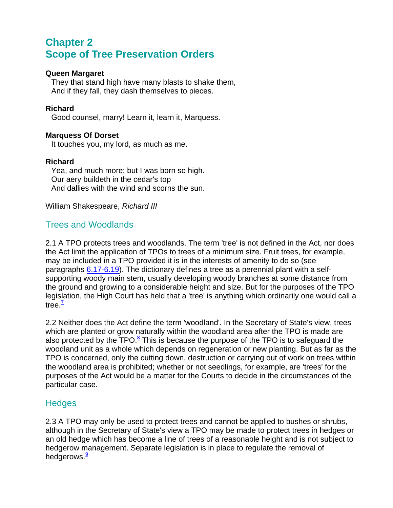# <span id="page-6-0"></span>**Chapter 2 Scope of Tree Preservation Orders**

#### **Queen Margaret**

They that stand high have many blasts to shake them, And if they fall, they dash themselves to pieces.

#### **Richard**

Good counsel, marry! Learn it, learn it, Marquess.

#### **Marquess Of Dorset**

It touches you, my lord, as much as me.

#### **Richard**

Yea, and much more; but I was born so high. Our aery buildeth in the cedar's top And dallies with the wind and scorns the sun.

William Shakespeare, *Richard III*

### Trees and Woodlands

2.1 A TPO protects trees and woodlands. The term 'tree' is not defined in the Act, nor does the Act limit the application of TPOs to trees of a minimum size. Fruit trees, for example, may be included in a TPO provided it is in the interests of amenity to do so (see paragraphs [6.17-6.19\)](#page-35-0). The dictionary defines a tree as a perennial plant with a selfsupporting woody main stem, usually developing woody branches at some distance from the ground and growing to a considerable height and size. But for the purposes of the TPO legislation, the High Court has held that a 'tree' is anything which ordinarily one would call a tree.<sup> $7$ </sup>

2.2 Neither does the Act define the term 'woodland'. In the Secretary of State's view, trees which are planted or grow naturally within the woodland area after the TPO is made are also protected by the  $\text{TPO}$ .  $\frac{8}{5}$  $\frac{8}{5}$  $\frac{8}{5}$  This is because the purpose of the TPO is to safeguard the woodland unit as a whole which depends on regeneration or new planting. But as far as the TPO is concerned, only the cutting down, destruction or carrying out of work on trees within the woodland area is prohibited; whether or not seedlings, for example, are 'trees' for the purposes of the Act would be a matter for the Courts to decide in the circumstances of the particular case.

### **Hedges**

2.3 A TPO may only be used to protect trees and cannot be applied to bushes or shrubs, although in the Secretary of State's view a TPO may be made to protect trees in hedges or an old hedge which has become a line of trees of a reasonable height and is not subject to hedgerow management. Separate legislation is in place to regulate the removal of hedgerows.<sup>[9](#page-8-0)</sup>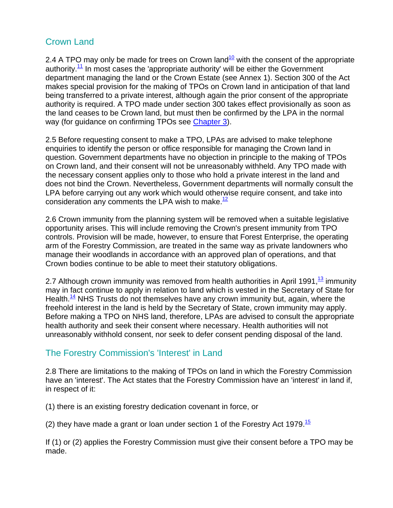### <span id="page-7-0"></span>Crown Land

2.4 A TPO may only be made for trees on Crown land<sup>10</sup> with the consent of the appropriate authority.<sup>[11](#page-8-0)</sup> In most cases the 'appropriate authority' will be either the Government department managing the land or the Crown Estate (see Annex 1). Section 300 of the Act makes special provision for the making of TPOs on Crown land in anticipation of that land being transferred to a private interest, although again the prior consent of the appropriate authority is required. A TPO made under section 300 takes effect provisionally as soon as the land ceases to be Crown land, but must then be confirmed by the LPA in the normal way (for guidance on confirming TPOs see [Chapter 3\)](#page-9-0).

2.5 Before requesting consent to make a TPO, LPAs are advised to make telephone enquiries to identify the person or office responsible for managing the Crown land in question. Government departments have no objection in principle to the making of TPOs on Crown land, and their consent will not be unreasonably withheld. Any TPO made with the necessary consent applies only to those who hold a private interest in the land and does not bind the Crown. Nevertheless, Government departments will normally consult the LPA before carrying out any work which would otherwise require consent, and take into consideration any comments the LPA wish to make. $\frac{12}{12}$ 

2.6 Crown immunity from the planning system will be removed when a suitable legislative opportunity arises. This will include removing the Crown's present immunity from TPO controls. Provision will be made, however, to ensure that Forest Enterprise, the operating arm of the Forestry Commission, are treated in the same way as private landowners who manage their woodlands in accordance with an approved plan of operations, and that Crown bodies continue to be able to meet their statutory obligations.

2.7 Although crown immunity was removed from health authorities in April 1991, $\frac{13}{13}$  immunity may in fact continue to apply in relation to land which is vested in the Secretary of State for Health. $\frac{14}{1}$  NHS Trusts do not themselves have any crown immunity but, again, where the freehold interest in the land is held by the Secretary of State, crown immunity may apply. Before making a TPO on NHS land, therefore, LPAs are advised to consult the appropriate health authority and seek their consent where necessary. Health authorities will not unreasonably withhold consent, nor seek to defer consent pending disposal of the land.

### The Forestry Commission's 'Interest' in Land

2.8 There are limitations to the making of TPOs on land in which the Forestry Commission have an 'interest'. The Act states that the Forestry Commission have an 'interest' in land if, in respect of it:

(1) there is an existing forestry dedication covenant in force, or

(2) they have made a grant or loan under section 1 of the Forestry Act 1979. $\frac{15}{10}$ 

If (1) or (2) applies the Forestry Commission must give their consent before a TPO may be made.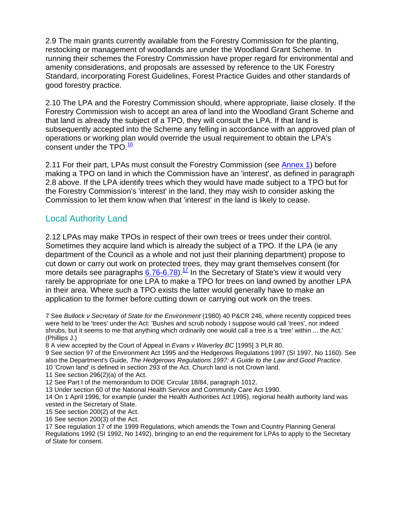<span id="page-8-0"></span>2.9 The main grants currently available from the Forestry Commission for the planting, restocking or management of woodlands are under the Woodland Grant Scheme. In running their schemes the Forestry Commission have proper regard for environmental and amenity considerations, and proposals are assessed by reference to the UK Forestry Standard, incorporating Forest Guidelines, Forest Practice Guides and other standards of good forestry practice.

2.10 The LPA and the Forestry Commission should, where appropriate, liaise closely. If the Forestry Commission wish to accept an area of land into the Woodland Grant Scheme and that land is already the subject of a TPO, they will consult the LPA. If that land is subsequently accepted into the Scheme any felling in accordance with an approved plan of operations or working plan would override the usual requirement to obtain the LPA's consent under the  $TPO<sup>16</sup>$ 

2.11 For their part, LPAs must consult the Forestry Commission (see [Annex 1](#page-75-0)) before making a TPO on land in which the Commission have an 'interest', as defined in paragraph 2.8 above. If the LPA identify trees which they would have made subject to a TPO but for the Forestry Commission's 'interest' in the land, they may wish to consider asking the Commission to let them know when that 'interest' in the land is likely to cease.

### Local Authority Land

2.12 LPAs may make TPOs in respect of their own trees or trees under their control. Sometimes they acquire land which is already the subject of a TPO. If the LPA (ie any department of the Council as a whole and not just their planning department) propose to cut down or carry out work on protected trees, they may grant themselves consent (for more details see paragraphs  $6.76-6.78$ ).<sup>17</sup> In the Secretary of State's view it would very rarely be appropriate for one LPA to make a TPO for trees on land owned by another LPA in their area. Where such a TPO exists the latter would generally have to make an application to the former before cutting down or carrying out work on the trees.

7 See *Bullock v Secretary of State for the Environment* (1980) 40 P&CR 246, where recently coppiced trees were held to be 'trees' under the Act: 'Bushes and scrub nobody I suppose would call 'trees', nor indeed shrubs, but it seems to me that anything which ordinarily one would call a tree is a 'tree' within ... the Act.' (Phillips J.)

8 A view accepted by the Court of Appeal in *Evans v Waverley BC* [1995] 3 PLR 80.

9 See section 97 of the Environment Act 1995 and the Hedgerows Regulations 1997 (SI 1997, No 1160). See also the Department's Guide, *The Hedgerows Regulations 1997: A Guide to the Law and Good Practice*. 10 'Crown land' is defined in section 293 of the Act. Church land is not Crown land.

11 See section 296(2)(a) of the Act.

12 See Part I of the memorandum to DOE Circular 18/84, paragraph 1012.

13 Under section 60 of the National Health Service and Community Care Act 1990.

14 On 1 April 1996, for example (under the Health Authorities Act 1995), regional health authority land was vested in the Secretary of State.

15 See section 200(2) of the Act.

16 See section 200(3) of the Act.

17 See regulation 17 of the 1999 Regulations, which amends the Town and Country Planning General Regulations 1992 (SI 1992, No 1492), bringing to an end the requirement for LPAs to apply to the Secretary of State for consent.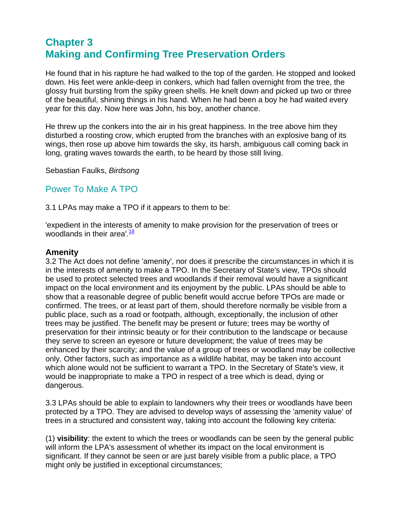# <span id="page-9-0"></span>**Chapter 3 Making and Confirming Tree Preservation Orders**

He found that in his rapture he had walked to the top of the garden. He stopped and looked down. His feet were ankle-deep in conkers, which had fallen overnight from the tree, the glossy fruit bursting from the spiky green shells. He knelt down and picked up two or three of the beautiful, shining things in his hand. When he had been a boy he had waited every year for this day. Now here was John, his boy, another chance.

He threw up the conkers into the air in his great happiness. In the tree above him they disturbed a roosting crow, which erupted from the branches with an explosive bang of its wings, then rose up above him towards the sky, its harsh, ambiguous call coming back in long, grating waves towards the earth, to be heard by those still living.

Sebastian Faulks, *Birdsong*

### Power To Make A TPO

3.1 LPAs may make a TPO if it appears to them to be:

'expedient in the interests of amenity to make provision for the preservation of trees or woodlands in their area'. $\frac{18}{18}$  $\frac{18}{18}$  $\frac{18}{18}$ 

#### **Amenity**

3.2 The Act does not define 'amenity', nor does it prescribe the circumstances in which it is in the interests of amenity to make a TPO. In the Secretary of State's view, TPOs should be used to protect selected trees and woodlands if their removal would have a significant impact on the local environment and its enjoyment by the public. LPAs should be able to show that a reasonable degree of public benefit would accrue before TPOs are made or confirmed. The trees, or at least part of them, should therefore normally be visible from a public place, such as a road or footpath, although, exceptionally, the inclusion of other trees may be justified. The benefit may be present or future; trees may be worthy of preservation for their intrinsic beauty or for their contribution to the landscape or because they serve to screen an eyesore or future development; the value of trees may be enhanced by their scarcity; and the value of a group of trees or woodland may be collective only. Other factors, such as importance as a wildlife habitat, may be taken into account which alone would not be sufficient to warrant a TPO. In the Secretary of State's view, it would be inappropriate to make a TPO in respect of a tree which is dead, dying or dangerous.

3.3 LPAs should be able to explain to landowners why their trees or woodlands have been protected by a TPO. They are advised to develop ways of assessing the 'amenity value' of trees in a structured and consistent way, taking into account the following key criteria:

(1) **visibility**: the extent to which the trees or woodlands can be seen by the general public will inform the LPA's assessment of whether its impact on the local environment is significant. If they cannot be seen or are just barely visible from a public place, a TPO might only be justified in exceptional circumstances;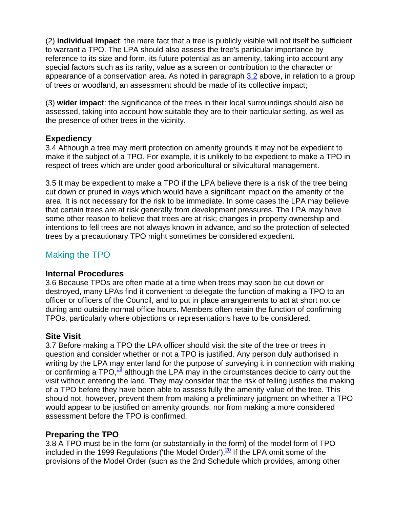<span id="page-10-0"></span>(2) **individual impact**: the mere fact that a tree is publicly visible will not itself be sufficient to warrant a TPO. The LPA should also assess the tree's particular importance by reference to its size and form, its future potential as an amenity, taking into account any special factors such as its rarity, value as a screen or contribution to the character or appearance of a conservation area. As noted in paragraph [3.2](#page-9-0) above, in relation to a group of trees or woodland, an assessment should be made of its collective impact;

(3) **wider impact**: the significance of the trees in their local surroundings should also be assessed, taking into account how suitable they are to their particular setting, as well as the presence of other trees in the vicinity.

### **Expediency**

3.4 Although a tree may merit protection on amenity grounds it may not be expedient to make it the subject of a TPO. For example, it is unlikely to be expedient to make a TPO in respect of trees which are under good arboricultural or silvicultural management.

3.5 It may be expedient to make a TPO if the LPA believe there is a risk of the tree being cut down or pruned in ways which would have a significant impact on the amenity of the area. It is not necessary for the risk to be immediate. In some cases the LPA may believe that certain trees are at risk generally from development pressures. The LPA may have some other reason to believe that trees are at risk; changes in property ownership and intentions to fell trees are not always known in advance, and so the protection of selected trees by a precautionary TPO might sometimes be considered expedient.

### Making the TPO

### **Internal Procedures**

3.6 Because TPOs are often made at a time when trees may soon be cut down or destroyed, many LPAs find it convenient to delegate the function of making a TPO to an officer or officers of the Council, and to put in place arrangements to act at short notice during and outside normal office hours. Members often retain the function of confirming TPOs, particularly where objections or representations have to be considered.

### **Site Visit**

3.7 Before making a TPO the LPA officer should visit the site of the tree or trees in question and consider whether or not a TPO is justified. Any person duly authorised in writing by the LPA may enter land for the purpose of surveying it in connection with making or confirming a TPO, $\frac{19}{2}$  although the LPA may in the circumstances decide to carry out the visit without entering the land. They may consider that the risk of felling justifies the making of a TPO before they have been able to assess fully the amenity value of the tree. This should not, however, prevent them from making a preliminary judgment on whether a TPO would appear to be justified on amenity grounds, nor from making a more considered assessment before the TPO is confirmed.

### **Preparing the TPO**

3.8 A TPO must be in the form (or substantially in the form) of the model form of TPO included in the 1999 Regulations ('the Model Order'). $\frac{20}{20}$  If the LPA omit some of the provisions of the Model Order (such as the 2nd Schedule which provides, among other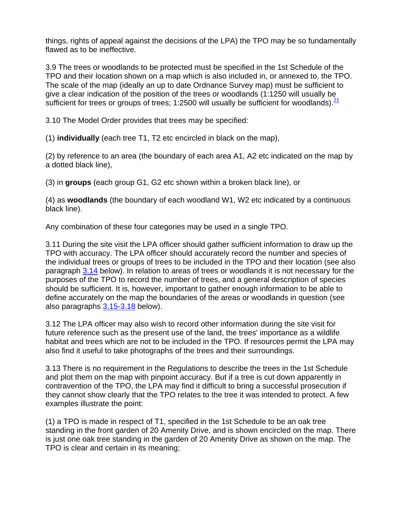things, rights of appeal against the decisions of the LPA) the TPO may be so fundamentally flawed as to be ineffective.

3.9 The trees or woodlands to be protected must be specified in the 1st Schedule of the TPO and their location shown on a map which is also included in, or annexed to, the TPO. The scale of the map (ideally an up to date Ordnance Survey map) must be sufficient to give a clear indication of the position of the trees or woodlands (1:1250 will usually be sufficient for trees or groups of trees; 1:2500 will usually be sufficient for woodlands).  $\frac{21}{2}$  $\frac{21}{2}$  $\frac{21}{2}$ 

3.10 The Model Order provides that trees may be specified:

(1) **individually** (each tree T1, T2 etc encircled in black on the map),

(2) by reference to an area (the boundary of each area A1, A2 etc indicated on the map by a dotted black line),

(3) in **groups** (each group G1, G2 etc shown within a broken black line), or

(4) as **woodlands** (the boundary of each woodland W1, W2 etc indicated by a continuous black line).

Any combination of these four categories may be used in a single TPO.

3.11 During the site visit the LPA officer should gather sufficient information to draw up the TPO with accuracy. The LPA officer should accurately record the number and species of the individual trees or groups of trees to be included in the TPO and their location (see also paragraph [3.14](#page-12-0) below). In relation to areas of trees or woodlands it is not necessary for the purposes of the TPO to record the number of trees, and a general description of species should be sufficient. It is, however, important to gather enough information to be able to define accurately on the map the boundaries of the areas or woodlands in question (see also paragraphs [3.15-3.18](#page-12-0) below).

3.12 The LPA officer may also wish to record other information during the site visit for future reference such as the present use of the land, the trees' importance as a wildlife habitat and trees which are not to be included in the TPO. If resources permit the LPA may also find it useful to take photographs of the trees and their surroundings.

3.13 There is no requirement in the Regulations to describe the trees in the 1st Schedule and plot them on the map with pinpoint accuracy. But if a tree is cut down apparently in contravention of the TPO, the LPA may find it difficult to bring a successful prosecution if they cannot show clearly that the TPO relates to the tree it was intended to protect. A few examples illustrate the point:

(1) a TPO is made in respect of T1, specified in the 1st Schedule to be an oak tree standing in the front garden of 20 Amenity Drive, and is shown encircled on the map. There is just one oak tree standing in the garden of 20 Amenity Drive as shown on the map. The TPO is clear and certain in its meaning;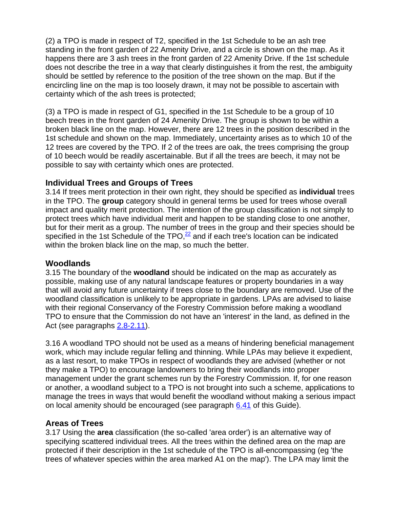<span id="page-12-0"></span>(2) a TPO is made in respect of T2, specified in the 1st Schedule to be an ash tree standing in the front garden of 22 Amenity Drive, and a circle is shown on the map. As it happens there are 3 ash trees in the front garden of 22 Amenity Drive. If the 1st schedule does not describe the tree in a way that clearly distinguishes it from the rest, the ambiguity should be settled by reference to the position of the tree shown on the map. But if the encircling line on the map is too loosely drawn, it may not be possible to ascertain with certainty which of the ash trees is protected;

(3) a TPO is made in respect of G1, specified in the 1st Schedule to be a group of 10 beech trees in the front garden of 24 Amenity Drive. The group is shown to be within a broken black line on the map. However, there are 12 trees in the position described in the 1st schedule and shown on the map. Immediately, uncertainty arises as to which 10 of the 12 trees are covered by the TPO. If 2 of the trees are oak, the trees comprising the group of 10 beech would be readily ascertainable. But if all the trees are beech, it may not be possible to say with certainty which ones are protected.

### **Individual Trees and Groups of Trees**

3.14 If trees merit protection in their own right, they should be specified as **individual** trees in the TPO. The **group** category should in general terms be used for trees whose overall impact and quality merit protection. The intention of the group classification is not simply to protect trees which have individual merit and happen to be standing close to one another, but for their merit as a group. The number of trees in the group and their species should be specified in the 1st Schedule of the TPO, $\frac{22}{3}$  $\frac{22}{3}$  $\frac{22}{3}$  and if each tree's location can be indicated within the broken black line on the map, so much the better.

### **Woodlands**

3.15 The boundary of the **woodland** should be indicated on the map as accurately as possible, making use of any natural landscape features or property boundaries in a way that will avoid any future uncertainty if trees close to the boundary are removed. Use of the woodland classification is unlikely to be appropriate in gardens. LPAs are advised to liaise with their regional Conservancy of the Forestry Commission before making a woodland TPO to ensure that the Commission do not have an 'interest' in the land, as defined in the Act (see paragraphs [2.8-2.11](#page-7-0)).

3.16 A woodland TPO should not be used as a means of hindering beneficial management work, which may include regular felling and thinning. While LPAs may believe it expedient, as a last resort, to make TPOs in respect of woodlands they are advised (whether or not they make a TPO) to encourage landowners to bring their woodlands into proper management under the grant schemes run by the Forestry Commission. If, for one reason or another, a woodland subject to a TPO is not brought into such a scheme, applications to manage the trees in ways that would benefit the woodland without making a serious impact on local amenity should be encouraged (see paragraph  $6.41$  of this Guide).

### **Areas of Trees**

3.17 Using the **area** classification (the so-called 'area order') is an alternative way of specifying scattered individual trees. All the trees within the defined area on the map are protected if their description in the 1st schedule of the TPO is all-encompassing (eg 'the trees of whatever species within the area marked A1 on the map'). The LPA may limit the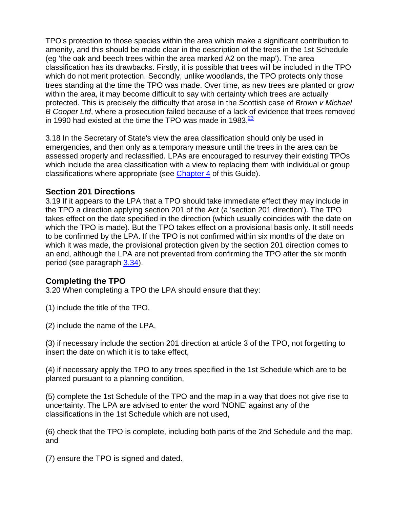TPO's protection to those species within the area which make a significant contribution to amenity, and this should be made clear in the description of the trees in the 1st Schedule (eg 'the oak and beech trees within the area marked A2 on the map'). The area classification has its drawbacks. Firstly, it is possible that trees will be included in the TPO which do not merit protection. Secondly, unlike woodlands, the TPO protects only those trees standing at the time the TPO was made. Over time, as new trees are planted or grow within the area, it may become difficult to say with certainty which trees are actually protected. This is precisely the difficulty that arose in the Scottish case of *Brown v Michael B Cooper Ltd*, where a prosecution failed because of a lack of evidence that trees removed in 1990 had existed at the time the TPO was made in 1983. $\frac{23}{2}$ 

3.18 In the Secretary of State's view the area classification should only be used in emergencies, and then only as a temporary measure until the trees in the area can be assessed properly and reclassified. LPAs are encouraged to resurvey their existing TPOs which include the area classification with a view to replacing them with individual or group classifications where appropriate (see [Chapter 4](#page-21-0) of this Guide).

#### **Section 201 Directions**

3.19 If it appears to the LPA that a TPO should take immediate effect they may include in the TPO a direction applying section 201 of the Act (a 'section 201 direction'). The TPO takes effect on the date specified in the direction (which usually coincides with the date on which the TPO is made). But the TPO takes effect on a provisional basis only. It still needs to be confirmed by the LPA. If the TPO is not confirmed within six months of the date on which it was made, the provisional protection given by the section 201 direction comes to an end, although the LPA are not prevented from confirming the TPO after the six month period (see paragraph [3.34\)](#page-17-0).

### **Completing the TPO**

3.20 When completing a TPO the LPA should ensure that they:

(1) include the title of the TPO,

(2) include the name of the LPA,

(3) if necessary include the section 201 direction at article 3 of the TPO, not forgetting to insert the date on which it is to take effect,

(4) if necessary apply the TPO to any trees specified in the 1st Schedule which are to be planted pursuant to a planning condition,

(5) complete the 1st Schedule of the TPO and the map in a way that does not give rise to uncertainty. The LPA are advised to enter the word 'NONE' against any of the classifications in the 1st Schedule which are not used,

(6) check that the TPO is complete, including both parts of the 2nd Schedule and the map, and

(7) ensure the TPO is signed and dated.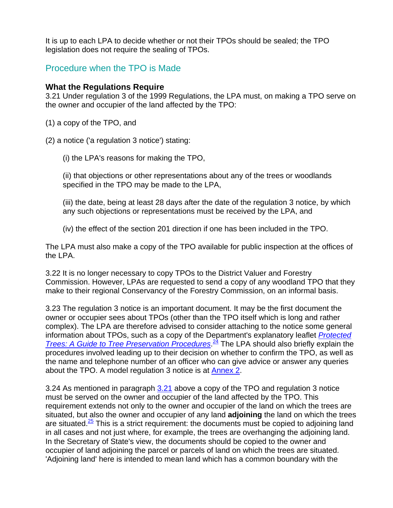<span id="page-14-0"></span>It is up to each LPA to decide whether or not their TPOs should be sealed; the TPO legislation does not require the sealing of TPOs.

### Procedure when the TPO is Made

### **What the Regulations Require**

3.21 Under regulation 3 of the 1999 Regulations, the LPA must, on making a TPO serve on the owner and occupier of the land affected by the TPO:

(1) a copy of the TPO, and

(2) a notice ('a regulation 3 notice') stating:

(i) the LPA's reasons for making the TPO,

(ii) that objections or other representations about any of the trees or woodlands specified in the TPO may be made to the LPA,

(iii) the date, being at least 28 days after the date of the regulation 3 notice, by which any such objections or representations must be received by the LPA, and

(iv) the effect of the section 201 direction if one has been included in the TPO.

The LPA must also make a copy of the TPO available for public inspection at the offices of the LPA.

3.22 It is no longer necessary to copy TPOs to the District Valuer and Forestry Commission. However, LPAs are requested to send a copy of any woodland TPO that they make to their regional Conservancy of the Forestry Commission, on an informal basis.

3.23 The regulation 3 notice is an important document. It may be the first document the owner or occupier sees about TPOs (other than the TPO itself which is long and rather complex). The LPA are therefore advised to consider attaching to the notice some general information about TPOs, such as a copy of the Department's explanatory leaflet *[Protected](http://www.communities.gov.uk/index.asp?id=1505655)  [Trees: A Guide to Tree Preservation Procedures](http://www.communities.gov.uk/index.asp?id=1505655)*. 24 The LPA should also briefly explain the procedures involved leading up to their decision on whether to confirm the TPO, as well as the name and telephone number of an officer who can give advice or answer any queries about the TPO. A model regulation 3 notice is at Annex 2.

3.24 As mentioned in paragraph [3.21](#page-14-0) above a copy of the TPO and regulation 3 notice must be served on the owner and occupier of the land affected by the TPO. This requirement extends not only to the owner and occupier of the land on which the trees are situated, but also the owner and occupier of any land **adjoining** the land on which the trees are situated.<sup>25</sup> This is a strict requirement: the documents must be copied to adjoining land in all cases and not just where, for example, the trees are overhanging the adjoining land. In the Secretary of State's view, the documents should be copied to the owner and occupier of land adjoining the parcel or parcels of land on which the trees are situated. 'Adjoining land' here is intended to mean land which has a common boundary with the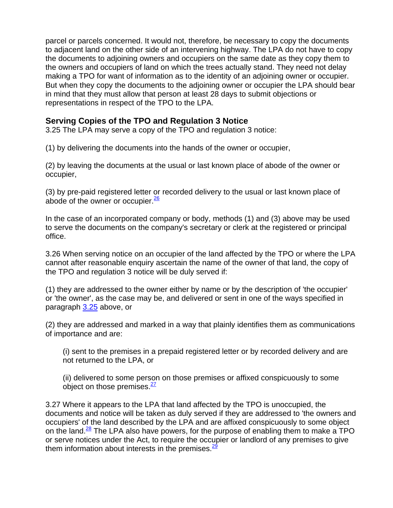<span id="page-15-0"></span>parcel or parcels concerned. It would not, therefore, be necessary to copy the documents to adjacent land on the other side of an intervening highway. The LPA do not have to copy the documents to adjoining owners and occupiers on the same date as they copy them to the owners and occupiers of land on which the trees actually stand. They need not delay making a TPO for want of information as to the identity of an adjoining owner or occupier. But when they copy the documents to the adjoining owner or occupier the LPA should bear in mind that they must allow that person at least 28 days to submit objections or representations in respect of the TPO to the LPA.

### **Serving Copies of the TPO and Regulation 3 Notice**

3.25 The LPA may serve a copy of the TPO and regulation 3 notice:

(1) by delivering the documents into the hands of the owner or occupier,

(2) by leaving the documents at the usual or last known place of abode of the owner or occupier,

(3) by pre-paid registered letter or recorded delivery to the usual or last known place of abode of the owner or occupier. $\frac{26}{3}$  $\frac{26}{3}$  $\frac{26}{3}$ 

In the case of an incorporated company or body, methods (1) and (3) above may be used to serve the documents on the company's secretary or clerk at the registered or principal office.

3.26 When serving notice on an occupier of the land affected by the TPO or where the LPA cannot after reasonable enquiry ascertain the name of the owner of that land, the copy of the TPO and regulation 3 notice will be duly served if:

(1) they are addressed to the owner either by name or by the description of 'the occupier' or 'the owner', as the case may be, and delivered or sent in one of the ways specified in paragraph [3.25](#page-15-0) above, or

(2) they are addressed and marked in a way that plainly identifies them as communications of importance and are:

(i) sent to the premises in a prepaid registered letter or by recorded delivery and are not returned to the LPA, or

(ii) delivered to some person on those premises or affixed conspicuously to some object on those premises. $27$ 

3.27 Where it appears to the LPA that land affected by the TPO is unoccupied, the documents and notice will be taken as duly served if they are addressed to 'the owners and occupiers' of the land described by the LPA and are affixed conspicuously to some object on the land. $\frac{28}{10}$  The LPA also have powers, for the purpose of enabling them to make a TPO or serve notices under the Act, to require the occupier or landlord of any premises to give them information about interests in the premises. $\frac{29}{2}$  $\frac{29}{2}$  $\frac{29}{2}$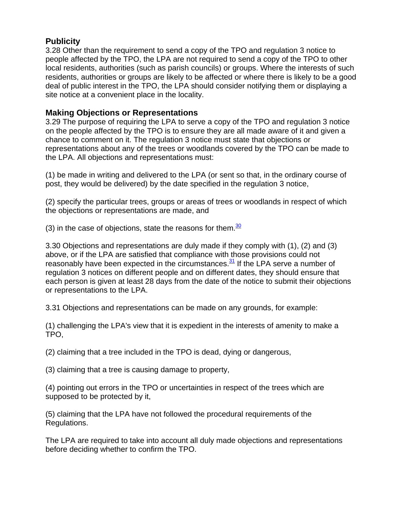### **Publicity**

3.28 Other than the requirement to send a copy of the TPO and regulation 3 notice to people affected by the TPO, the LPA are not required to send a copy of the TPO to other local residents, authorities (such as parish councils) or groups. Where the interests of such residents, authorities or groups are likely to be affected or where there is likely to be a good deal of public interest in the TPO, the LPA should consider notifying them or displaying a site notice at a convenient place in the locality.

### **Making Objections or Representations**

3.29 The purpose of requiring the LPA to serve a copy of the TPO and regulation 3 notice on the people affected by the TPO is to ensure they are all made aware of it and given a chance to comment on it. The regulation 3 notice must state that objections or representations about any of the trees or woodlands covered by the TPO can be made to the LPA. All objections and representations must:

(1) be made in writing and delivered to the LPA (or sent so that, in the ordinary course of post, they would be delivered) by the date specified in the regulation 3 notice,

(2) specify the particular trees, groups or areas of trees or woodlands in respect of which the objections or representations are made, and

(3) in the case of objections, state the reasons for them. $\frac{30}{20}$ 

3.30 Objections and representations are duly made if they comply with (1), (2) and (3) above, or if the LPA are satisfied that compliance with those provisions could not reasonably have been expected in the circumstances. $\frac{31}{2}$  If the LPA serve a number of regulation 3 notices on different people and on different dates, they should ensure that each person is given at least 28 days from the date of the notice to submit their objections or representations to the LPA.

3.31 Objections and representations can be made on any grounds, for example:

(1) challenging the LPA's view that it is expedient in the interests of amenity to make a TPO,

(2) claiming that a tree included in the TPO is dead, dying or dangerous,

(3) claiming that a tree is causing damage to property,

(4) pointing out errors in the TPO or uncertainties in respect of the trees which are supposed to be protected by it,

(5) claiming that the LPA have not followed the procedural requirements of the Regulations.

The LPA are required to take into account all duly made objections and representations before deciding whether to confirm the TPO.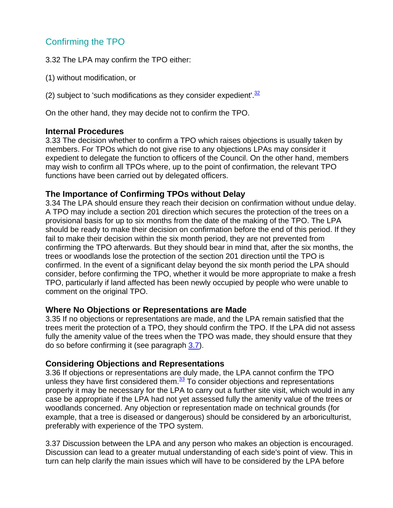## <span id="page-17-0"></span>Confirming the TPO

3.32 The LPA may confirm the TPO either:

- (1) without modification, or
- (2) subject to 'such modifications as they consider expedient'.  $32$

On the other hand, they may decide not to confirm the TPO.

### **Internal Procedures**

3.33 The decision whether to confirm a TPO which raises objections is usually taken by members. For TPOs which do not give rise to any objections LPAs may consider it expedient to delegate the function to officers of the Council. On the other hand, members may wish to confirm all TPOs where, up to the point of confirmation, the relevant TPO functions have been carried out by delegated officers.

### **The Importance of Confirming TPOs without Delay**

3.34 The LPA should ensure they reach their decision on confirmation without undue delay. A TPO may include a section 201 direction which secures the protection of the trees on a provisional basis for up to six months from the date of the making of the TPO. The LPA should be ready to make their decision on confirmation before the end of this period. If they fail to make their decision within the six month period, they are not prevented from confirming the TPO afterwards. But they should bear in mind that, after the six months, the trees or woodlands lose the protection of the section 201 direction until the TPO is confirmed. In the event of a significant delay beyond the six month period the LPA should consider, before confirming the TPO, whether it would be more appropriate to make a fresh TPO, particularly if land affected has been newly occupied by people who were unable to comment on the original TPO.

### **Where No Objections or Representations are Made**

3.35 If no objections or representations are made, and the LPA remain satisfied that the trees merit the protection of a TPO, they should confirm the TPO. If the LPA did not assess fully the amenity value of the trees when the TPO was made, they should ensure that they do so before confirming it (see paragraph [3.7](#page-10-0)).

### **Considering Objections and Representations**

3.36 If objections or representations are duly made, the LPA cannot confirm the TPO unless they have first considered them. $33$  To consider objections and representations properly it may be necessary for the LPA to carry out a further site visit, which would in any case be appropriate if the LPA had not yet assessed fully the amenity value of the trees or woodlands concerned. Any objection or representation made on technical grounds (for example, that a tree is diseased or dangerous) should be considered by an arboriculturist, preferably with experience of the TPO system.

3.37 Discussion between the LPA and any person who makes an objection is encouraged. Discussion can lead to a greater mutual understanding of each side's point of view. This in turn can help clarify the main issues which will have to be considered by the LPA before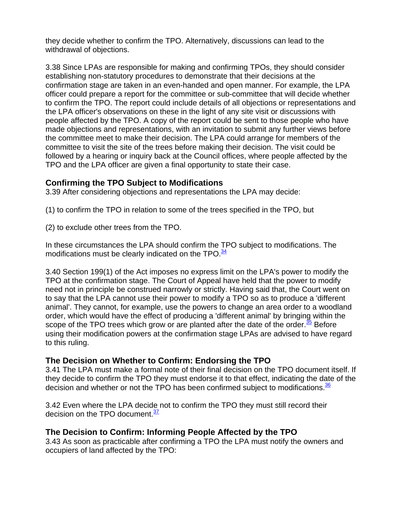they decide whether to confirm the TPO. Alternatively, discussions can lead to the withdrawal of objections.

3.38 Since LPAs are responsible for making and confirming TPOs, they should consider establishing non-statutory procedures to demonstrate that their decisions at the confirmation stage are taken in an even-handed and open manner. For example, the LPA officer could prepare a report for the committee or sub-committee that will decide whether to confirm the TPO. The report could include details of all objections or representations and the LPA officer's observations on these in the light of any site visit or discussions with people affected by the TPO. A copy of the report could be sent to those people who have made objections and representations, with an invitation to submit any further views before the committee meet to make their decision. The LPA could arrange for members of the committee to visit the site of the trees before making their decision. The visit could be followed by a hearing or inquiry back at the Council offices, where people affected by the TPO and the LPA officer are given a final opportunity to state their case.

### **Confirming the TPO Subject to Modifications**

3.39 After considering objections and representations the LPA may decide:

(1) to confirm the TPO in relation to some of the trees specified in the TPO, but

(2) to exclude other trees from the TPO.

In these circumstances the LPA should confirm the TPO subject to modifications. The modifications must be clearly indicated on the  $TPO.<sup>34</sup>$ 

3.40 Section 199(1) of the Act imposes no express limit on the LPA's power to modify the TPO at the confirmation stage. The Court of Appeal have held that the power to modify need not in principle be construed narrowly or strictly. Having said that, the Court went on to say that the LPA cannot use their power to modify a TPO so as to produce a 'different animal'. They cannot, for example, use the powers to change an area order to a woodland order, which would have the effect of producing a 'different animal' by bringing within the scope of the TPO trees which grow or are planted after the date of the order. $\frac{35}{2}$  $\frac{35}{2}$  $\frac{35}{2}$  Before using their modification powers at the confirmation stage LPAs are advised to have regard to this ruling.

### **The Decision on Whether to Confirm: Endorsing the TPO**

3.41 The LPA must make a formal note of their final decision on the TPO document itself. If they decide to confirm the TPO they must endorse it to that effect, indicating the date of the decision and whether or not the TPO has been confirmed subject to modifications.<sup>[36](#page-20-0)</sup>

3.42 Even where the LPA decide not to confirm the TPO they must still record their decision on the TPO document.<sup>[37](#page-20-0)</sup>

### **The Decision to Confirm: Informing People Affected by the TPO**

3.43 As soon as practicable after confirming a TPO the LPA must notify the owners and occupiers of land affected by the TPO: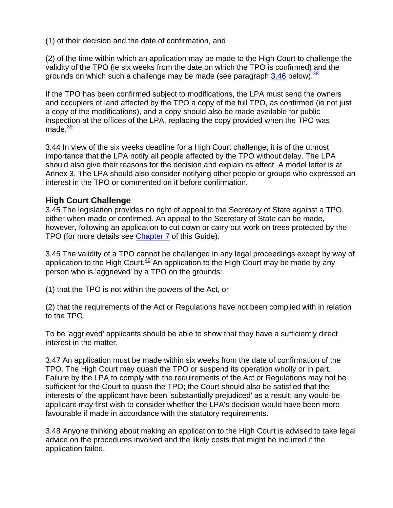<span id="page-19-0"></span>(1) of their decision and the date of confirmation, and

(2) of the time within which an application may be made to the High Court to challenge the validity of the TPO (ie six weeks from the date on which the TPO is confirmed) and the grounds on which such a challenge may be made (see paragraph  $3.46$  below).<sup>[38](#page-20-0)</sup>

If the TPO has been confirmed subject to modifications, the LPA must send the owners and occupiers of land affected by the TPO a copy of the full TPO, as confirmed (ie not just a copy of the modifications), and a copy should also be made available for public inspection at the offices of the LPA, replacing the copy provided when the TPO was made. $\frac{39}{2}$  $\frac{39}{2}$  $\frac{39}{2}$ 

3.44 In view of the six weeks deadline for a High Court challenge, it is of the utmost importance that the LPA notify all people affected by the TPO without delay. The LPA should also give their reasons for the decision and explain its effect. A model letter is at Annex 3. The LPA should also consider notifying other people or groups who expressed an interest in the TPO or commented on it before confirmation.

### **High Court Challenge**

3.45 The legislation provides no right of appeal to the Secretary of State against a TPO, either when made or confirmed. An appeal to the Secretary of State can be made, however, following an application to cut down or carry out work on trees protected by the TPO (for more details see [Chapter 7](#page-49-0) of this Guide).

3.46 The validity of a TPO cannot be challenged in any legal proceedings except by way of application to the High Court. $\frac{40}{2}$  An application to the High Court may be made by any person who is 'aggrieved' by a TPO on the grounds:

(1) that the TPO is not within the powers of the Act, or

(2) that the requirements of the Act or Regulations have not been complied with in relation to the TPO.

To be 'aggrieved' applicants should be able to show that they have a sufficiently direct interest in the matter.

3.47 An application must be made within six weeks from the date of confirmation of the TPO. The High Court may quash the TPO or suspend its operation wholly or in part. Failure by the LPA to comply with the requirements of the Act or Regulations may not be sufficient for the Court to quash the TPO; the Court should also be satisfied that the interests of the applicant have been 'substantially prejudiced' as a result; any would-be applicant may first wish to consider whether the LPA's decision would have been more favourable if made in accordance with the statutory requirements.

3.48 Anyone thinking about making an application to the High Court is advised to take legal advice on the procedures involved and the likely costs that might be incurred if the application failed.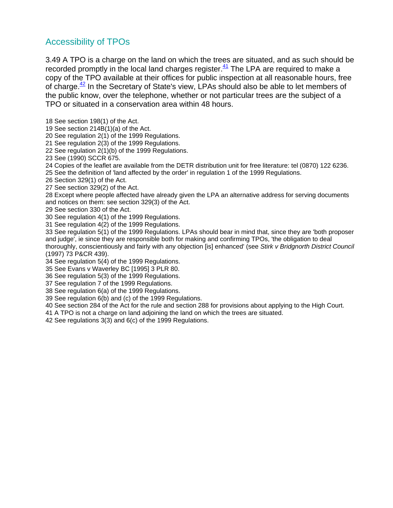### <span id="page-20-0"></span>Accessibility of TPOs

3.49 A TPO is a charge on the land on which the trees are situated, and as such should be recorded promptly in the local land charges register. $\frac{41}{1}$  The LPA are required to make a copy of the TPO available at their offices for public inspection at all reasonable hours, free of charge[.42](#page-20-0) In the Secretary of State's view, LPAs should also be able to let members of the public know, over the telephone, whether or not particular trees are the subject of a TPO or situated in a conservation area within 48 hours.

- 18 See section 198(1) of the Act.
- 19 See section 214B(1)(a) of the Act.

20 See regulation 2(1) of the 1999 Regulations.

21 See regulation 2(3) of the 1999 Regulations.

22 See regulation 2(1)(b) of the 1999 Regulations.

23 See (1990) SCCR 675.

24 Copies of the leaflet are available from the DETR distribution unit for free literature: tel (0870) 122 6236.

25 See the definition of 'land affected by the order' in regulation 1 of the 1999 Regulations.

26 Section 329(1) of the Act.

27 See section 329(2) of the Act.

28 Except where people affected have already given the LPA an alternative address for serving documents and notices on them: see section 329(3) of the Act.

29 See section 330 of the Act.

30 See regulation 4(1) of the 1999 Regulations.

31 See regulation 4(2) of the 1999 Regulations.

33 See regulation 5(1) of the 1999 Regulations. LPAs should bear in mind that, since they are 'both proposer and judge', ie since they are responsible both for making and confirming TPOs, 'the obligation to deal thoroughly, conscientiously and fairly with any objection [is] enhanced' (see *Stirk v Bridgnorth District Council*  (1997) 73 P&CR 439).

34 See regulation 5(4) of the 1999 Regulations.

35 See Evans v Waverley BC [1995] 3 PLR 80.

36 See regulation 5(3) of the 1999 Regulations.

37 See regulation 7 of the 1999 Regulations.

38 See regulation 6(a) of the 1999 Regulations.

39 See regulation 6(b) and (c) of the 1999 Regulations.

40 See section 284 of the Act for the rule and section 288 for provisions about applying to the High Court.

41 A TPO is not a charge on land adjoining the land on which the trees are situated.

42 See regulations 3(3) and 6(c) of the 1999 Regulations.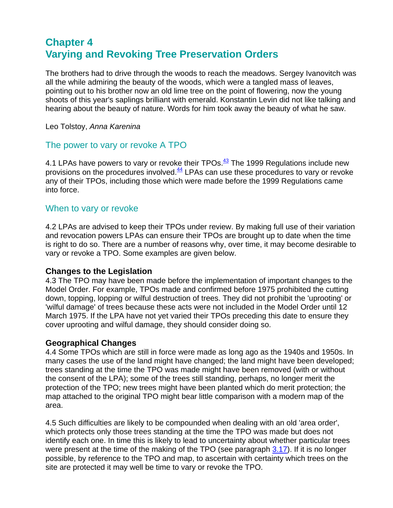# <span id="page-21-0"></span>**Chapter 4 Varying and Revoking Tree Preservation Orders**

The brothers had to drive through the woods to reach the meadows. Sergey Ivanovitch was all the while admiring the beauty of the woods, which were a tangled mass of leaves, pointing out to his brother now an old lime tree on the point of flowering, now the young shoots of this year's saplings brilliant with emerald. Konstantin Levin did not like talking and hearing about the beauty of nature. Words for him took away the beauty of what he saw.

#### Leo Tolstoy, *Anna Karenina*

### The power to vary or revoke A TPO

4.1 LPAs have powers to vary or revoke their TPOs. $\frac{43}{10}$  The 1999 Regulations include new provisions on the procedures involved. $44$  LPAs can use these procedures to vary or revoke any of their TPOs, including those which were made before the 1999 Regulations came into force.

### When to vary or revoke

4.2 LPAs are advised to keep their TPOs under review. By making full use of their variation and revocation powers LPAs can ensure their TPOs are brought up to date when the time is right to do so. There are a number of reasons why, over time, it may become desirable to vary or revoke a TPO. Some examples are given below.

#### **Changes to the Legislation**

4.3 The TPO may have been made before the implementation of important changes to the Model Order. For example, TPOs made and confirmed before 1975 prohibited the cutting down, topping, lopping or wilful destruction of trees. They did not prohibit the 'uprooting' or 'wilful damage' of trees because these acts were not included in the Model Order until 12 March 1975. If the LPA have not yet varied their TPOs preceding this date to ensure they cover uprooting and wilful damage, they should consider doing so.

#### **Geographical Changes**

4.4 Some TPOs which are still in force were made as long ago as the 1940s and 1950s. In many cases the use of the land might have changed; the land might have been developed; trees standing at the time the TPO was made might have been removed (with or without the consent of the LPA); some of the trees still standing, perhaps, no longer merit the protection of the TPO; new trees might have been planted which do merit protection; the map attached to the original TPO might bear little comparison with a modern map of the area.

4.5 Such difficulties are likely to be compounded when dealing with an old 'area order', which protects only those trees standing at the time the TPO was made but does not identify each one. In time this is likely to lead to uncertainty about whether particular trees were present at the time of the making of the TPO (see paragraph [3.17\)](#page-12-0). If it is no longer possible, by reference to the TPO and map, to ascertain with certainty which trees on the site are protected it may well be time to vary or revoke the TPO.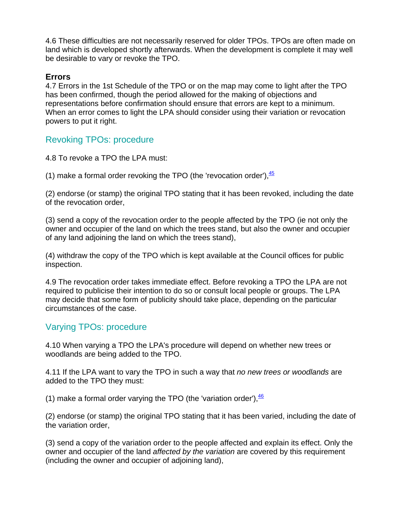<span id="page-22-0"></span>4.6 These difficulties are not necessarily reserved for older TPOs. TPOs are often made on land which is developed shortly afterwards. When the development is complete it may well be desirable to vary or revoke the TPO.

#### **Errors**

4.7 Errors in the 1st Schedule of the TPO or on the map may come to light after the TPO has been confirmed, though the period allowed for the making of objections and representations before confirmation should ensure that errors are kept to a minimum. When an error comes to light the LPA should consider using their variation or revocation powers to put it right.

### Revoking TPOs: procedure

4.8 To revoke a TPO the LPA must:

(1) make a formal order revoking the TPO (the 'revocation order'),  $\frac{45}{2}$  $\frac{45}{2}$  $\frac{45}{2}$ 

(2) endorse (or stamp) the original TPO stating that it has been revoked, including the date of the revocation order,

(3) send a copy of the revocation order to the people affected by the TPO (ie not only the owner and occupier of the land on which the trees stand, but also the owner and occupier of any land adjoining the land on which the trees stand),

(4) withdraw the copy of the TPO which is kept available at the Council offices for public inspection.

4.9 The revocation order takes immediate effect. Before revoking a TPO the LPA are not required to publicise their intention to do so or consult local people or groups. The LPA may decide that some form of publicity should take place, depending on the particular circumstances of the case.

### Varying TPOs: procedure

4.10 When varying a TPO the LPA's procedure will depend on whether new trees or woodlands are being added to the TPO.

4.11 If the LPA want to vary the TPO in such a way that *no new trees or woodlands* are added to the TPO they must:

(1) make a formal order varying the TPO (the 'variation order'),  $\frac{46}{10}$ 

(2) endorse (or stamp) the original TPO stating that it has been varied, including the date of the variation order,

(3) send a copy of the variation order to the people affected and explain its effect. Only the owner and occupier of the land *affected by the variation* are covered by this requirement (including the owner and occupier of adjoining land),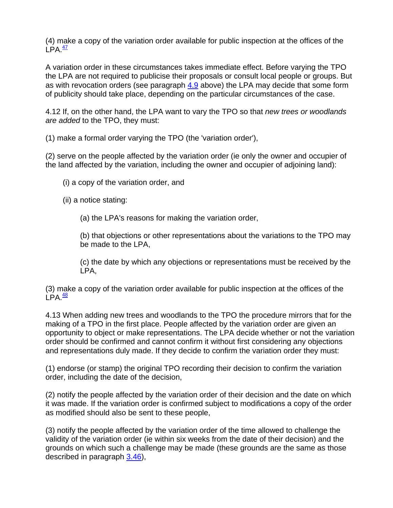(4) make a copy of the variation order available for public inspection at the offices of the  $\overline{I}$  PA  $\frac{47}{4}$  $\frac{47}{4}$  $\frac{47}{4}$ 

A variation order in these circumstances takes immediate effect. Before varying the TPO the LPA are not required to publicise their proposals or consult local people or groups. But as with revocation orders (see paragraph [4.9](#page-22-0) above) the LPA may decide that some form of publicity should take place, depending on the particular circumstances of the case.

4.12 If, on the other hand, the LPA want to vary the TPO so that *new trees or woodlands are added* to the TPO, they must:

(1) make a formal order varying the TPO (the 'variation order'),

(2) serve on the people affected by the variation order (ie only the owner and occupier of the land affected by the variation, including the owner and occupier of adjoining land):

- (i) a copy of the variation order, and
- (ii) a notice stating:

(a) the LPA's reasons for making the variation order,

(b) that objections or other representations about the variations to the TPO may be made to the LPA,

(c) the date by which any objections or representations must be received by the LPA,

(3) make a copy of the variation order available for public inspection at the offices of the  $LPA.<sup>48</sup>$  $LPA.<sup>48</sup>$  $LPA.<sup>48</sup>$ 

4.13 When adding new trees and woodlands to the TPO the procedure mirrors that for the making of a TPO in the first place. People affected by the variation order are given an opportunity to object or make representations. The LPA decide whether or not the variation order should be confirmed and cannot confirm it without first considering any objections and representations duly made. If they decide to confirm the variation order they must:

(1) endorse (or stamp) the original TPO recording their decision to confirm the variation order, including the date of the decision,

(2) notify the people affected by the variation order of their decision and the date on which it was made. If the variation order is confirmed subject to modifications a copy of the order as modified should also be sent to these people,

(3) notify the people affected by the variation order of the time allowed to challenge the validity of the variation order (ie within six weeks from the date of their decision) and the grounds on which such a challenge may be made (these grounds are the same as those described in paragraph [3.46](#page-19-0)),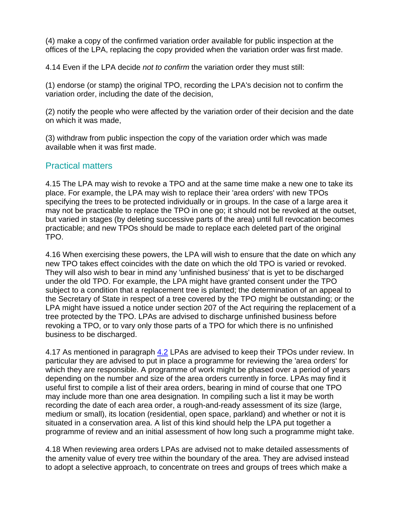(4) make a copy of the confirmed variation order available for public inspection at the offices of the LPA, replacing the copy provided when the variation order was first made.

4.14 Even if the LPA decide *not to confirm* the variation order they must still:

(1) endorse (or stamp) the original TPO, recording the LPA's decision not to confirm the variation order, including the date of the decision,

(2) notify the people who were affected by the variation order of their decision and the date on which it was made,

(3) withdraw from public inspection the copy of the variation order which was made available when it was first made.

### Practical matters

4.15 The LPA may wish to revoke a TPO and at the same time make a new one to take its place. For example, the LPA may wish to replace their 'area orders' with new TPOs specifying the trees to be protected individually or in groups. In the case of a large area it may not be practicable to replace the TPO in one go; it should not be revoked at the outset, but varied in stages (by deleting successive parts of the area) until full revocation becomes practicable; and new TPOs should be made to replace each deleted part of the original TPO.

4.16 When exercising these powers, the LPA will wish to ensure that the date on which any new TPO takes effect coincides with the date on which the old TPO is varied or revoked. They will also wish to bear in mind any 'unfinished business' that is yet to be discharged under the old TPO. For example, the LPA might have granted consent under the TPO subject to a condition that a replacement tree is planted; the determination of an appeal to the Secretary of State in respect of a tree covered by the TPO might be outstanding; or the LPA might have issued a notice under section 207 of the Act requiring the replacement of a tree protected by the TPO. LPAs are advised to discharge unfinished business before revoking a TPO, or to vary only those parts of a TPO for which there is no unfinished business to be discharged.

4.17 As mentioned in paragraph [4.2](#page-21-0) LPAs are advised to keep their TPOs under review. In particular they are advised to put in place a programme for reviewing the 'area orders' for which they are responsible. A programme of work might be phased over a period of years depending on the number and size of the area orders currently in force. LPAs may find it useful first to compile a list of their area orders, bearing in mind of course that one TPO may include more than one area designation. In compiling such a list it may be worth recording the date of each area order, a rough-and-ready assessment of its size (large, medium or small), its location (residential, open space, parkland) and whether or not it is situated in a conservation area. A list of this kind should help the LPA put together a programme of review and an initial assessment of how long such a programme might take.

4.18 When reviewing area orders LPAs are advised not to make detailed assessments of the amenity value of every tree within the boundary of the area. They are advised instead to adopt a selective approach, to concentrate on trees and groups of trees which make a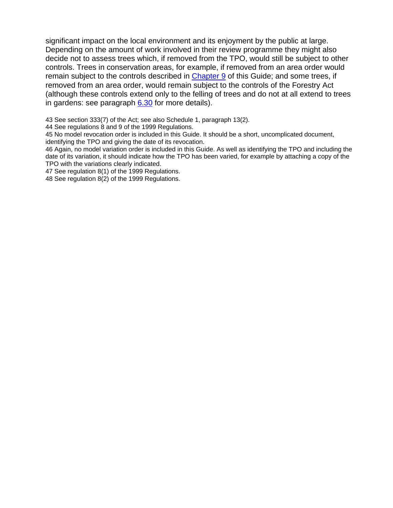<span id="page-25-0"></span>significant impact on the local environment and its enjoyment by the public at large. Depending on the amount of work involved in their review programme they might also decide not to assess trees which, if removed from the TPO, would still be subject to other controls. Trees in conservation areas, for example, if removed from an area order would remain subject to the controls described in [Chapter 9](#page-55-0) of this Guide; and some trees, if removed from an area order, would remain subject to the controls of the Forestry Act (although these controls extend only to the felling of trees and do not at all extend to trees in gardens: see paragraph [6.30](#page-37-0) for more details).

43 See section 333(7) of the Act; see also Schedule 1, paragraph 13(2).

44 See regulations 8 and 9 of the 1999 Regulations.

45 No model revocation order is included in this Guide. It should be a short, uncomplicated document, identifying the TPO and giving the date of its revocation.

46 Again, no model variation order is included in this Guide. As well as identifying the TPO and including the date of its variation, it should indicate how the TPO has been varied, for example by attaching a copy of the TPO with the variations clearly indicated.

47 See regulation 8(1) of the 1999 Regulations.

48 See regulation 8(2) of the 1999 Regulations.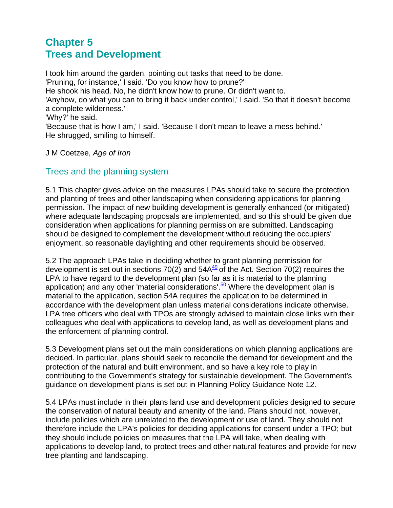# <span id="page-26-0"></span>**Chapter 5 Trees and Development**

I took him around the garden, pointing out tasks that need to be done. 'Pruning, for instance,' I said. 'Do you know how to prune?' He shook his head. No, he didn't know how to prune. Or didn't want to. 'Anyhow, do what you can to bring it back under control,' I said. 'So that it doesn't become a complete wilderness.' 'Why?' he said. 'Because that is how I am,' I said. 'Because I don't mean to leave a mess behind.'

J M Coetzee, *Age of Iron*

### Trees and the planning system

He shrugged, smiling to himself.

5.1 This chapter gives advice on the measures LPAs should take to secure the protection and planting of trees and other landscaping when considering applications for planning permission. The impact of new building development is generally enhanced (or mitigated) where adequate landscaping proposals are implemented, and so this should be given due consideration when applications for planning permission are submitted. Landscaping should be designed to complement the development without reducing the occupiers' enjoyment, so reasonable daylighting and other requirements should be observed.

5.2 The approach LPAs take in deciding whether to grant planning permission for development is set out in sections  $70(2)$  and  $54A<sup>49</sup>$  of the Act. Section 70(2) requires the LPA to have regard to the development plan (so far as it is material to the planning application) and any other 'material considerations'.<sup>[50](#page-32-0)</sup> Where the development plan is material to the application, section 54A requires the application to be determined in accordance with the development plan unless material considerations indicate otherwise. LPA tree officers who deal with TPOs are strongly advised to maintain close links with their colleagues who deal with applications to develop land, as well as development plans and the enforcement of planning control.

5.3 Development plans set out the main considerations on which planning applications are decided. In particular, plans should seek to reconcile the demand for development and the protection of the natural and built environment, and so have a key role to play in contributing to the Government's strategy for sustainable development. The Government's guidance on development plans is set out in Planning Policy Guidance Note 12.

5.4 LPAs must include in their plans land use and development policies designed to secure the conservation of natural beauty and amenity of the land. Plans should not, however, include policies which are unrelated to the development or use of land. They should not therefore include the LPA's policies for deciding applications for consent under a TPO; but they should include policies on measures that the LPA will take, when dealing with applications to develop land, to protect trees and other natural features and provide for new tree planting and landscaping.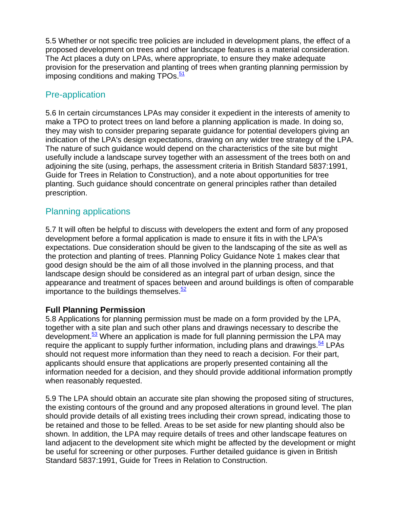5.5 Whether or not specific tree policies are included in development plans, the effect of a proposed development on trees and other landscape features is a material consideration. The Act places a duty on LPAs, where appropriate, to ensure they make adequate provision for the preservation and planting of trees when granting planning permission by imposing conditions and making TPOs. $51$ 

### Pre-application

5.6 In certain circumstances LPAs may consider it expedient in the interests of amenity to make a TPO to protect trees on land before a planning application is made. In doing so, they may wish to consider preparing separate guidance for potential developers giving an indication of the LPA's design expectations, drawing on any wider tree strategy of the LPA. The nature of such guidance would depend on the characteristics of the site but might usefully include a landscape survey together with an assessment of the trees both on and adjoining the site (using, perhaps, the assessment criteria in British Standard 5837:1991, Guide for Trees in Relation to Construction), and a note about opportunities for tree planting. Such guidance should concentrate on general principles rather than detailed prescription.

### Planning applications

5.7 It will often be helpful to discuss with developers the extent and form of any proposed development before a formal application is made to ensure it fits in with the LPA's expectations. Due consideration should be given to the landscaping of the site as well as the protection and planting of trees. Planning Policy Guidance Note 1 makes clear that good design should be the aim of all those involved in the planning process, and that landscape design should be considered as an integral part of urban design, since the appearance and treatment of spaces between and around buildings is often of comparable importance to the buildings themselves. $\frac{52}{5}$  $\frac{52}{5}$  $\frac{52}{5}$ 

### **Full Planning Permission**

5.8 Applications for planning permission must be made on a form provided by the LPA, together with a site plan and such other plans and drawings necessary to describe the development.<sup>53</sup> Where an application is made for full planning permission the LPA may require the applicant to supply further information, including plans and drawings. $\frac{54}{2}$  LPAs should not request more information than they need to reach a decision. For their part, applicants should ensure that applications are properly presented containing all the information needed for a decision, and they should provide additional information promptly when reasonably requested.

5.9 The LPA should obtain an accurate site plan showing the proposed siting of structures, the existing contours of the ground and any proposed alterations in ground level. The plan should provide details of all existing trees including their crown spread, indicating those to be retained and those to be felled. Areas to be set aside for new planting should also be shown. In addition, the LPA may require details of trees and other landscape features on land adjacent to the development site which might be affected by the development or might be useful for screening or other purposes. Further detailed guidance is given in British Standard 5837:1991, Guide for Trees in Relation to Construction.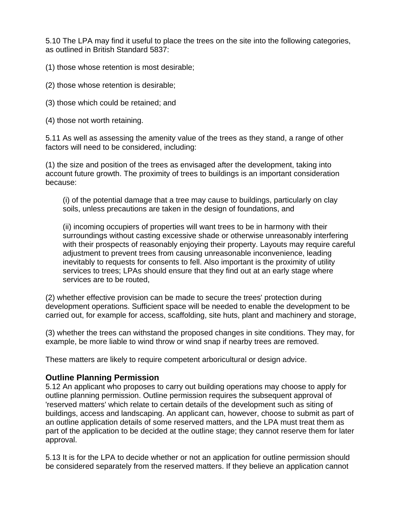5.10 The LPA may find it useful to place the trees on the site into the following categories, as outlined in British Standard 5837:

(1) those whose retention is most desirable;

- (2) those whose retention is desirable;
- (3) those which could be retained; and
- (4) those not worth retaining.

5.11 As well as assessing the amenity value of the trees as they stand, a range of other factors will need to be considered, including:

(1) the size and position of the trees as envisaged after the development, taking into account future growth. The proximity of trees to buildings is an important consideration because:

(i) of the potential damage that a tree may cause to buildings, particularly on clay soils, unless precautions are taken in the design of foundations, and

(ii) incoming occupiers of properties will want trees to be in harmony with their surroundings without casting excessive shade or otherwise unreasonably interfering with their prospects of reasonably enjoying their property. Layouts may require careful adjustment to prevent trees from causing unreasonable inconvenience, leading inevitably to requests for consents to fell. Also important is the proximity of utility services to trees; LPAs should ensure that they find out at an early stage where services are to be routed,

(2) whether effective provision can be made to secure the trees' protection during development operations. Sufficient space will be needed to enable the development to be carried out, for example for access, scaffolding, site huts, plant and machinery and storage,

(3) whether the trees can withstand the proposed changes in site conditions. They may, for example, be more liable to wind throw or wind snap if nearby trees are removed.

These matters are likely to require competent arboricultural or design advice.

### **Outline Planning Permission**

5.12 An applicant who proposes to carry out building operations may choose to apply for outline planning permission. Outline permission requires the subsequent approval of 'reserved matters' which relate to certain details of the development such as siting of buildings, access and landscaping. An applicant can, however, choose to submit as part of an outline application details of some reserved matters, and the LPA must treat them as part of the application to be decided at the outline stage; they cannot reserve them for later approval.

5.13 It is for the LPA to decide whether or not an application for outline permission should be considered separately from the reserved matters. If they believe an application cannot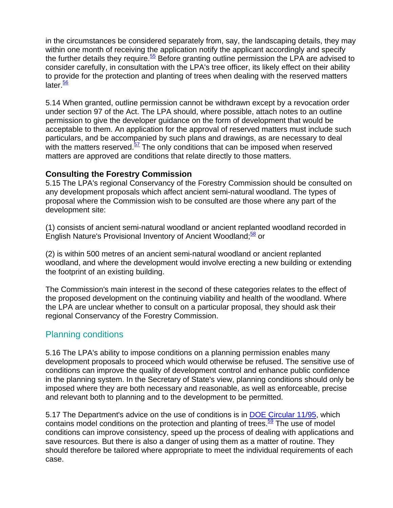in the circumstances be considered separately from, say, the landscaping details, they may within one month of receiving the application notify the applicant accordingly and specify the further details they require. $\frac{55}{2}$  Before granting outline permission the LPA are advised to consider carefully, in consultation with the LPA's tree officer, its likely effect on their ability to provide for the protection and planting of trees when dealing with the reserved matters later $\frac{56}{5}$  $\frac{56}{5}$  $\frac{56}{5}$ 

5.14 When granted, outline permission cannot be withdrawn except by a revocation order under section 97 of the Act. The LPA should, where possible, attach notes to an outline permission to give the developer guidance on the form of development that would be acceptable to them. An application for the approval of reserved matters must include such particulars, and be accompanied by such plans and drawings, as are necessary to deal with the matters reserved. $57$  The only conditions that can be imposed when reserved matters are approved are conditions that relate directly to those matters.

### **Consulting the Forestry Commission**

5.15 The LPA's regional Conservancy of the Forestry Commission should be consulted on any development proposals which affect ancient semi-natural woodland. The types of proposal where the Commission wish to be consulted are those where any part of the development site:

(1) consists of ancient semi-natural woodland or ancient replanted woodland recorded in English Nature's Provisional Inventory of Ancient Woodland;<sup>58</sup> or

(2) is within 500 metres of an ancient semi-natural woodland or ancient replanted woodland, and where the development would involve erecting a new building or extending the footprint of an existing building.

The Commission's main interest in the second of these categories relates to the effect of the proposed development on the continuing viability and health of the woodland. Where the LPA are unclear whether to consult on a particular proposal, they should ask their regional Conservancy of the Forestry Commission.

### Planning conditions

5.16 The LPA's ability to impose conditions on a planning permission enables many development proposals to proceed which would otherwise be refused. The sensitive use of conditions can improve the quality of development control and enhance public confidence in the planning system. In the Secretary of State's view, planning conditions should only be imposed where they are both necessary and reasonable, as well as enforceable, precise and relevant both to planning and to the development to be permitted.

5.17 The Department's advice on the use of conditions is in [DOE Circular 11/95,](http://www.communities.gov.uk/index.asp?id=1144452) which contains model conditions on the protection and planting of trees. $\frac{59}{2}$  The use of model conditions can improve consistency, speed up the process of dealing with applications and save resources. But there is also a danger of using them as a matter of routine. They should therefore be tailored where appropriate to meet the individual requirements of each case.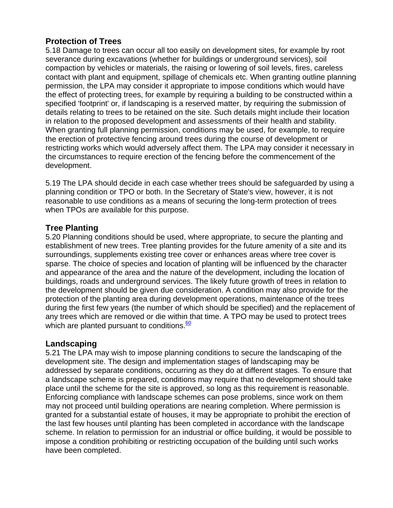### **Protection of Trees**

5.18 Damage to trees can occur all too easily on development sites, for example by root severance during excavations (whether for buildings or underground services), soil compaction by vehicles or materials, the raising or lowering of soil levels, fires, careless contact with plant and equipment, spillage of chemicals etc. When granting outline planning permission, the LPA may consider it appropriate to impose conditions which would have the effect of protecting trees, for example by requiring a building to be constructed within a specified 'footprint' or, if landscaping is a reserved matter, by requiring the submission of details relating to trees to be retained on the site. Such details might include their location in relation to the proposed development and assessments of their health and stability. When granting full planning permission, conditions may be used, for example, to require the erection of protective fencing around trees during the course of development or restricting works which would adversely affect them. The LPA may consider it necessary in the circumstances to require erection of the fencing before the commencement of the development.

5.19 The LPA should decide in each case whether trees should be safeguarded by using a planning condition or TPO or both. In the Secretary of State's view, however, it is not reasonable to use conditions as a means of securing the long-term protection of trees when TPOs are available for this purpose.

### **Tree Planting**

5.20 Planning conditions should be used, where appropriate, to secure the planting and establishment of new trees. Tree planting provides for the future amenity of a site and its surroundings, supplements existing tree cover or enhances areas where tree cover is sparse. The choice of species and location of planting will be influenced by the character and appearance of the area and the nature of the development, including the location of buildings, roads and underground services. The likely future growth of trees in relation to the development should be given due consideration. A condition may also provide for the protection of the planting area during development operations, maintenance of the trees during the first few years (the number of which should be specified) and the replacement of any trees which are removed or die within that time. A TPO may be used to protect trees which are planted pursuant to conditions. $60$ 

### **Landscaping**

5.21 The LPA may wish to impose planning conditions to secure the landscaping of the development site. The design and implementation stages of landscaping may be addressed by separate conditions, occurring as they do at different stages. To ensure that a landscape scheme is prepared, conditions may require that no development should take place until the scheme for the site is approved, so long as this requirement is reasonable. Enforcing compliance with landscape schemes can pose problems, since work on them may not proceed until building operations are nearing completion. Where permission is granted for a substantial estate of houses, it may be appropriate to prohibit the erection of the last few houses until planting has been completed in accordance with the landscape scheme. In relation to permission for an industrial or office building, it would be possible to impose a condition prohibiting or restricting occupation of the building until such works have been completed.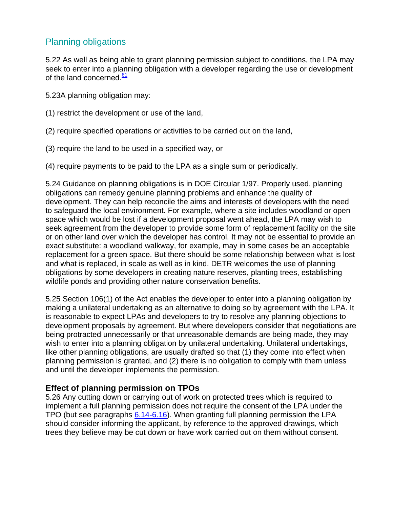### Planning obligations

5.22 As well as being able to grant planning permission subject to conditions, the LPA may seek to enter into a planning obligation with a developer regarding the use or development of the land concerned. $61$ 

5.23A planning obligation may:

- (1) restrict the development or use of the land,
- (2) require specified operations or activities to be carried out on the land,
- (3) require the land to be used in a specified way, or
- (4) require payments to be paid to the LPA as a single sum or periodically.

5.24 Guidance on planning obligations is in DOE Circular 1/97. Properly used, planning obligations can remedy genuine planning problems and enhance the quality of development. They can help reconcile the aims and interests of developers with the need to safeguard the local environment. For example, where a site includes woodland or open space which would be lost if a development proposal went ahead, the LPA may wish to seek agreement from the developer to provide some form of replacement facility on the site or on other land over which the developer has control. It may not be essential to provide an exact substitute: a woodland walkway, for example, may in some cases be an acceptable replacement for a green space. But there should be some relationship between what is lost and what is replaced, in scale as well as in kind. DETR welcomes the use of planning obligations by some developers in creating nature reserves, planting trees, establishing wildlife ponds and providing other nature conservation benefits.

5.25 Section 106(1) of the Act enables the developer to enter into a planning obligation by making a unilateral undertaking as an alternative to doing so by agreement with the LPA. It is reasonable to expect LPAs and developers to try to resolve any planning objections to development proposals by agreement. But where developers consider that negotiations are being protracted unnecessarily or that unreasonable demands are being made, they may wish to enter into a planning obligation by unilateral undertaking. Unilateral undertakings, like other planning obligations, are usually drafted so that (1) they come into effect when planning permission is granted, and (2) there is no obligation to comply with them unless and until the developer implements the permission.

### **Effect of planning permission on TPOs**

5.26 Any cutting down or carrying out of work on protected trees which is required to implement a full planning permission does not require the consent of the LPA under the TPO (but see paragraphs [6.14-6.16](#page-35-0)). When granting full planning permission the LPA should consider informing the applicant, by reference to the approved drawings, which trees they believe may be cut down or have work carried out on them without consent.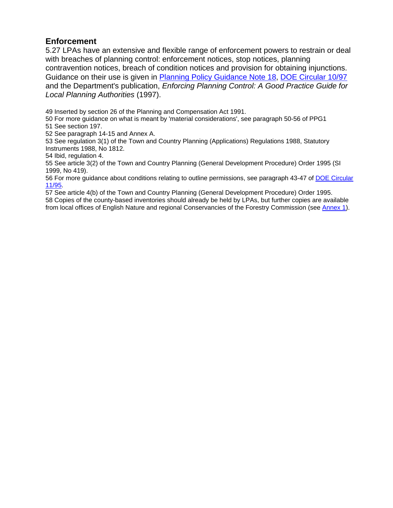#### <span id="page-32-0"></span>**Enforcement**

5.27 LPAs have an extensive and flexible range of enforcement powers to restrain or deal with breaches of planning control: enforcement notices, stop notices, planning contravention notices, breach of condition notices and provision for obtaining injunctions. Guidance on their use is given in [Planning Policy Guidance Note 18](http://www.communities.gov.uk/index.asp?id=1144089), [DOE Circular 10/97](http://www.communities.gov.uk/index.asp?id=1144429) and the Department's publication, *Enforcing Planning Control: A Good Practice Guide for Local Planning Authorities* (1997).

49 Inserted by section 26 of the Planning and Compensation Act 1991.

50 For more guidance on what is meant by 'material considerations', see paragraph 50-56 of PPG1 51 See section 197.

52 See paragraph 14-15 and Annex A.

53 See regulation 3(1) of the Town and Country Planning (Applications) Regulations 1988, Statutory Instruments 1988, No 1812.

54 Ibid, regulation 4.

55 See article 3(2) of the Town and Country Planning (General Development Procedure) Order 1995 (SI 1999, No 419).

56 For more guidance about conditions relating to outline permissions, see paragraph 43-47 of [DOE Circular](http://www.communities.gov.uk/index.asp?id=1144452)  [11/95.](http://www.communities.gov.uk/index.asp?id=1144452)

57 See article 4(b) of the Town and Country Planning (General Development Procedure) Order 1995.

58 Copies of the county-based inventories should already be held by LPAs, but further copies are available from local offices of English Nature and regional Conservancies of the Forestry Commission (see [Annex 1\)](#page-75-0).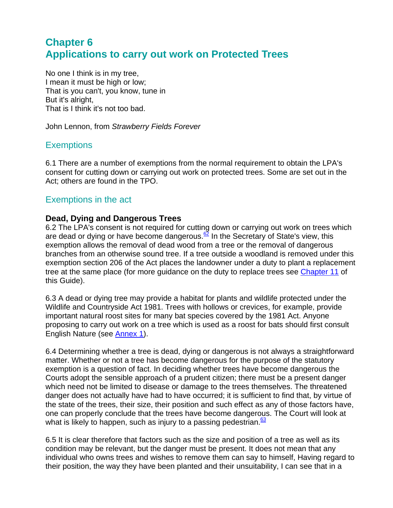# <span id="page-33-0"></span>**Chapter 6 Applications to carry out work on Protected Trees**

No one I think is in my tree, I mean it must be high or low; That is you can't, you know, tune in But it's alright, That is I think it's not too bad.

John Lennon, from *Strawberry Fields Forever*

### **Exemptions**

6.1 There are a number of exemptions from the normal requirement to obtain the LPA's consent for cutting down or carrying out work on protected trees. Some are set out in the Act; others are found in the TPO.

### Exemptions in the act

### **Dead, Dying and Dangerous Trees**

6.2 The LPA's consent is not required for cutting down or carrying out work on trees which are dead or dying or have become dangerous.<sup>62</sup> In the Secretary of State's view, this exemption allows the removal of dead wood from a tree or the removal of dangerous branches from an otherwise sound tree. If a tree outside a woodland is removed under this exemption section 206 of the Act places the landowner under a duty to plant a replacement tree at the same place (for more guidance on the duty to replace trees see [Chapter 11](#page-62-0) of this Guide).

6.3 A dead or dying tree may provide a habitat for plants and wildlife protected under the Wildlife and Countryside Act 1981. Trees with hollows or crevices, for example, provide important natural roost sites for many bat species covered by the 1981 Act. Anyone proposing to carry out work on a tree which is used as a roost for bats should first consult English Nature (see [Annex 1\)](#page-75-0).

6.4 Determining whether a tree is dead, dying or dangerous is not always a straightforward matter. Whether or not a tree has become dangerous for the purpose of the statutory exemption is a question of fact. In deciding whether trees have become dangerous the Courts adopt the sensible approach of a prudent citizen; there must be a present danger which need not be limited to disease or damage to the trees themselves. The threatened danger does not actually have had to have occurred; it is sufficient to find that, by virtue of the state of the trees, their size, their position and such effect as any of those factors have, one can properly conclude that the trees have become dangerous. The Court will look at what is likely to happen, such as injury to a passing pedestrian. $\frac{63}{2}$  $\frac{63}{2}$  $\frac{63}{2}$ 

6.5 It is clear therefore that factors such as the size and position of a tree as well as its condition may be relevant, but the danger must be present. It does not mean that any individual who owns trees and wishes to remove them can say to himself, Having regard to their position, the way they have been planted and their unsuitability, I can see that in a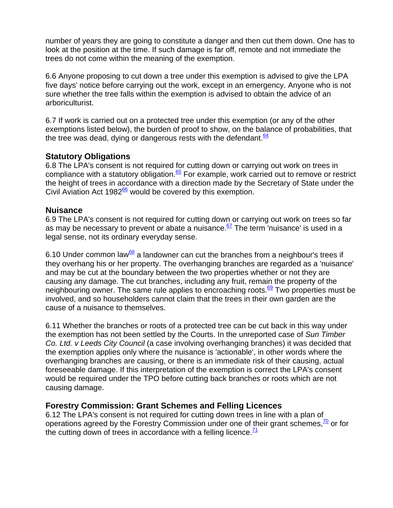number of years they are going to constitute a danger and then cut them down. One has to look at the position at the time. If such damage is far off, remote and not immediate the trees do not come within the meaning of the exemption.

6.6 Anyone proposing to cut down a tree under this exemption is advised to give the LPA five days' notice before carrying out the work, except in an emergency. Anyone who is not sure whether the tree falls within the exemption is advised to obtain the advice of an arboriculturist.

6.7 If work is carried out on a protected tree under this exemption (or any of the other exemptions listed below), the burden of proof to show, on the balance of probabilities, that the tree was dead, dying or dangerous rests with the defendant.  $64$ 

### **Statutory Obligations**

6.8 The LPA's consent is not required for cutting down or carrying out work on trees in compliance with a statutory obligation. $\frac{65}{6}$  For example, work carried out to remove or restrict the height of trees in accordance with a direction made by the Secretary of State under the Civil Aviation Act  $1982<sup>66</sup>$  would be covered by this exemption.

### **Nuisance**

6.9 The LPA's consent is not required for cutting down or carrying out work on trees so far as may be necessary to prevent or abate a nuisance.  $67$  The term 'nuisance' is used in a legal sense, not its ordinary everyday sense.

6.10 Under common law $^{68}$  a landowner can cut the branches from a neighbour's trees if they overhang his or her property. The overhanging branches are regarded as a 'nuisance' and may be cut at the boundary between the two properties whether or not they are causing any damage. The cut branches, including any fruit, remain the property of the neighbouring owner. The same rule applies to encroaching roots.<sup>69</sup> Two properties must be involved, and so householders cannot claim that the trees in their own garden are the cause of a nuisance to themselves.

6.11 Whether the branches or roots of a protected tree can be cut back in this way under the exemption has not been settled by the Courts. In the unreported case of *Sun Timber Co. Ltd. v Leeds City Council* (a case involving overhanging branches) it was decided that the exemption applies only where the nuisance is 'actionable', in other words where the overhanging branches are causing, or there is an immediate risk of their causing, actual foreseeable damage. If this interpretation of the exemption is correct the LPA's consent would be required under the TPO before cutting back branches or roots which are not causing damage.

### **Forestry Commission: Grant Schemes and Felling Licences**

6.12 The LPA's consent is not required for cutting down trees in line with a plan of operations agreed by the Forestry Commission under one of their grant schemes, $\frac{70}{6}$  or for the cutting down of trees in accordance with a felling licence. $\frac{1}{1}$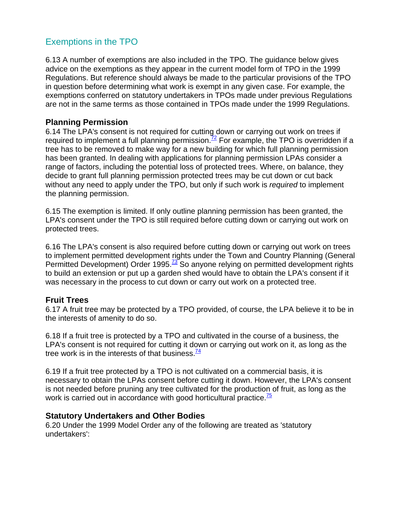### <span id="page-35-0"></span>Exemptions in the TPO

6.13 A number of exemptions are also included in the TPO. The guidance below gives advice on the exemptions as they appear in the current model form of TPO in the 1999 Regulations. But reference should always be made to the particular provisions of the TPO in question before determining what work is exempt in any given case. For example, the exemptions conferred on statutory undertakers in TPOs made under previous Regulations are not in the same terms as those contained in TPOs made under the 1999 Regulations.

### **Planning Permission**

6.14 The LPA's consent is not required for cutting down or carrying out work on trees if required to implement a full planning permission.<sup>72</sup> For example, the TPO is overridden if a tree has to be removed to make way for a new building for which full planning permission has been granted. In dealing with applications for planning permission LPAs consider a range of factors, including the potential loss of protected trees. Where, on balance, they decide to grant full planning permission protected trees may be cut down or cut back without any need to apply under the TPO, but only if such work is *required* to implement the planning permission.

6.15 The exemption is limited. If only outline planning permission has been granted, the LPA's consent under the TPO is still required before cutting down or carrying out work on protected trees.

6.16 The LPA's consent is also required before cutting down or carrying out work on trees to implement permitted development rights under the Town and Country Planning (General Permitted Development) Order 1995.<sup> $\frac{\pi}{2}$ </sup> So anyone relying on permitted development rights to build an extension or put up a garden shed would have to obtain the LPA's consent if it was necessary in the process to cut down or carry out work on a protected tree.

### **Fruit Trees**

6.17 A fruit tree may be protected by a TPO provided, of course, the LPA believe it to be in the interests of amenity to do so.

6.18 If a fruit tree is protected by a TPO and cultivated in the course of a business, the LPA's consent is not required for cutting it down or carrying out work on it, as long as the tree work is in the interests of that business.  $\frac{74}{ }$ 

6.19 If a fruit tree protected by a TPO is not cultivated on a commercial basis, it is necessary to obtain the LPAs consent before cutting it down. However, the LPA's consent is not needed before pruning any tree cultivated for the production of fruit, as long as the work is carried out in accordance with good horticultural practice. $\frac{75}{6}$  $\frac{75}{6}$  $\frac{75}{6}$ 

### **Statutory Undertakers and Other Bodies**

6.20 Under the 1999 Model Order any of the following are treated as 'statutory undertakers':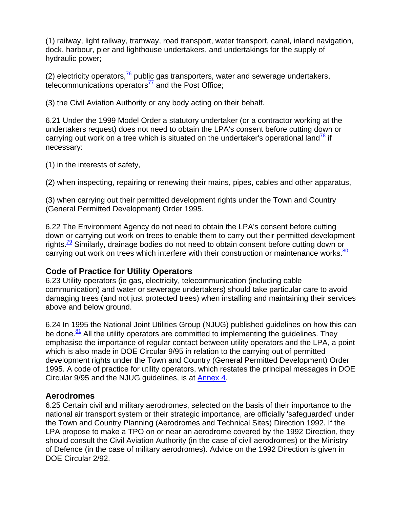(1) railway, light railway, tramway, road transport, water transport, canal, inland navigation, dock, harbour, pier and lighthouse undertakers, and undertakings for the supply of hydraulic power;

(2) electricity operators,  $\frac{76}{6}$  $\frac{76}{6}$  $\frac{76}{6}$  public gas transporters, water and sewerage undertakers, telecommunications operators $\frac{77}{2}$  and the Post Office;

(3) the Civil Aviation Authority or any body acting on their behalf.

6.21 Under the 1999 Model Order a statutory undertaker (or a contractor working at the undertakers request) does not need to obtain the LPA's consent before cutting down or carrying out work on a tree which is situated on the undertaker's operational land $\frac{78}{15}$  if necessary:

(1) in the interests of safety,

(2) when inspecting, repairing or renewing their mains, pipes, cables and other apparatus,

(3) when carrying out their permitted development rights under the Town and Country (General Permitted Development) Order 1995.

6.22 The Environment Agency do not need to obtain the LPA's consent before cutting down or carrying out work on trees to enable them to carry out their permitted development rights.<sup>[79](#page-47-0)</sup> Similarly, drainage bodies do not need to obtain consent before cutting down or carrying out work on trees which interfere with their construction or maintenance works. $\frac{80}{20}$  $\frac{80}{20}$  $\frac{80}{20}$ 

### **Code of Practice for Utility Operators**

6.23 Utility operators (ie gas, electricity, telecommunication (including cable communication) and water or sewerage undertakers) should take particular care to avoid damaging trees (and not just protected trees) when installing and maintaining their services above and below ground.

6.24 In 1995 the National Joint Utilities Group (NJUG) published guidelines on how this can be done. $\frac{81}{2}$  $\frac{81}{2}$  $\frac{81}{2}$  All the utility operators are committed to implementing the guidelines. They emphasise the importance of regular contact between utility operators and the LPA, a point which is also made in DOE Circular 9/95 in relation to the carrying out of permitted development rights under the Town and Country (General Permitted Development) Order 1995. A code of practice for utility operators, which restates the principal messages in DOE Circular 9/95 and the NJUG guidelines, is at [Annex 4.](#page-83-0)

### **Aerodromes**

6.25 Certain civil and military aerodromes, selected on the basis of their importance to the national air transport system or their strategic importance, are officially 'safeguarded' under the Town and Country Planning (Aerodromes and Technical Sites) Direction 1992. If the LPA propose to make a TPO on or near an aerodrome covered by the 1992 Direction, they should consult the Civil Aviation Authority (in the case of civil aerodromes) or the Ministry of Defence (in the case of military aerodromes). Advice on the 1992 Direction is given in DOE Circular 2/92.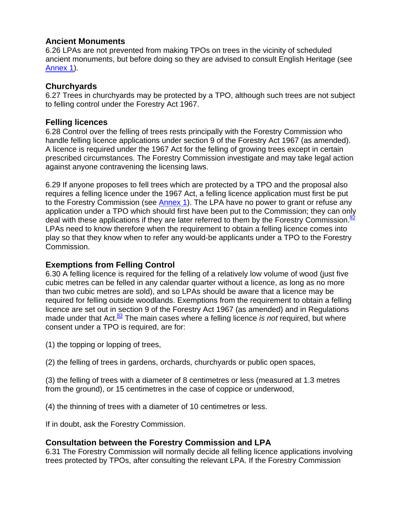### <span id="page-37-0"></span>**Ancient Monuments**

6.26 LPAs are not prevented from making TPOs on trees in the vicinity of scheduled ancient monuments, but before doing so they are advised to consult English Heritage (see [Annex 1\)](#page-75-0).

## **Churchyards**

6.27 Trees in churchyards may be protected by a TPO, although such trees are not subject to felling control under the Forestry Act 1967.

## **Felling licences**

6.28 Control over the felling of trees rests principally with the Forestry Commission who handle felling licence applications under section 9 of the Forestry Act 1967 (as amended). A licence is required under the 1967 Act for the felling of growing trees except in certain prescribed circumstances. The Forestry Commission investigate and may take legal action against anyone contravening the licensing laws.

6.29 If anyone proposes to fell trees which are protected by a TPO and the proposal also requires a felling licence under the 1967 Act, a felling licence application must first be put to the Forestry Commission (see [Annex 1\)](#page-75-0). The LPA have no power to grant or refuse any application under a TPO which should first have been put to the Commission; they can only deal with these applications if they are later referred to them by the Forestry Commission.<sup>8</sup> LPAs need to know therefore when the requirement to obtain a felling licence comes into play so that they know when to refer any would-be applicants under a TPO to the Forestry Commission.

## **Exemptions from Felling Control**

6.30 A felling licence is required for the felling of a relatively low volume of wood (just five cubic metres can be felled in any calendar quarter without a licence, as long as no more than two cubic metres are sold), and so LPAs should be aware that a licence may be required for felling outside woodlands. Exemptions from the requirement to obtain a felling licence are set out in section 9 of the Forestry Act 1967 (as amended) and in Regulations made under that Act.<sup>83</sup> The main cases where a felling licence *is not* required, but where consent under a TPO is required, are for:

(1) the topping or lopping of trees,

(2) the felling of trees in gardens, orchards, churchyards or public open spaces,

(3) the felling of trees with a diameter of 8 centimetres or less (measured at 1.3 metres from the ground), or 15 centimetres in the case of coppice or underwood,

(4) the thinning of trees with a diameter of 10 centimetres or less.

If in doubt, ask the Forestry Commission.

# **Consultation between the Forestry Commission and LPA**

6.31 The Forestry Commission will normally decide all felling licence applications involving trees protected by TPOs, after consulting the relevant LPA. If the Forestry Commission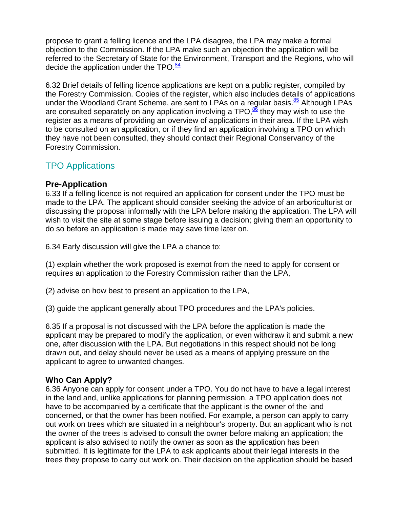<span id="page-38-0"></span>propose to grant a felling licence and the LPA disagree, the LPA may make a formal objection to the Commission. If the LPA make such an objection the application will be referred to the Secretary of State for the Environment, Transport and the Regions, who will decide the application under the  $TPO. $\frac{84}{5}$  $TPO. $\frac{84}{5}$  $TPO. $\frac{84}{5}$$$$ 

6.32 Brief details of felling licence applications are kept on a public register, compiled by the Forestry Commission. Copies of the register, which also includes details of applications under the Woodland Grant Scheme, are sent to LPAs on a regular basis. $\frac{85}{2}$  $\frac{85}{2}$  $\frac{85}{2}$  Although LPAs are consulted separately on any application involving a TPO, $\frac{86}{6}$  they may wish to use the register as a means of providing an overview of applications in their area. If the LPA wish to be consulted on an application, or if they find an application involving a TPO on which they have not been consulted, they should contact their Regional Conservancy of the Forestry Commission.

# TPO Applications

## **Pre-Application**

6.33 If a felling licence is not required an application for consent under the TPO must be made to the LPA. The applicant should consider seeking the advice of an arboriculturist or discussing the proposal informally with the LPA before making the application. The LPA will wish to visit the site at some stage before issuing a decision; giving them an opportunity to do so before an application is made may save time later on.

6.34 Early discussion will give the LPA a chance to:

(1) explain whether the work proposed is exempt from the need to apply for consent or requires an application to the Forestry Commission rather than the LPA,

(2) advise on how best to present an application to the LPA,

(3) guide the applicant generally about TPO procedures and the LPA's policies.

6.35 If a proposal is not discussed with the LPA before the application is made the applicant may be prepared to modify the application, or even withdraw it and submit a new one, after discussion with the LPA. But negotiations in this respect should not be long drawn out, and delay should never be used as a means of applying pressure on the applicant to agree to unwanted changes.

## **Who Can Apply?**

6.36 Anyone can apply for consent under a TPO. You do not have to have a legal interest in the land and, unlike applications for planning permission, a TPO application does not have to be accompanied by a certificate that the applicant is the owner of the land concerned, or that the owner has been notified. For example, a person can apply to carry out work on trees which are situated in a neighbour's property. But an applicant who is not the owner of the trees is advised to consult the owner before making an application; the applicant is also advised to notify the owner as soon as the application has been submitted. It is legitimate for the LPA to ask applicants about their legal interests in the trees they propose to carry out work on. Their decision on the application should be based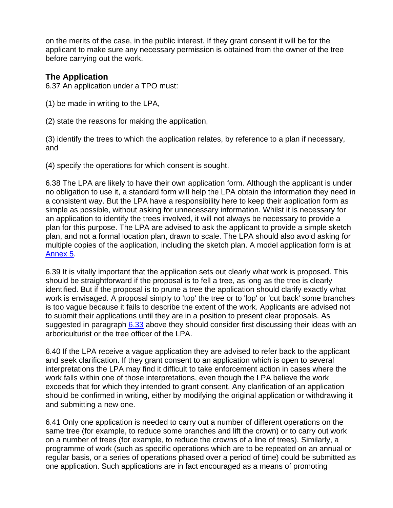on the merits of the case, in the public interest. If they grant consent it will be for the applicant to make sure any necessary permission is obtained from the owner of the tree before carrying out the work.

### **The Application**

6.37 An application under a TPO must:

- (1) be made in writing to the LPA,
- (2) state the reasons for making the application,

(3) identify the trees to which the application relates, by reference to a plan if necessary, and

(4) specify the operations for which consent is sought.

6.38 The LPA are likely to have their own application form. Although the applicant is under no obligation to use it, a standard form will help the LPA obtain the information they need in a consistent way. But the LPA have a responsibility here to keep their application form as simple as possible, without asking for unnecessary information. Whilst it is necessary for an application to identify the trees involved, it will not always be necessary to provide a plan for this purpose. The LPA are advised to ask the applicant to provide a simple sketch plan, and not a formal location plan, drawn to scale. The LPA should also avoid asking for multiple copies of the application, including the sketch plan. A model application form is at [Annex 5.](#page-85-0)

6.39 It is vitally important that the application sets out clearly what work is proposed. This should be straightforward if the proposal is to fell a tree, as long as the tree is clearly identified. But if the proposal is to prune a tree the application should clarify exactly what work is envisaged. A proposal simply to 'top' the tree or to 'lop' or 'cut back' some branches is too vague because it fails to describe the extent of the work. Applicants are advised not to submit their applications until they are in a position to present clear proposals. As suggested in paragraph [6.33](#page-38-0) above they should consider first discussing their ideas with an arboriculturist or the tree officer of the LPA.

6.40 If the LPA receive a vague application they are advised to refer back to the applicant and seek clarification. If they grant consent to an application which is open to several interpretations the LPA may find it difficult to take enforcement action in cases where the work falls within one of those interpretations, even though the LPA believe the work exceeds that for which they intended to grant consent. Any clarification of an application should be confirmed in writing, either by modifying the original application or withdrawing it and submitting a new one.

6.41 Only one application is needed to carry out a number of different operations on the same tree (for example, to reduce some branches and lift the crown) or to carry out work on a number of trees (for example, to reduce the crowns of a line of trees). Similarly, a programme of work (such as specific operations which are to be repeated on an annual or regular basis, or a series of operations phased over a period of time) could be submitted as one application. Such applications are in fact encouraged as a means of promoting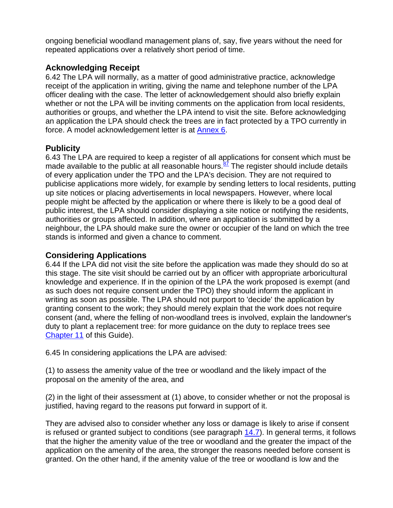<span id="page-40-0"></span>ongoing beneficial woodland management plans of, say, five years without the need for repeated applications over a relatively short period of time.

## **Acknowledging Receipt**

6.42 The LPA will normally, as a matter of good administrative practice, acknowledge receipt of the application in writing, giving the name and telephone number of the LPA officer dealing with the case. The letter of acknowledgement should also briefly explain whether or not the LPA will be inviting comments on the application from local residents, authorities or groups, and whether the LPA intend to visit the site. Before acknowledging an application the LPA should check the trees are in fact protected by a TPO currently in force. A model acknowledgement letter is at [Annex 6](#page-87-0).

### **Publicity**

6.43 The LPA are required to keep a register of all applications for consent which must be made available to the public at all reasonable hours.<sup>87</sup> The register should include details of every application under the TPO and the LPA's decision. They are not required to publicise applications more widely, for example by sending letters to local residents, putting up site notices or placing advertisements in local newspapers. However, where local people might be affected by the application or where there is likely to be a good deal of public interest, the LPA should consider displaying a site notice or notifying the residents, authorities or groups affected. In addition, where an application is submitted by a neighbour, the LPA should make sure the owner or occupier of the land on which the tree stands is informed and given a chance to comment.

### **Considering Applications**

6.44 If the LPA did not visit the site before the application was made they should do so at this stage. The site visit should be carried out by an officer with appropriate arboricultural knowledge and experience. If in the opinion of the LPA the work proposed is exempt (and as such does not require consent under the TPO) they should inform the applicant in writing as soon as possible. The LPA should not purport to 'decide' the application by granting consent to the work; they should merely explain that the work does not require consent (and, where the felling of non-woodland trees is involved, explain the landowner's duty to plant a replacement tree: for more guidance on the duty to replace trees see [Chapter 11](#page-62-0) of this Guide).

6.45 In considering applications the LPA are advised:

(1) to assess the amenity value of the tree or woodland and the likely impact of the proposal on the amenity of the area, and

(2) in the light of their assessment at (1) above, to consider whether or not the proposal is justified, having regard to the reasons put forward in support of it.

They are advised also to consider whether any loss or damage is likely to arise if consent is refused or granted subject to conditions (see paragraph [14.7](#page-73-0)). In general terms, it follows that the higher the amenity value of the tree or woodland and the greater the impact of the application on the amenity of the area, the stronger the reasons needed before consent is granted. On the other hand, if the amenity value of the tree or woodland is low and the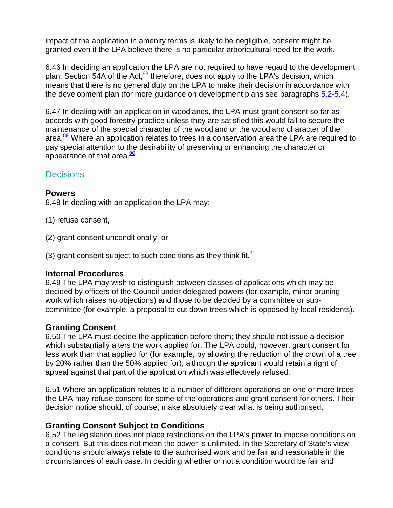impact of the application in amenity terms is likely to be negligible, consent might be granted even if the LPA believe there is no particular arboricultural need for the work.

6.46 In deciding an application the LPA are not required to have regard to the development plan. Section 54A of the Act, $\frac{88}{3}$  therefore, does not apply to the LPA's decision, which means that there is no general duty on the LPA to make their decision in accordance with the development plan (for more guidance on development plans see paragraphs [5.2-5.4\)](#page-26-0).

6.47 In dealing with an application in woodlands, the LPA must grant consent so far as accords with good forestry practice unless they are satisfied this would fail to secure the maintenance of the special character of the woodland or the woodland character of the area.<sup>[89](#page-47-0)</sup> Where an application relates to trees in a conservation area the LPA are required to pay special attention to the desirability of preserving or enhancing the character or appearance of that area. $\frac{90}{20}$  $\frac{90}{20}$  $\frac{90}{20}$ 

# **Decisions**

### **Powers**

6.48 In dealing with an application the LPA may:

- (1) refuse consent,
- (2) grant consent unconditionally, or
- (3) grant consent subject to such conditions as they think fit.  $\frac{91}{2}$

### **Internal Procedures**

6.49 The LPA may wish to distinguish between classes of applications which may be decided by officers of the Council under delegated powers (for example, minor pruning work which raises no objections) and those to be decided by a committee or subcommittee (for example, a proposal to cut down trees which is opposed by local residents).

### **Granting Consent**

6.50 The LPA must decide the application before them; they should not issue a decision which substantially alters the work applied for. The LPA could, however, grant consent for less work than that applied for (for example, by allowing the reduction of the crown of a tree by 20% rather than the 50% applied for), although the applicant would retain a right of appeal against that part of the application which was effectively refused.

6.51 Where an application relates to a number of different operations on one or more trees the LPA may refuse consent for some of the operations and grant consent for others. Their decision notice should, of course, make absolutely clear what is being authorised.

### **Granting Consent Subject to Conditions**

6.52 The legislation does not place restrictions on the LPA's power to impose conditions on a consent. But this does not mean the power is unlimited. In the Secretary of State's view conditions should always relate to the authorised work and be fair and reasonable in the circumstances of each case. In deciding whether or not a condition would be fair and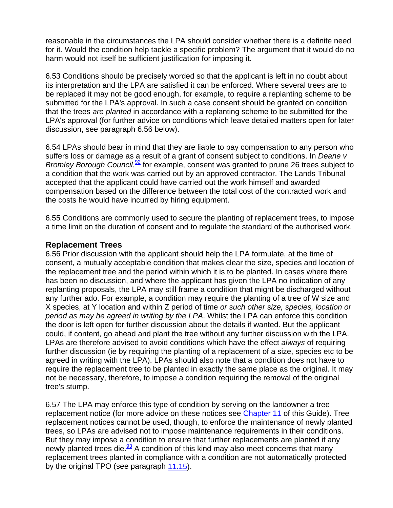reasonable in the circumstances the LPA should consider whether there is a definite need for it. Would the condition help tackle a specific problem? The argument that it would do no harm would not itself be sufficient justification for imposing it.

6.53 Conditions should be precisely worded so that the applicant is left in no doubt about its interpretation and the LPA are satisfied it can be enforced. Where several trees are to be replaced it may not be good enough, for example, to require a replanting scheme to be submitted for the LPA's approval. In such a case consent should be granted on condition that the trees *are planted* in accordance with a replanting scheme to be submitted for the LPA's approval (for further advice on conditions which leave detailed matters open for later discussion, see paragraph 6.56 below).

6.54 LPAs should bear in mind that they are liable to pay compensation to any person who suffers loss or damage as a result of a grant of consent subject to conditions. In *Deane v*  Bromley Borough Council,<sup>[92](#page-47-0)</sup> for example, consent was granted to prune 26 trees subject to a condition that the work was carried out by an approved contractor. The Lands Tribunal accepted that the applicant could have carried out the work himself and awarded compensation based on the difference between the total cost of the contracted work and the costs he would have incurred by hiring equipment.

6.55 Conditions are commonly used to secure the planting of replacement trees, to impose a time limit on the duration of consent and to regulate the standard of the authorised work.

### **Replacement Trees**

6.56 Prior discussion with the applicant should help the LPA formulate, at the time of consent, a mutually acceptable condition that makes clear the size, species and location of the replacement tree and the period within which it is to be planted. In cases where there has been no discussion, and where the applicant has given the LPA no indication of any replanting proposals, the LPA may still frame a condition that might be discharged without any further ado. For example, a condition may require the planting of a tree of W size and X species, at Y location and within Z period of time *or such other size, species, location or period as may be agreed in writing by the LPA*. Whilst the LPA can enforce this condition the door is left open for further discussion about the details if wanted. But the applicant could, if content, go ahead and plant the tree without any further discussion with the LPA. LPAs are therefore advised to avoid conditions which have the effect *always* of requiring further discussion (ie by requiring the planting of a replacement of a size, species etc to be agreed in writing with the LPA). LPAs should also note that a condition does not have to require the replacement tree to be planted in exactly the same place as the original. It may not be necessary, therefore, to impose a condition requiring the removal of the original tree's stump.

6.57 The LPA may enforce this type of condition by serving on the landowner a tree replacement notice (for more advice on these notices see [Chapter 11](#page-62-0) of this Guide). Tree replacement notices cannot be used, though, to enforce the maintenance of newly planted trees, so LPAs are advised not to impose maintenance requirements in their conditions. But they may impose a condition to ensure that further replacements are planted if any newly planted trees die. $\frac{93}{2}$  A condition of this kind may also meet concerns that many replacement trees planted in compliance with a condition are not automatically protected by the original TPO (see paragraph [11.15\)](#page-64-0).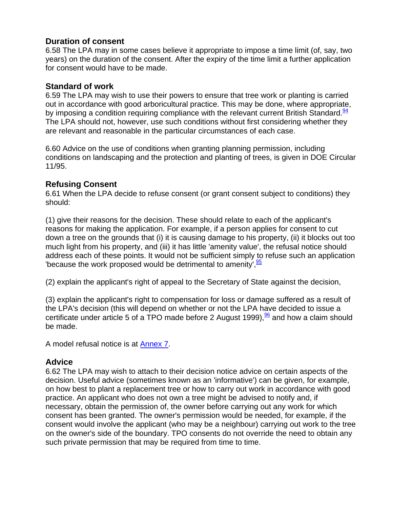### **Duration of consent**

6.58 The LPA may in some cases believe it appropriate to impose a time limit (of, say, two years) on the duration of the consent. After the expiry of the time limit a further application for consent would have to be made.

### **Standard of work**

6.59 The LPA may wish to use their powers to ensure that tree work or planting is carried out in accordance with good arboricultural practice. This may be done, where appropriate, by imposing a condition requiring compliance with the relevant current British Standard.<sup>[94](#page-47-0)</sup> The LPA should not, however, use such conditions without first considering whether they are relevant and reasonable in the particular circumstances of each case.

6.60 Advice on the use of conditions when granting planning permission, including conditions on landscaping and the protection and planting of trees, is given in DOE Circular 11/95.

## **Refusing Consent**

6.61 When the LPA decide to refuse consent (or grant consent subject to conditions) they should:

(1) give their reasons for the decision. These should relate to each of the applicant's reasons for making the application. For example, if a person applies for consent to cut down a tree on the grounds that (i) it is causing damage to his property, (ii) it blocks out too much light from his property, and (iii) it has little 'amenity value', the refusal notice should address each of these points. It would not be sufficient simply to refuse such an application 'because the work proposed would be detrimental to amenity',  $\frac{95}{2}$ 

(2) explain the applicant's right of appeal to the Secretary of State against the decision,

(3) explain the applicant's right to compensation for loss or damage suffered as a result of the LPA's decision (this will depend on whether or not the LPA have decided to issue a certificate under article 5 of a TPO made before 2 August 1999),  $\frac{96}{5}$  and how a claim should be made.

A model refusal notice is at [Annex 7](#page-88-0).

### **Advice**

6.62 The LPA may wish to attach to their decision notice advice on certain aspects of the decision. Useful advice (sometimes known as an 'informative') can be given, for example, on how best to plant a replacement tree or how to carry out work in accordance with good practice. An applicant who does not own a tree might be advised to notify and, if necessary, obtain the permission of, the owner before carrying out any work for which consent has been granted. The owner's permission would be needed, for example, if the consent would involve the applicant (who may be a neighbour) carrying out work to the tree on the owner's side of the boundary. TPO consents do not override the need to obtain any such private permission that may be required from time to time.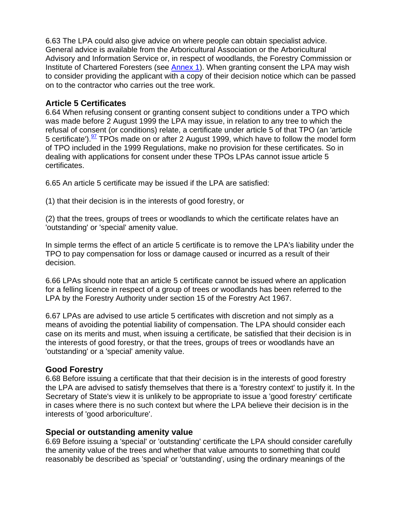<span id="page-44-0"></span>6.63 The LPA could also give advice on where people can obtain specialist advice. General advice is available from the Arboricultural Association or the Arboricultural Advisory and Information Service or, in respect of woodlands, the Forestry Commission or Institute of Chartered Foresters (see [Annex 1](#page-75-0)). When granting consent the LPA may wish to consider providing the applicant with a copy of their decision notice which can be passed on to the contractor who carries out the tree work.

### **Article 5 Certificates**

6.64 When refusing consent or granting consent subject to conditions under a TPO which was made before 2 August 1999 the LPA may issue, in relation to any tree to which the refusal of consent (or conditions) relate, a certificate under article 5 of that TPO (an 'article 5 certificate').  $\frac{97}{2}$  TPOs made on or after 2 August 1999, which have to follow the model form of TPO included in the 1999 Regulations, make no provision for these certificates. So in dealing with applications for consent under these TPOs LPAs cannot issue article 5 certificates.

6.65 An article 5 certificate may be issued if the LPA are satisfied:

(1) that their decision is in the interests of good forestry, or

(2) that the trees, groups of trees or woodlands to which the certificate relates have an 'outstanding' or 'special' amenity value.

In simple terms the effect of an article 5 certificate is to remove the LPA's liability under the TPO to pay compensation for loss or damage caused or incurred as a result of their decision.

6.66 LPAs should note that an article 5 certificate cannot be issued where an application for a felling licence in respect of a group of trees or woodlands has been referred to the LPA by the Forestry Authority under section 15 of the Forestry Act 1967.

6.67 LPAs are advised to use article 5 certificates with discretion and not simply as a means of avoiding the potential liability of compensation. The LPA should consider each case on its merits and must, when issuing a certificate, be satisfied that their decision is in the interests of good forestry, or that the trees, groups of trees or woodlands have an 'outstanding' or a 'special' amenity value.

### **Good Forestry**

6.68 Before issuing a certificate that that their decision is in the interests of good forestry the LPA are advised to satisfy themselves that there is a 'forestry context' to justify it. In the Secretary of State's view it is unlikely to be appropriate to issue a 'good forestry' certificate in cases where there is no such context but where the LPA believe their decision is in the interests of 'good arboriculture'.

### **Special or outstanding amenity value**

6.69 Before issuing a 'special' or 'outstanding' certificate the LPA should consider carefully the amenity value of the trees and whether that value amounts to something that could reasonably be described as 'special' or 'outstanding', using the ordinary meanings of the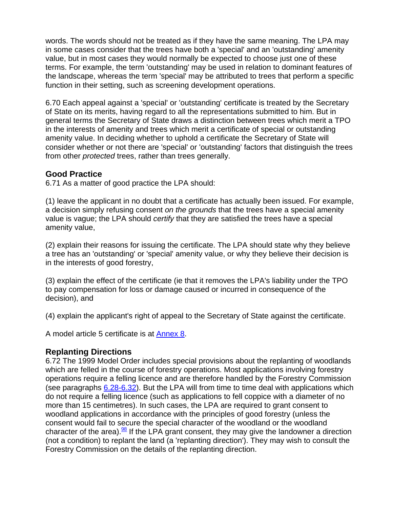<span id="page-45-0"></span>words. The words should not be treated as if they have the same meaning. The LPA may in some cases consider that the trees have both a 'special' and an 'outstanding' amenity value, but in most cases they would normally be expected to choose just one of these terms. For example, the term 'outstanding' may be used in relation to dominant features of the landscape, whereas the term 'special' may be attributed to trees that perform a specific function in their setting, such as screening development operations.

6.70 Each appeal against a 'special' or 'outstanding' certificate is treated by the Secretary of State on its merits, having regard to all the representations submitted to him. But in general terms the Secretary of State draws a distinction between trees which merit a TPO in the interests of amenity and trees which merit a certificate of special or outstanding amenity value. In deciding whether to uphold a certificate the Secretary of State will consider whether or not there are 'special' or 'outstanding' factors that distinguish the trees from other *protected* trees, rather than trees generally.

### **Good Practice**

6.71 As a matter of good practice the LPA should:

(1) leave the applicant in no doubt that a certificate has actually been issued. For example, a decision simply refusing consent *on the grounds* that the trees have a special amenity value is vague; the LPA should *certify* that they are satisfied the trees have a special amenity value,

(2) explain their reasons for issuing the certificate. The LPA should state why they believe a tree has an 'outstanding' or 'special' amenity value, or why they believe their decision is in the interests of good forestry,

(3) explain the effect of the certificate (ie that it removes the LPA's liability under the TPO to pay compensation for loss or damage caused or incurred in consequence of the decision), and

(4) explain the applicant's right of appeal to the Secretary of State against the certificate.

A model article 5 certificate is at [Annex 8.](#page-89-0)

## **Replanting Directions**

6.72 The 1999 Model Order includes special provisions about the replanting of woodlands which are felled in the course of forestry operations. Most applications involving forestry operations require a felling licence and are therefore handled by the Forestry Commission (see paragraphs [6.28-6.32](#page-37-0)). But the LPA will from time to time deal with applications which do not require a felling licence (such as applications to fell coppice with a diameter of no more than 15 centimetres). In such cases, the LPA are required to grant consent to woodland applications in accordance with the principles of good forestry (unless the consent would fail to secure the special character of the woodland or the woodland character of the area).  $98$  If the LPA grant consent, they may give the landowner a direction (not a condition) to replant the land (a 'replanting direction'). They may wish to consult the Forestry Commission on the details of the replanting direction.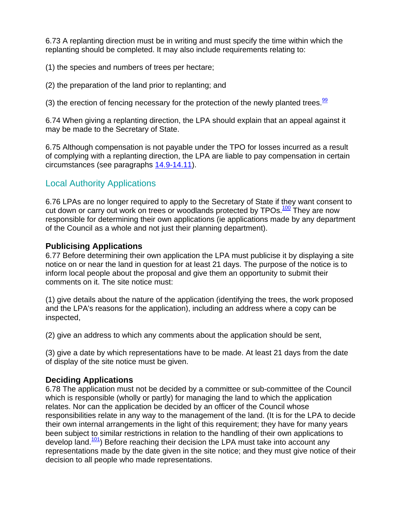6.73 A replanting direction must be in writing and must specify the time within which the replanting should be completed. It may also include requirements relating to:

(1) the species and numbers of trees per hectare;

(2) the preparation of the land prior to replanting; and

(3) the erection of fencing necessary for the protection of the newly planted trees.  $\frac{99}{99}$  $\frac{99}{99}$  $\frac{99}{99}$ 

6.74 When giving a replanting direction, the LPA should explain that an appeal against it may be made to the Secretary of State.

6.75 Although compensation is not payable under the TPO for losses incurred as a result of complying with a replanting direction, the LPA are liable to pay compensation in certain circumstances (see paragraphs [14.9-14.11](#page-74-0)).

# Local Authority Applications

6.76 LPAs are no longer required to apply to the Secretary of State if they want consent to cut down or carry out work on trees or woodlands protected by TPOs.<sup>[100](#page-48-0)</sup> They are now responsible for determining their own applications (ie applications made by any department of the Council as a whole and not just their planning department).

### **Publicising Applications**

6.77 Before determining their own application the LPA must publicise it by displaying a site notice on or near the land in question for at least 21 days. The purpose of the notice is to inform local people about the proposal and give them an opportunity to submit their comments on it. The site notice must:

(1) give details about the nature of the application (identifying the trees, the work proposed and the LPA's reasons for the application), including an address where a copy can be inspected,

(2) give an address to which any comments about the application should be sent,

(3) give a date by which representations have to be made. At least 21 days from the date of display of the site notice must be given.

### **Deciding Applications**

6.78 The application must not be decided by a committee or sub-committee of the Council which is responsible (wholly or partly) for managing the land to which the application relates. Nor can the application be decided by an officer of the Council whose responsibilities relate in any way to the management of the land. (It is for the LPA to decide their own internal arrangements in the light of this requirement; they have for many years been subject to similar restrictions in relation to the handling of their own applications to develop land.<sup>101</sup>) Before reaching their decision the LPA must take into account any representations made by the date given in the site notice; and they must give notice of their decision to all people who made representations.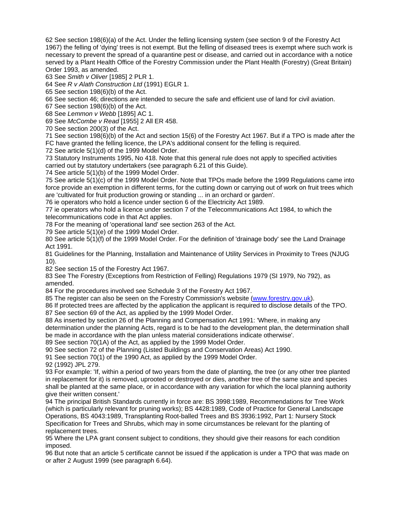<span id="page-47-0"></span>62 See section 198(6)(a) of the Act. Under the felling licensing system (see section 9 of the Forestry Act 1967) the felling of 'dying' trees is not exempt. But the felling of diseased trees is exempt where such work is necessary to prevent the spread of a quarantine pest or disease, and carried out in accordance with a notice served by a Plant Health Office of the Forestry Commission under the Plant Health (Forestry) (Great Britain) Order 1993, as amended.

63 See *Smith v Oliver* [1985] 2 PLR 1.

64 See *R v Alath Construction Ltd* (1991) EGLR 1.

65 See section 198(6)(b) of the Act.

66 See section 46; directions are intended to secure the safe and efficient use of land for civil aviation.

67 See section 198(6)(b) of the Act.

68 See *Lemmon v Webb* [1895] AC 1.

69 See *McCombe v Read* [1955] 2 All ER 458.

70 See section 200(3) of the Act.

71 See section 198(6)(b) of the Act and section 15(6) of the Forestry Act 1967. But if a TPO is made after the FC have granted the felling licence, the LPA's additional consent for the felling is required.

72 See article 5(1)(d) of the 1999 Model Order.

73 Statutory Instruments 1995, No 418. Note that this general rule does not apply to specified activities carried out by statutory undertakers (see paragraph 6.21 of this Guide).

74 See article 5(1)(b) of the 1999 Model Order.

75 See article 5(1)(c) of the 1999 Model Order. Note that TPOs made before the 1999 Regulations came into force provide an exemption in different terms, for the cutting down or carrying out of work on fruit trees which are 'cultivated for fruit production growing or standing ... in an orchard or garden'.

76 ie operators who hold a licence under section 6 of the Electricity Act 1989.

77 ie operators who hold a licence under section 7 of the Telecommunications Act 1984, to which the telecommunications code in that Act applies.

78 For the meaning of 'operational land' see section 263 of the Act.

79 See article 5(1)(e) of the 1999 Model Order.

80 See article 5(1)(f) of the 1999 Model Order. For the definition of 'drainage body' see the Land Drainage Act 1991.

81 Guidelines for the Planning, Installation and Maintenance of Utility Services in Proximity to Trees (NJUG 10).

82 See section 15 of the Forestry Act 1967.

83 See The Forestry (Exceptions from Restriction of Felling) Regulations 1979 (SI 1979, No 792), as amended.

84 For the procedures involved see Schedule 3 of the Forestry Act 1967.

85 The register can also be seen on the Forestry Commission's website [\(www.forestry.gov.uk](http://www.forestry.gov.uk/)).

86 If protected trees are affected by the application the applicant is required to disclose details of the TPO. 87 See section 69 of the Act, as applied by the 1999 Model Order.

88 As inserted by section 26 of the Planning and Compensation Act 1991: 'Where, in making any

determination under the planning Acts, regard is to be had to the development plan, the determination shall be made in accordance with the plan unless material considerations indicate otherwise'.

89 See section 70(1A) of the Act, as applied by the 1999 Model Order.

90 See section 72 of the Planning (Listed Buildings and Conservation Areas) Act 1990.

91 See section 70(1) of the 1990 Act, as applied by the 1999 Model Order.

92 (1992) JPL 279.

93 For example: 'If, within a period of two years from the date of planting, the tree (or any other tree planted in replacement for it) is removed, uprooted or destroyed or dies, another tree of the same size and species shall be planted at the same place, or in accordance with any variation for which the local planning authority give their written consent.'

94 The principal British Standards currently in force are: BS 3998:1989, Recommendations for Tree Work (which is particularly relevant for pruning works); BS 4428:1989, Code of Practice for General Landscape Operations, BS 4043:1989, Transplanting Root-balled Trees and BS 3936:1992, Part 1: Nursery Stock Specification for Trees and Shrubs, which may in some circumstances be relevant for the planting of replacement trees.

95 Where the LPA grant consent subject to conditions, they should give their reasons for each condition imposed.

96 But note that an article 5 certificate cannot be issued if the application is under a TPO that was made on or after 2 August 1999 (see paragraph 6.64).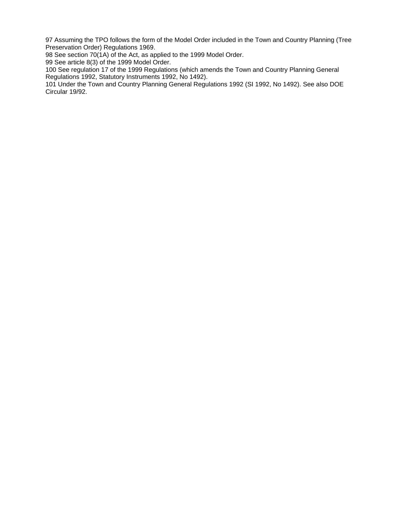<span id="page-48-0"></span>97 Assuming the TPO follows the form of the Model Order included in the Town and Country Planning (Tree Preservation Order) Regulations 1969.

98 See section 70(1A) of the Act, as applied to the 1999 Model Order.

99 See article 8(3) of the 1999 Model Order.

100 See regulation 17 of the 1999 Regulations (which amends the Town and Country Planning General Regulations 1992, Statutory Instruments 1992, No 1492).

101 Under the Town and Country Planning General Regulations 1992 (SI 1992, No 1492). See also DOE Circular 19/92.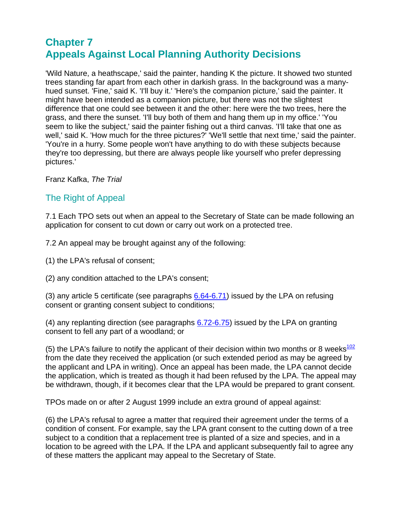# <span id="page-49-0"></span>**Chapter 7 Appeals Against Local Planning Authority Decisions**

'Wild Nature, a heathscape,' said the painter, handing K the picture. It showed two stunted trees standing far apart from each other in darkish grass. In the background was a manyhued sunset. 'Fine,' said K. 'I'll buy it.' 'Here's the companion picture,' said the painter. It might have been intended as a companion picture, but there was not the slightest difference that one could see between it and the other: here were the two trees, here the grass, and there the sunset. 'I'll buy both of them and hang them up in my office.' 'You seem to like the subject,' said the painter fishing out a third canvas. 'I'll take that one as well,' said K. 'How much for the three pictures?' 'We'll settle that next time,' said the painter. 'You're in a hurry. Some people won't have anything to do with these subjects because they're too depressing, but there are always people like yourself who prefer depressing pictures.'

Franz Kafka, *The Trial* 

# The Right of Appeal

7.1 Each TPO sets out when an appeal to the Secretary of State can be made following an application for consent to cut down or carry out work on a protected tree.

7.2 An appeal may be brought against any of the following:

(1) the LPA's refusal of consent;

(2) any condition attached to the LPA's consent;

(3) any article 5 certificate (see paragraphs  $6.64-6.71$ ) issued by the LPA on refusing consent or granting consent subject to conditions;

(4) any replanting direction (see paragraphs  $6.72-6.75$ ) issued by the LPA on granting consent to fell any part of a woodland; or

(5) the LPA's failure to notify the applicant of their decision within two months or 8 weeks $\frac{102}{2}$ from the date they received the application (or such extended period as may be agreed by the applicant and LPA in writing). Once an appeal has been made, the LPA cannot decide the application, which is treated as though it had been refused by the LPA. The appeal may be withdrawn, though, if it becomes clear that the LPA would be prepared to grant consent.

TPOs made on or after 2 August 1999 include an extra ground of appeal against:

(6) the LPA's refusal to agree a matter that required their agreement under the terms of a condition of consent. For example, say the LPA grant consent to the cutting down of a tree subject to a condition that a replacement tree is planted of a size and species, and in a location to be agreed with the LPA. If the LPA and applicant subsequently fail to agree any of these matters the applicant may appeal to the Secretary of State.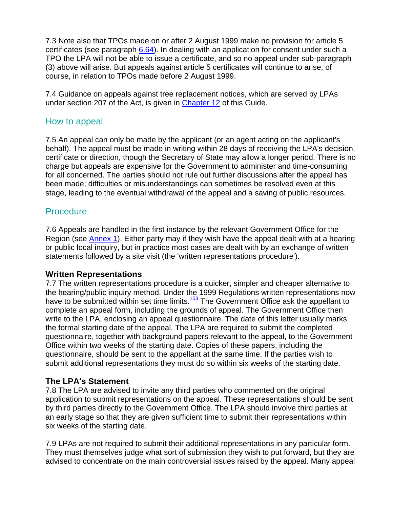7.3 Note also that TPOs made on or after 2 August 1999 make no provision for article 5 certificates (see paragraph  $6.64$ ). In dealing with an application for consent under such a TPO the LPA will not be able to issue a certificate, and so no appeal under sub-paragraph (3) above will arise. But appeals against article 5 certificates will continue to arise, of course, in relation to TPOs made before 2 August 1999.

7.4 Guidance on appeals against tree replacement notices, which are served by LPAs under section 207 of the Act, is given in [Chapter 12](#page-67-0) of this Guide.

## How to appeal

7.5 An appeal can only be made by the applicant (or an agent acting on the applicant's behalf). The appeal must be made in writing within 28 days of receiving the LPA's decision, certificate or direction, though the Secretary of State may allow a longer period. There is no charge but appeals are expensive for the Government to administer and time-consuming for all concerned. The parties should not rule out further discussions after the appeal has been made; difficulties or misunderstandings can sometimes be resolved even at this stage, leading to the eventual withdrawal of the appeal and a saving of public resources.

# **Procedure**

7.6 Appeals are handled in the first instance by the relevant Government Office for the Region (see [Annex 1\)](#page-75-0). Either party may if they wish have the appeal dealt with at a hearing or public local inquiry, but in practice most cases are dealt with by an exchange of written statements followed by a site visit (the 'written representations procedure').

### **Written Representations**

7.7 The written representations procedure is a quicker, simpler and cheaper alternative to the hearing/public inquiry method. Under the 1999 Regulations written representations now have to be submitted within set time limits.<sup>[103](#page-52-0)</sup> The Government Office ask the appellant to complete an appeal form, including the grounds of appeal. The Government Office then write to the LPA, enclosing an appeal questionnaire. The date of this letter usually marks the formal starting date of the appeal. The LPA are required to submit the completed questionnaire, together with background papers relevant to the appeal, to the Government Office within two weeks of the starting date. Copies of these papers, including the questionnaire, should be sent to the appellant at the same time. If the parties wish to submit additional representations they must do so within six weeks of the starting date.

### **The LPA's Statement**

7.8 The LPA are advised to invite any third parties who commented on the original application to submit representations on the appeal. These representations should be sent by third parties directly to the Government Office. The LPA should involve third parties at an early stage so that they are given sufficient time to submit their representations within six weeks of the starting date.

7.9 LPAs are not required to submit their additional representations in any particular form. They must themselves judge what sort of submission they wish to put forward, but they are advised to concentrate on the main controversial issues raised by the appeal. Many appeal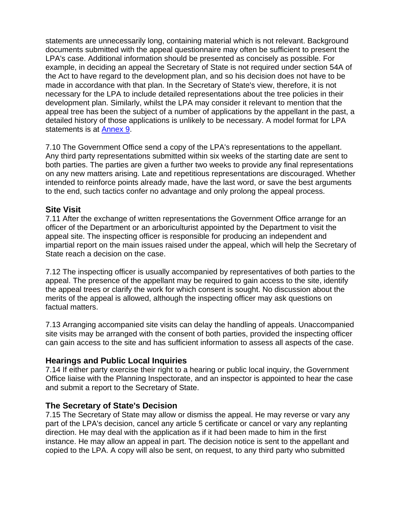statements are unnecessarily long, containing material which is not relevant. Background documents submitted with the appeal questionnaire may often be sufficient to present the LPA's case. Additional information should be presented as concisely as possible. For example, in deciding an appeal the Secretary of State is not required under section 54A of the Act to have regard to the development plan, and so his decision does not have to be made in accordance with that plan. In the Secretary of State's view, therefore, it is not necessary for the LPA to include detailed representations about the tree policies in their development plan. Similarly, whilst the LPA may consider it relevant to mention that the appeal tree has been the subject of a number of applications by the appellant in the past, a detailed history of those applications is unlikely to be necessary. A model format for LPA statements is at [Annex 9](#page-90-0).

7.10 The Government Office send a copy of the LPA's representations to the appellant. Any third party representations submitted within six weeks of the starting date are sent to both parties. The parties are given a further two weeks to provide any final representations on any new matters arising. Late and repetitious representations are discouraged. Whether intended to reinforce points already made, have the last word, or save the best arguments to the end, such tactics confer no advantage and only prolong the appeal process.

## **Site Visit**

7.11 After the exchange of written representations the Government Office arrange for an officer of the Department or an arboriculturist appointed by the Department to visit the appeal site. The inspecting officer is responsible for producing an independent and impartial report on the main issues raised under the appeal, which will help the Secretary of State reach a decision on the case.

7.12 The inspecting officer is usually accompanied by representatives of both parties to the appeal. The presence of the appellant may be required to gain access to the site, identify the appeal trees or clarify the work for which consent is sought. No discussion about the merits of the appeal is allowed, although the inspecting officer may ask questions on factual matters.

7.13 Arranging accompanied site visits can delay the handling of appeals. Unaccompanied site visits may be arranged with the consent of both parties, provided the inspecting officer can gain access to the site and has sufficient information to assess all aspects of the case.

### **Hearings and Public Local Inquiries**

7.14 If either party exercise their right to a hearing or public local inquiry, the Government Office liaise with the Planning Inspectorate, and an inspector is appointed to hear the case and submit a report to the Secretary of State.

## **The Secretary of State's Decision**

7.15 The Secretary of State may allow or dismiss the appeal. He may reverse or vary any part of the LPA's decision, cancel any article 5 certificate or cancel or vary any replanting direction. He may deal with the application as if it had been made to him in the first instance. He may allow an appeal in part. The decision notice is sent to the appellant and copied to the LPA. A copy will also be sent, on request, to any third party who submitted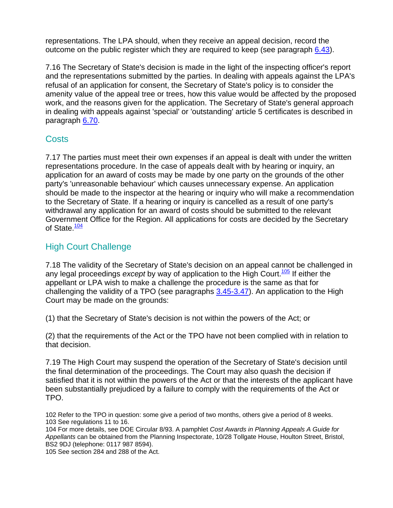<span id="page-52-0"></span>representations. The LPA should, when they receive an appeal decision, record the outcome on the public register which they are required to keep (see paragraph [6.43\)](#page-40-0).

7.16 The Secretary of State's decision is made in the light of the inspecting officer's report and the representations submitted by the parties. In dealing with appeals against the LPA's refusal of an application for consent, the Secretary of State's policy is to consider the amenity value of the appeal tree or trees, how this value would be affected by the proposed work, and the reasons given for the application. The Secretary of State's general approach in dealing with appeals against 'special' or 'outstanding' article 5 certificates is described in paragraph [6.70](#page-45-0).

# **Costs**

7.17 The parties must meet their own expenses if an appeal is dealt with under the written representations procedure. In the case of appeals dealt with by hearing or inquiry, an application for an award of costs may be made by one party on the grounds of the other party's 'unreasonable behaviour' which causes unnecessary expense. An application should be made to the inspector at the hearing or inquiry who will make a recommendation to the Secretary of State. If a hearing or inquiry is cancelled as a result of one party's withdrawal any application for an award of costs should be submitted to the relevant Government Office for the Region. All applications for costs are decided by the Secretary of State.<sup>[104](#page-52-0)</sup>

# High Court Challenge

7.18 The validity of the Secretary of State's decision on an appeal cannot be challenged in any legal proceedings *except* by way of application to the High Court.<sup>105</sup> If either the appellant or LPA wish to make a challenge the procedure is the same as that for challenging the validity of a TPO (see paragraphs  $3.45-3.47$ ). An application to the High Court may be made on the grounds:

(1) that the Secretary of State's decision is not within the powers of the Act; or

(2) that the requirements of the Act or the TPO have not been complied with in relation to that decision.

7.19 The High Court may suspend the operation of the Secretary of State's decision until the final determination of the proceedings. The Court may also quash the decision if satisfied that it is not within the powers of the Act or that the interests of the applicant have been substantially prejudiced by a failure to comply with the requirements of the Act or TPO.

102 Refer to the TPO in question: some give a period of two months, others give a period of 8 weeks. 103 See regulations 11 to 16.

104 For more details, see DOE Circular 8/93. A pamphlet *Cost Awards in Planning Appeals A Guide for Appellants* can be obtained from the Planning Inspectorate, 10/28 Tollgate House, Houlton Street, Bristol, BS2 9DJ (telephone: 0117 987 8594).

105 See section 284 and 288 of the Act.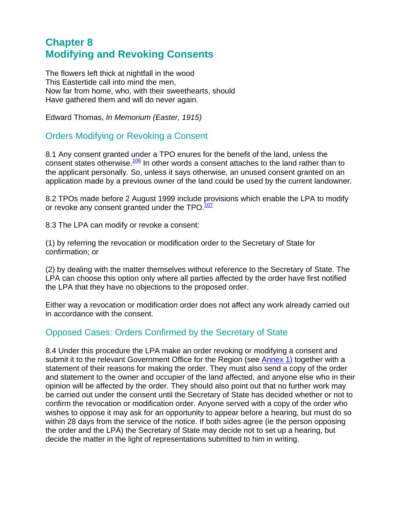# **Chapter 8 Modifying and Revoking Consents**

The flowers left thick at nightfall in the wood This Eastertide call into mind the men, Now far from home, who, with their sweethearts, should Have gathered them and will do never again.

Edward Thomas, *In Memorium (Easter, 1915)*

# Orders Modifying or Revoking a Consent

8.1 Any consent granted under a TPO enures for the benefit of the land, unless the consent states otherwise. $106$  In other words a consent attaches to the land rather than to the applicant personally. So, unless it says otherwise, an unused consent granted on an application made by a previous owner of the land could be used by the current landowner.

8.2 TPOs made before 2 August 1999 include provisions which enable the LPA to modify or revoke any consent granted under the  $TPO.<sup>107</sup>$ 

8.3 The LPA can modify or revoke a consent:

(1) by referring the revocation or modification order to the Secretary of State for confirmation; or

(2) by dealing with the matter themselves without reference to the Secretary of State. The LPA can choose this option only where all parties affected by the order have first notified the LPA that they have no objections to the proposed order.

Either way a revocation or modification order does not affect any work already carried out in accordance with the consent.

# Opposed Cases: Orders Confirmed by the Secretary of State

8.4 Under this procedure the LPA make an order revoking or modifying a consent and submit it to the relevant Government Office for the Region (see [Annex 1\)](#page-75-0) together with a statement of their reasons for making the order. They must also send a copy of the order and statement to the owner and occupier of the land affected, and anyone else who in their opinion will be affected by the order. They should also point out that no further work may be carried out under the consent until the Secretary of State has decided whether or not to confirm the revocation or modification order. Anyone served with a copy of the order who wishes to oppose it may ask for an opportunity to appear before a hearing, but must do so within 28 days from the service of the notice. If both sides agree (ie the person opposing the order and the LPA) the Secretary of State may decide not to set up a hearing, but decide the matter in the light of representations submitted to him in writing.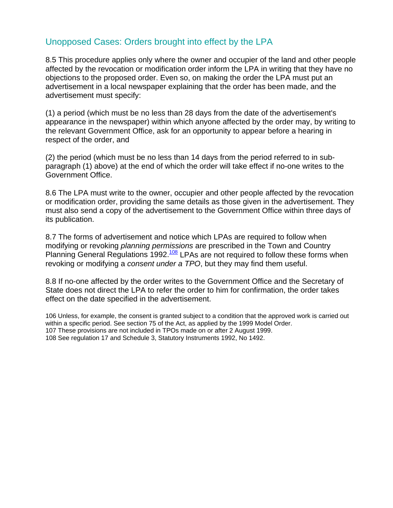# <span id="page-54-0"></span>Unopposed Cases: Orders brought into effect by the LPA

8.5 This procedure applies only where the owner and occupier of the land and other people affected by the revocation or modification order inform the LPA in writing that they have no objections to the proposed order. Even so, on making the order the LPA must put an advertisement in a local newspaper explaining that the order has been made, and the advertisement must specify:

(1) a period (which must be no less than 28 days from the date of the advertisement's appearance in the newspaper) within which anyone affected by the order may, by writing to the relevant Government Office, ask for an opportunity to appear before a hearing in respect of the order, and

(2) the period (which must be no less than 14 days from the period referred to in subparagraph (1) above) at the end of which the order will take effect if no-one writes to the Government Office.

8.6 The LPA must write to the owner, occupier and other people affected by the revocation or modification order, providing the same details as those given in the advertisement. They must also send a copy of the advertisement to the Government Office within three days of its publication.

8.7 The forms of advertisement and notice which LPAs are required to follow when modifying or revoking *planning permissions* are prescribed in the Town and Country Planning General Regulations 1992. $\frac{108}{2}$  $\frac{108}{2}$  $\frac{108}{2}$  LPAs are not required to follow these forms when revoking or modifying a *consent under a TPO*, but they may find them useful.

8.8 If no-one affected by the order writes to the Government Office and the Secretary of State does not direct the LPA to refer the order to him for confirmation, the order takes effect on the date specified in the advertisement.

106 Unless, for example, the consent is granted subject to a condition that the approved work is carried out within a specific period. See section 75 of the Act, as applied by the 1999 Model Order. 107 These provisions are not included in TPOs made on or after 2 August 1999. 108 See regulation 17 and Schedule 3, Statutory Instruments 1992, No 1492.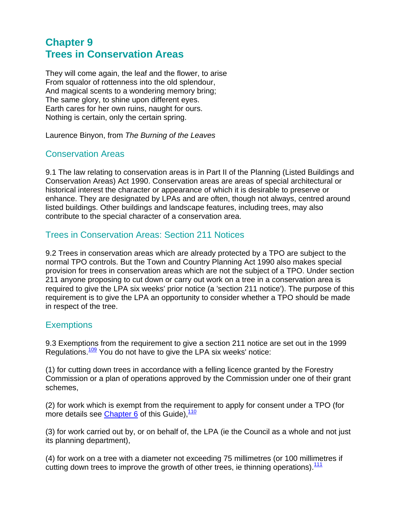# **Chapter 9 Trees in Conservation Areas**

They will come again, the leaf and the flower, to arise From squalor of rottenness into the old splendour, And magical scents to a wondering memory bring; The same glory, to shine upon different eyes. Earth cares for her own ruins, naught for ours. Nothing is certain, only the certain spring.

Laurence Binyon, from *The Burning of the Leaves*

## Conservation Areas

9.1 The law relating to conservation areas is in Part II of the Planning (Listed Buildings and Conservation Areas) Act 1990. Conservation areas are areas of special architectural or historical interest the character or appearance of which it is desirable to preserve or enhance. They are designated by LPAs and are often, though not always, centred around listed buildings. Other buildings and landscape features, including trees, may also contribute to the special character of a conservation area.

### Trees in Conservation Areas: Section 211 Notices

9.2 Trees in conservation areas which are already protected by a TPO are subject to the normal TPO controls. But the Town and Country Planning Act 1990 also makes special provision for trees in conservation areas which are not the subject of a TPO. Under section 211 anyone proposing to cut down or carry out work on a tree in a conservation area is required to give the LPA six weeks' prior notice (a 'section 211 notice'). The purpose of this requirement is to give the LPA an opportunity to consider whether a TPO should be made in respect of the tree.

## **Exemptions**

9.3 Exemptions from the requirement to give a section 211 notice are set out in the 1999 Regulations.<sup>109</sup> You do not have to give the LPA six weeks' notice:

(1) for cutting down trees in accordance with a felling licence granted by the Forestry Commission or a plan of operations approved by the Commission under one of their grant schemes,

(2) for work which is exempt from the requirement to apply for consent under a TPO (for more details see [Chapter 6](#page-33-0) of this Guide),  $\frac{110}{10}$ 

(3) for work carried out by, or on behalf of, the LPA (ie the Council as a whole and not just its planning department),

(4) for work on a tree with a diameter not exceeding 75 millimetres (or 100 millimetres if cutting down trees to improve the growth of other trees, ie thinning operations).<sup>[111](#page-58-0)</sup>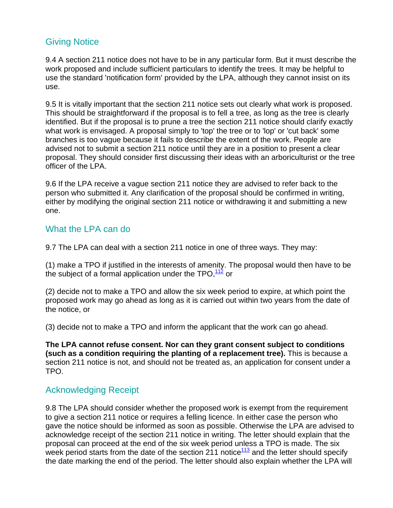# Giving Notice

9.4 A section 211 notice does not have to be in any particular form. But it must describe the work proposed and include sufficient particulars to identify the trees. It may be helpful to use the standard 'notification form' provided by the LPA, although they cannot insist on its use.

9.5 It is vitally important that the section 211 notice sets out clearly what work is proposed. This should be straightforward if the proposal is to fell a tree, as long as the tree is clearly identified. But if the proposal is to prune a tree the section 211 notice should clarify exactly what work is envisaged. A proposal simply to 'top' the tree or to 'lop' or 'cut back' some branches is too vague because it fails to describe the extent of the work. People are advised not to submit a section 211 notice until they are in a position to present a clear proposal. They should consider first discussing their ideas with an arboriculturist or the tree officer of the LPA.

9.6 If the LPA receive a vague section 211 notice they are advised to refer back to the person who submitted it. Any clarification of the proposal should be confirmed in writing, either by modifying the original section 211 notice or withdrawing it and submitting a new one.

### What the LPA can do

9.7 The LPA can deal with a section 211 notice in one of three ways. They may:

(1) make a TPO if justified in the interests of amenity. The proposal would then have to be the subject of a formal application under the TPO, $\frac{112}{12}$  $\frac{112}{12}$  $\frac{112}{12}$  or

(2) decide not to make a TPO and allow the six week period to expire, at which point the proposed work may go ahead as long as it is carried out within two years from the date of the notice, or

(3) decide not to make a TPO and inform the applicant that the work can go ahead.

**The LPA cannot refuse consent. Nor can they grant consent subject to conditions (such as a condition requiring the planting of a replacement tree).** This is because a section 211 notice is not, and should not be treated as, an application for consent under a TPO.

### Acknowledging Receipt

9.8 The LPA should consider whether the proposed work is exempt from the requirement to give a section 211 notice or requires a felling licence. In either case the person who gave the notice should be informed as soon as possible. Otherwise the LPA are advised to acknowledge receipt of the section 211 notice in writing. The letter should explain that the proposal can proceed at the end of the six week period unless a TPO is made. The six week period starts from the date of the section 211 notice $\frac{113}{2}$  $\frac{113}{2}$  $\frac{113}{2}$  and the letter should specify the date marking the end of the period. The letter should also explain whether the LPA will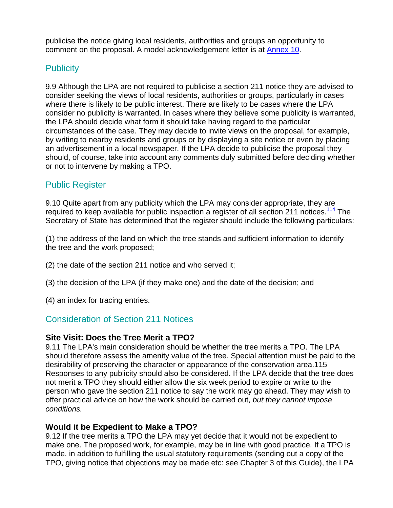publicise the notice giving local residents, authorities and groups an opportunity to comment on the proposal. A model acknowledgement letter is at [Annex 10](#page-91-0).

# **Publicity**

9.9 Although the LPA are not required to publicise a section 211 notice they are advised to consider seeking the views of local residents, authorities or groups, particularly in cases where there is likely to be public interest. There are likely to be cases where the LPA consider no publicity is warranted. In cases where they believe some publicity is warranted, the LPA should decide what form it should take having regard to the particular circumstances of the case. They may decide to invite views on the proposal, for example, by writing to nearby residents and groups or by displaying a site notice or even by placing an advertisement in a local newspaper. If the LPA decide to publicise the proposal they should, of course, take into account any comments duly submitted before deciding whether or not to intervene by making a TPO.

# Public Register

9.10 Quite apart from any publicity which the LPA may consider appropriate, they are required to keep available for public inspection a register of all section 211 notices.<sup>114</sup> The Secretary of State has determined that the register should include the following particulars:

(1) the address of the land on which the tree stands and sufficient information to identify the tree and the work proposed;

- (2) the date of the section 211 notice and who served it;
- (3) the decision of the LPA (if they make one) and the date of the decision; and
- (4) an index for tracing entries.

## Consideration of Section 211 Notices

### **Site Visit: Does the Tree Merit a TPO?**

9.11 The LPA's main consideration should be whether the tree merits a TPO. The LPA should therefore assess the amenity value of the tree. Special attention must be paid to the desirability of preserving the character or appearance of the conservation area.115 Responses to any publicity should also be considered. If the LPA decide that the tree does not merit a TPO they should either allow the six week period to expire or write to the person who gave the section 211 notice to say the work may go ahead. They may wish to offer practical advice on how the work should be carried out, *but they cannot impose conditions.*

### **Would it be Expedient to Make a TPO?**

9.12 If the tree merits a TPO the LPA may yet decide that it would not be expedient to make one. The proposed work, for example, may be in line with good practice. If a TPO is made, in addition to fulfilling the usual statutory requirements (sending out a copy of the TPO, giving notice that objections may be made etc: see Chapter 3 of this Guide), the LPA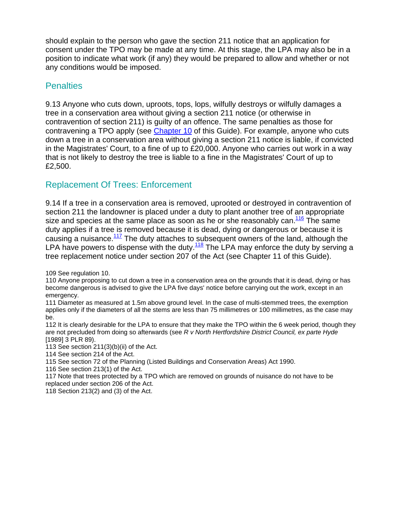<span id="page-58-0"></span>should explain to the person who gave the section 211 notice that an application for consent under the TPO may be made at any time. At this stage, the LPA may also be in a position to indicate what work (if any) they would be prepared to allow and whether or not any conditions would be imposed.

# **Penalties**

9.13 Anyone who cuts down, uproots, tops, lops, wilfully destroys or wilfully damages a tree in a conservation area without giving a section 211 notice (or otherwise in contravention of section 211) is guilty of an offence. The same penalties as those for contravening a TPO apply (see [Chapter 10](#page-59-0) of this Guide). For example, anyone who cuts down a tree in a conservation area without giving a section 211 notice is liable, if convicted in the Magistrates' Court, to a fine of up to £20,000. Anyone who carries out work in a way that is not likely to destroy the tree is liable to a fine in the Magistrates' Court of up to £2,500.

# Replacement Of Trees: Enforcement

9.14 If a tree in a conservation area is removed, uprooted or destroyed in contravention of section 211 the landowner is placed under a duty to plant another tree of an appropriate size and species at the same place as soon as he or she reasonably can. $\frac{116}{16}$  The same duty applies if a tree is removed because it is dead, dying or dangerous or because it is causing a nuisance.  $\frac{117}{2}$  $\frac{117}{2}$  $\frac{117}{2}$  The duty attaches to subsequent owners of the land, although the LPA have powers to dispense with the duty.<sup>[118](#page-58-0)</sup> The LPA may enforce the duty by serving a tree replacement notice under section 207 of the Act (see Chapter 11 of this Guide).

109 See regulation 10.

110 Anyone proposing to cut down a tree in a conservation area on the grounds that it is dead, dying or has become dangerous is advised to give the LPA five days' notice before carrying out the work, except in an emergency.

111 Diameter as measured at 1.5m above ground level. In the case of multi-stemmed trees, the exemption applies only if the diameters of all the stems are less than 75 millimetres or 100 millimetres, as the case may be.

112 It is clearly desirable for the LPA to ensure that they make the TPO within the 6 week period, though they are not precluded from doing so afterwards (see *R v North Hertfordshire District Council, ex parte Hyde* [1989] 3 PLR 89).

113 See section 211(3)(b)(ii) of the Act.

114 See section 214 of the Act.

115 See section 72 of the Planning (Listed Buildings and Conservation Areas) Act 1990.

116 See section 213(1) of the Act.

117 Note that trees protected by a TPO which are removed on grounds of nuisance do not have to be replaced under section 206 of the Act.

118 Section 213(2) and (3) of the Act.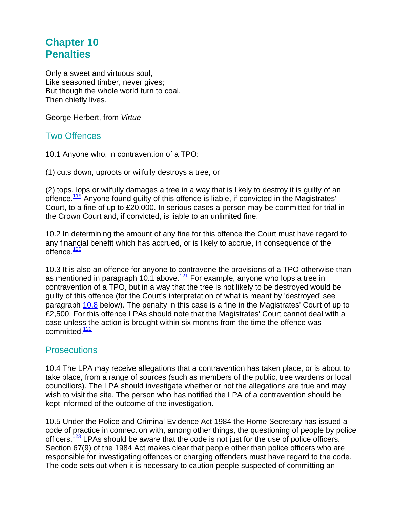# <span id="page-59-0"></span>**Chapter 10 Penalties**

Only a sweet and virtuous soul, Like seasoned timber, never gives; But though the whole world turn to coal, Then chiefly lives.

George Herbert, from *Virtue*

### Two Offences

10.1 Anyone who, in contravention of a TPO:

(1) cuts down, uproots or wilfully destroys a tree, or

(2) tops, lops or wilfully damages a tree in a way that is likely to destroy it is guilty of an offence.<sup>119</sup> Anyone found quilty of this offence is liable, if convicted in the Magistrates' Court, to a fine of up to £20,000. In serious cases a person may be committed for trial in the Crown Court and, if convicted, is liable to an unlimited fine.

10.2 In determining the amount of any fine for this offence the Court must have regard to any financial benefit which has accrued, or is likely to accrue, in consequence of the offence.<sup>[120](#page-61-0)</sup>

10.3 It is also an offence for anyone to contravene the provisions of a TPO otherwise than as mentioned in paragraph 10.1 above. $121$  For example, anyone who lops a tree in contravention of a TPO, but in a way that the tree is not likely to be destroyed would be guilty of this offence (for the Court's interpretation of what is meant by 'destroyed' see paragraph [10.8](#page-60-0) below). The penalty in this case is a fine in the Magistrates' Court of up to £2,500. For this offence LPAs should note that the Magistrates' Court cannot deal with a case unless the action is brought within six months from the time the offence was committed.<sup>[122](#page-61-0)</sup>

## **Prosecutions**

10.4 The LPA may receive allegations that a contravention has taken place, or is about to take place, from a range of sources (such as members of the public, tree wardens or local councillors). The LPA should investigate whether or not the allegations are true and may wish to visit the site. The person who has notified the LPA of a contravention should be kept informed of the outcome of the investigation.

10.5 Under the Police and Criminal Evidence Act 1984 the Home Secretary has issued a code of practice in connection with, among other things, the questioning of people by police officers.<sup>[123](#page-61-0)</sup> LPAs should be aware that the code is not just for the use of police officers. Section 67(9) of the 1984 Act makes clear that people other than police officers who are responsible for investigating offences or charging offenders must have regard to the code. The code sets out when it is necessary to caution people suspected of committing an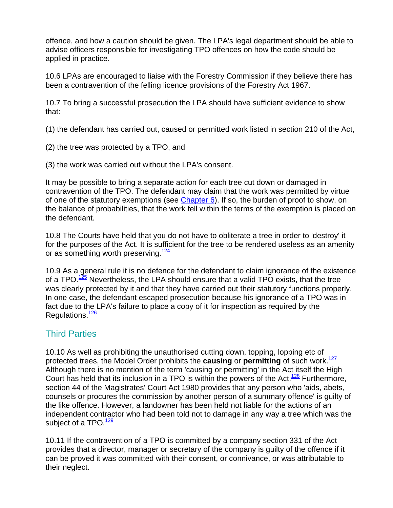<span id="page-60-0"></span>offence, and how a caution should be given. The LPA's legal department should be able to advise officers responsible for investigating TPO offences on how the code should be applied in practice.

10.6 LPAs are encouraged to liaise with the Forestry Commission if they believe there has been a contravention of the felling licence provisions of the Forestry Act 1967.

10.7 To bring a successful prosecution the LPA should have sufficient evidence to show that:

(1) the defendant has carried out, caused or permitted work listed in section 210 of the Act,

(2) the tree was protected by a TPO, and

(3) the work was carried out without the LPA's consent.

It may be possible to bring a separate action for each tree cut down or damaged in contravention of the TPO. The defendant may claim that the work was permitted by virtue of one of the statutory exemptions (see  $\frac{\text{Chapter 6}}{\text{6}}$  $\frac{\text{Chapter 6}}{\text{6}}$  $\frac{\text{Chapter 6}}{\text{6}}$ ). If so, the burden of proof to show, on the balance of probabilities, that the work fell within the terms of the exemption is placed on the defendant.

10.8 The Courts have held that you do not have to obliterate a tree in order to 'destroy' it for the purposes of the Act. It is sufficient for the tree to be rendered useless as an amenity or as something worth preserving. $\frac{124}{124}$  $\frac{124}{124}$  $\frac{124}{124}$ 

10.9 As a general rule it is no defence for the defendant to claim ignorance of the existence of a TPO. $\frac{125}{2}$  Nevertheless, the LPA should ensure that a valid TPO exists, that the tree was clearly protected by it and that they have carried out their statutory functions properly. In one case, the defendant escaped prosecution because his ignorance of a TPO was in fact due to the LPA's failure to place a copy of it for inspection as required by the Regulations.<sup>[126](#page-61-0)</sup>

# Third Parties

10.10 As well as prohibiting the unauthorised cutting down, topping, lopping etc of protected trees, the Model Order prohibits the **causing** or **permitting** of such work.<sup>[127](#page-61-0)</sup> Although there is no mention of the term 'causing or permitting' in the Act itself the High Court has held that its inclusion in a TPO is within the powers of the Act.<sup>[128](#page-61-0)</sup> Furthermore, section 44 of the Magistrates' Court Act 1980 provides that any person who 'aids, abets, counsels or procures the commission by another person of a summary offence' is guilty of the like offence. However, a landowner has been held not liable for the actions of an independent contractor who had been told not to damage in any way a tree which was the subject of a TPO.<sup>[129](#page-61-0)</sup>

10.11 If the contravention of a TPO is committed by a company section 331 of the Act provides that a director, manager or secretary of the company is guilty of the offence if it can be proved it was committed with their consent, or connivance, or was attributable to their neglect.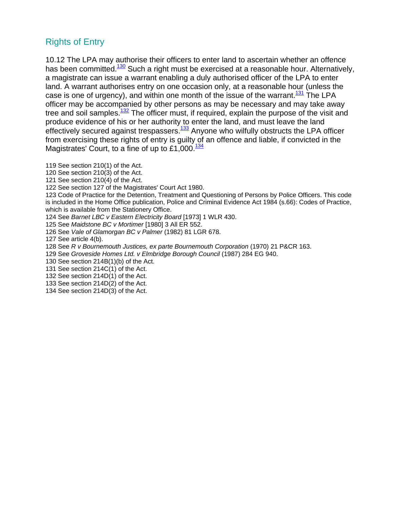# <span id="page-61-0"></span>Rights of Entry

10.12 The LPA may authorise their officers to enter land to ascertain whether an offence has been committed.<sup>130</sup> Such a right must be exercised at a reasonable hour. Alternatively, a magistrate can issue a warrant enabling a duly authorised officer of the LPA to enter land. A warrant authorises entry on one occasion only, at a reasonable hour (unless the case is one of urgency), and within one month of the issue of the warrant. $131$  The LPA officer may be accompanied by other persons as may be necessary and may take away tree and soil samples. $\frac{132}{2}$  $\frac{132}{2}$  $\frac{132}{2}$  The officer must, if required, explain the purpose of the visit and produce evidence of his or her authority to enter the land, and must leave the land effectively secured against trespassers.<sup>[133](#page-61-0)</sup> Anyone who wilfully obstructs the LPA officer from exercising these rights of entry is guilty of an offence and liable, if convicted in the Magistrates' Court, to a fine of up to £1,000. $\frac{134}{136}$ 

- 119 See section 210(1) of the Act.
- 120 See section 210(3) of the Act.
- 121 See section 210(4) of the Act.
- 122 See section 127 of the Magistrates' Court Act 1980.

123 Code of Practice for the Detention, Treatment and Questioning of Persons by Police Officers. This code is included in the Home Office publication, Police and Criminal Evidence Act 1984 (s.66): Codes of Practice, which is available from the Stationery Office.

124 See *Barnet LBC v Eastern Electricity Board* [1973] 1 WLR 430.

125 See *Maidstone BC v Mortimer* [1980] 3 All ER 552.

126 See *Vale of Glamorgan BC v Palmer* (1982) 81 LGR 678.

127 See article 4(b).

128 See *R v Bournemouth Justices, ex parte Bournemouth Corporation* (1970) 21 P&CR 163.

129 See *Groveside Homes Ltd. v Elmbridge Borough Council* (1987) 284 EG 940.

- 130 See section 214B(1)(b) of the Act.
- 131 See section 214C(1) of the Act.
- 132 See section 214D(1) of the Act.
- 133 See section 214D(2) of the Act.
- 134 See section 214D(3) of the Act.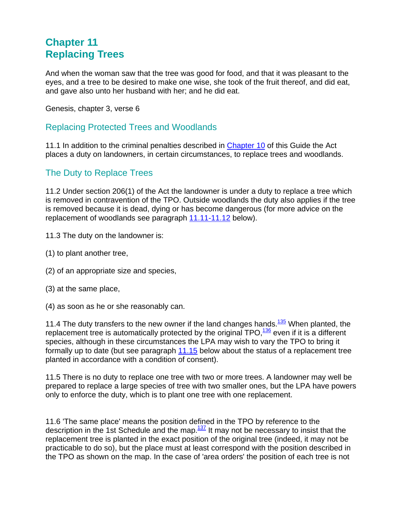# <span id="page-62-0"></span>**Chapter 11 Replacing Trees**

And when the woman saw that the tree was good for food, and that it was pleasant to the eyes, and a tree to be desired to make one wise, she took of the fruit thereof, and did eat, and gave also unto her husband with her; and he did eat.

Genesis, chapter 3, verse 6

### Replacing Protected Trees and Woodlands

11.1 In addition to the criminal penalties described in [Chapter 10](#page-59-0) of this Guide the Act places a duty on landowners, in certain circumstances, to replace trees and woodlands.

# The Duty to Replace Trees

11.2 Under section 206(1) of the Act the landowner is under a duty to replace a tree which is removed in contravention of the TPO. Outside woodlands the duty also applies if the tree is removed because it is dead, dying or has become dangerous (for more advice on the replacement of woodlands see paragraph [11.11-11.12](#page-63-0) below).

- 11.3 The duty on the landowner is:
- (1) to plant another tree,
- (2) of an appropriate size and species,
- (3) at the same place,
- (4) as soon as he or she reasonably can.

11.4 The duty transfers to the new owner if the land changes hands.<sup>135</sup> When planted, the replacement tree is automatically protected by the original  $TPO$ ,  $\frac{136}{136}$  even if it is a different species, although in these circumstances the LPA may wish to vary the TPO to bring it formally up to date (but see paragraph [11.15](#page-64-0) below about the status of a replacement tree planted in accordance with a condition of consent).

11.5 There is no duty to replace one tree with two or more trees. A landowner may well be prepared to replace a large species of tree with two smaller ones, but the LPA have powers only to enforce the duty, which is to plant one tree with one replacement.

11.6 'The same place' means the position defined in the TPO by reference to the description in the 1st Schedule and the map. $\frac{137}{131}$  $\frac{137}{131}$  $\frac{137}{131}$  It may not be necessary to insist that the replacement tree is planted in the exact position of the original tree (indeed, it may not be practicable to do so), but the place must at least correspond with the position described in the TPO as shown on the map. In the case of 'area orders' the position of each tree is not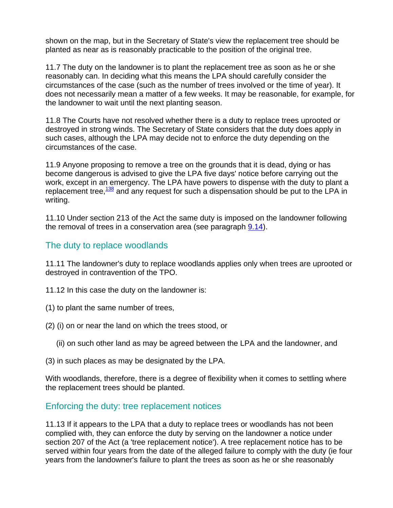<span id="page-63-0"></span>shown on the map, but in the Secretary of State's view the replacement tree should be planted as near as is reasonably practicable to the position of the original tree.

11.7 The duty on the landowner is to plant the replacement tree as soon as he or she reasonably can. In deciding what this means the LPA should carefully consider the circumstances of the case (such as the number of trees involved or the time of year). It does not necessarily mean a matter of a few weeks. It may be reasonable, for example, for the landowner to wait until the next planting season.

11.8 The Courts have not resolved whether there is a duty to replace trees uprooted or destroyed in strong winds. The Secretary of State considers that the duty does apply in such cases, although the LPA may decide not to enforce the duty depending on the circumstances of the case.

11.9 Anyone proposing to remove a tree on the grounds that it is dead, dying or has become dangerous is advised to give the LPA five days' notice before carrying out the work, except in an emergency. The LPA have powers to dispense with the duty to plant a replacement tree,  $\frac{138}{10}$  and any request for such a dispensation should be put to the LPA in writing.

11.10 Under section 213 of the Act the same duty is imposed on the landowner following the removal of trees in a conservation area (see paragraph [9.14\)](#page-58-0).

## The duty to replace woodlands

11.11 The landowner's duty to replace woodlands applies only when trees are uprooted or destroyed in contravention of the TPO.

11.12 In this case the duty on the landowner is:

- (1) to plant the same number of trees,
- (2) (i) on or near the land on which the trees stood, or
	- (ii) on such other land as may be agreed between the LPA and the landowner, and

(3) in such places as may be designated by the LPA.

With woodlands, therefore, there is a degree of flexibility when it comes to settling where the replacement trees should be planted.

## Enforcing the duty: tree replacement notices

11.13 If it appears to the LPA that a duty to replace trees or woodlands has not been complied with, they can enforce the duty by serving on the landowner a notice under section 207 of the Act (a 'tree replacement notice'). A tree replacement notice has to be served within four years from the date of the alleged failure to comply with the duty (ie four years from the landowner's failure to plant the trees as soon as he or she reasonably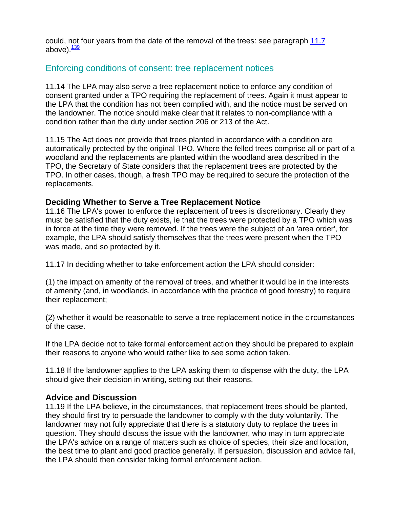<span id="page-64-0"></span>could, not four years from the date of the removal of the trees: see paragraph [11.7](#page-63-0) above). $\frac{139}{132}$  $\frac{139}{132}$  $\frac{139}{132}$ 

# Enforcing conditions of consent: tree replacement notices

11.14 The LPA may also serve a tree replacement notice to enforce any condition of consent granted under a TPO requiring the replacement of trees. Again it must appear to the LPA that the condition has not been complied with, and the notice must be served on the landowner. The notice should make clear that it relates to non-compliance with a condition rather than the duty under section 206 or 213 of the Act.

11.15 The Act does not provide that trees planted in accordance with a condition are automatically protected by the original TPO. Where the felled trees comprise all or part of a woodland and the replacements are planted within the woodland area described in the TPO, the Secretary of State considers that the replacement trees are protected by the TPO. In other cases, though, a fresh TPO may be required to secure the protection of the replacements.

### **Deciding Whether to Serve a Tree Replacement Notice**

11.16 The LPA's power to enforce the replacement of trees is discretionary. Clearly they must be satisfied that the duty exists, ie that the trees were protected by a TPO which was in force at the time they were removed. If the trees were the subject of an 'area order', for example, the LPA should satisfy themselves that the trees were present when the TPO was made, and so protected by it.

11.17 In deciding whether to take enforcement action the LPA should consider:

(1) the impact on amenity of the removal of trees, and whether it would be in the interests of amenity (and, in woodlands, in accordance with the practice of good forestry) to require their replacement;

(2) whether it would be reasonable to serve a tree replacement notice in the circumstances of the case.

If the LPA decide not to take formal enforcement action they should be prepared to explain their reasons to anyone who would rather like to see some action taken.

11.18 If the landowner applies to the LPA asking them to dispense with the duty, the LPA should give their decision in writing, setting out their reasons.

### **Advice and Discussion**

11.19 If the LPA believe, in the circumstances, that replacement trees should be planted, they should first try to persuade the landowner to comply with the duty voluntarily. The landowner may not fully appreciate that there is a statutory duty to replace the trees in question. They should discuss the issue with the landowner, who may in turn appreciate the LPA's advice on a range of matters such as choice of species, their size and location, the best time to plant and good practice generally. If persuasion, discussion and advice fail, the LPA should then consider taking formal enforcement action.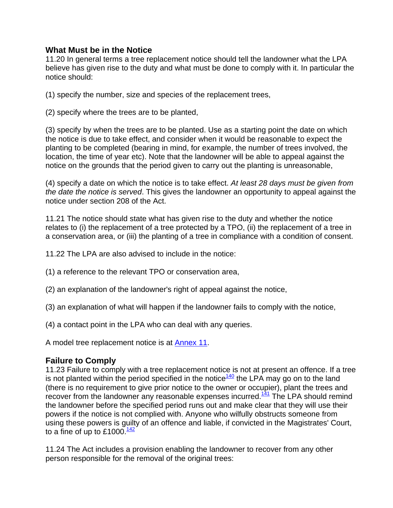## **What Must be in the Notice**

11.20 In general terms a tree replacement notice should tell the landowner what the LPA believe has given rise to the duty and what must be done to comply with it. In particular the notice should:

(1) specify the number, size and species of the replacement trees,

(2) specify where the trees are to be planted,

(3) specify by when the trees are to be planted. Use as a starting point the date on which the notice is due to take effect, and consider when it would be reasonable to expect the planting to be completed (bearing in mind, for example, the number of trees involved, the location, the time of year etc). Note that the landowner will be able to appeal against the notice on the grounds that the period given to carry out the planting is unreasonable,

(4) specify a date on which the notice is to take effect. *At least 28 days must be given from the date the notice is served*. This gives the landowner an opportunity to appeal against the notice under section 208 of the Act.

11.21 The notice should state what has given rise to the duty and whether the notice relates to (i) the replacement of a tree protected by a TPO, (ii) the replacement of a tree in a conservation area, or (iii) the planting of a tree in compliance with a condition of consent.

11.22 The LPA are also advised to include in the notice:

- (1) a reference to the relevant TPO or conservation area,
- (2) an explanation of the landowner's right of appeal against the notice,
- (3) an explanation of what will happen if the landowner fails to comply with the notice,
- (4) a contact point in the LPA who can deal with any queries.

A model tree replacement notice is at [Annex 11](#page-92-0).

### **Failure to Comply**

11.23 Failure to comply with a tree replacement notice is not at present an offence. If a tree is not planted within the period specified in the notice $\frac{140}{140}$  $\frac{140}{140}$  $\frac{140}{140}$  the LPA may go on to the land (there is no requirement to give prior notice to the owner or occupier), plant the trees and recover from the landowner any reasonable expenses incurred.<sup> $141$ </sup> The LPA should remind the landowner before the specified period runs out and make clear that they will use their powers if the notice is not complied with. Anyone who wilfully obstructs someone from using these powers is guilty of an offence and liable, if convicted in the Magistrates' Court, to a fine of up to £1000. $\frac{142}{1}$  $\frac{142}{1}$  $\frac{142}{1}$ 

11.24 The Act includes a provision enabling the landowner to recover from any other person responsible for the removal of the original trees: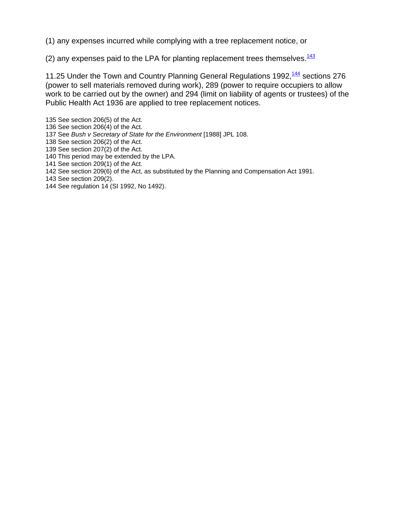<span id="page-66-0"></span>(1) any expenses incurred while complying with a tree replacement notice, or

(2) any expenses paid to the LPA for planting replacement trees themselves. $143$ 

11.25 Under the Town and Country Planning General Regulations 1992, <sup>144</sup> sections 276 (power to sell materials removed during work), 289 (power to require occupiers to allow work to be carried out by the owner) and 294 (limit on liability of agents or trustees) of the Public Health Act 1936 are applied to tree replacement notices.

135 See section 206(5) of the Act.

136 See section 206(4) of the Act.

137 See *Bush v Secretary of State for the Environment* [1988] JPL 108.

138 See section 206(2) of the Act.

139 See section 207(2) of the Act.

140 This period may be extended by the LPA.

141 See section 209(1) of the Act.

- 142 See section 209(6) of the Act, as substituted by the Planning and Compensation Act 1991.
- 143 See section 209(2).

144 See regulation 14 (SI 1992, No 1492).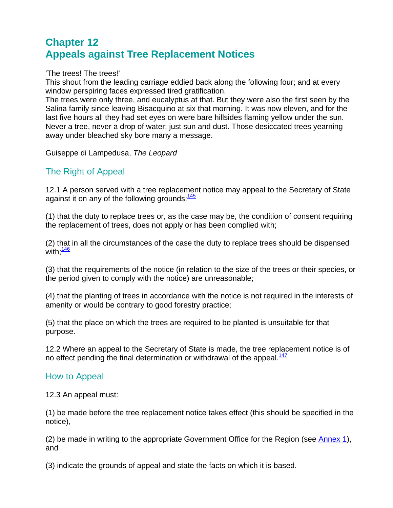# <span id="page-67-0"></span>**Chapter 12 Appeals against Tree Replacement Notices**

'The trees! The trees!'

This shout from the leading carriage eddied back along the following four; and at every window perspiring faces expressed tired gratification.

The trees were only three, and eucalyptus at that. But they were also the first seen by the Salina family since leaving Bisacquino at six that morning. It was now eleven, and for the last five hours all they had set eyes on were bare hillsides flaming yellow under the sun. Never a tree, never a drop of water; just sun and dust. Those desiccated trees yearning away under bleached sky bore many a message.

Guiseppe di Lampedusa, *The Leopard*

# The Right of Appeal

12.1 A person served with a tree replacement notice may appeal to the Secretary of State against it on any of the following grounds: $\frac{145}{145}$  $\frac{145}{145}$  $\frac{145}{145}$ 

(1) that the duty to replace trees or, as the case may be, the condition of consent requiring the replacement of trees, does not apply or has been complied with;

(2) that in all the circumstances of the case the duty to replace trees should be dispensed with:  $\frac{146}{1}$  $\frac{146}{1}$  $\frac{146}{1}$ 

(3) that the requirements of the notice (in relation to the size of the trees or their species, or the period given to comply with the notice) are unreasonable;

(4) that the planting of trees in accordance with the notice is not required in the interests of amenity or would be contrary to good forestry practice;

(5) that the place on which the trees are required to be planted is unsuitable for that purpose.

12.2 Where an appeal to the Secretary of State is made, the tree replacement notice is of no effect pending the final determination or withdrawal of the appeal. $\frac{147}{147}$  $\frac{147}{147}$  $\frac{147}{147}$ 

## How to Appeal

12.3 An appeal must:

(1) be made before the tree replacement notice takes effect (this should be specified in the notice),

(2) be made in writing to the appropriate Government Office for the Region (see [Annex 1](#page-75-0)), and

(3) indicate the grounds of appeal and state the facts on which it is based.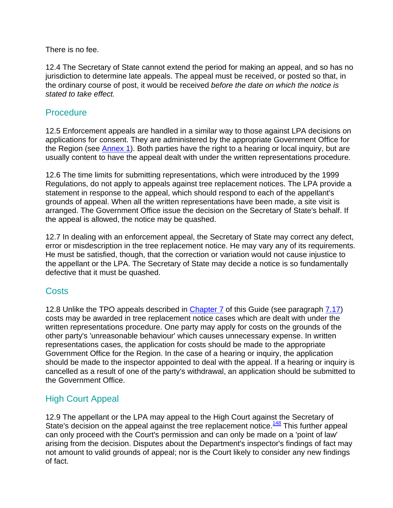There is no fee.

12.4 The Secretary of State cannot extend the period for making an appeal, and so has no jurisdiction to determine late appeals. The appeal must be received, or posted so that, in the ordinary course of post, it would be received *before the date on which the notice is stated to take effect.*

# Procedure

12.5 Enforcement appeals are handled in a similar way to those against LPA decisions on applications for consent. They are administered by the appropriate Government Office for the Region (see [Annex 1](#page-75-0)). Both parties have the right to a hearing or local inquiry, but are usually content to have the appeal dealt with under the written representations procedure.

12.6 The time limits for submitting representations, which were introduced by the 1999 Regulations, do not apply to appeals against tree replacement notices. The LPA provide a statement in response to the appeal, which should respond to each of the appellant's grounds of appeal. When all the written representations have been made, a site visit is arranged. The Government Office issue the decision on the Secretary of State's behalf. If the appeal is allowed, the notice may be quashed.

12.7 In dealing with an enforcement appeal, the Secretary of State may correct any defect, error or misdescription in the tree replacement notice. He may vary any of its requirements. He must be satisfied, though, that the correction or variation would not cause injustice to the appellant or the LPA. The Secretary of State may decide a notice is so fundamentally defective that it must be quashed.

# **Costs**

12.8 Unlike the TPO appeals described in [Chapter 7](#page-49-0) of this Guide (see paragraph [7.17\)](#page-52-0) costs may be awarded in tree replacement notice cases which are dealt with under the written representations procedure. One party may apply for costs on the grounds of the other party's 'unreasonable behaviour' which causes unnecessary expense. In written representations cases, the application for costs should be made to the appropriate Government Office for the Region. In the case of a hearing or inquiry, the application should be made to the inspector appointed to deal with the appeal. If a hearing or inquiry is cancelled as a result of one of the party's withdrawal, an application should be submitted to the Government Office.

# High Court Appeal

12.9 The appellant or the LPA may appeal to the High Court against the Secretary of State's decision on the appeal against the tree replacement notice.<sup>[148](#page-69-0)</sup> This further appeal can only proceed with the Court's permission and can only be made on a 'point of law' arising from the decision. Disputes about the Department's inspector's findings of fact may not amount to valid grounds of appeal; nor is the Court likely to consider any new findings of fact.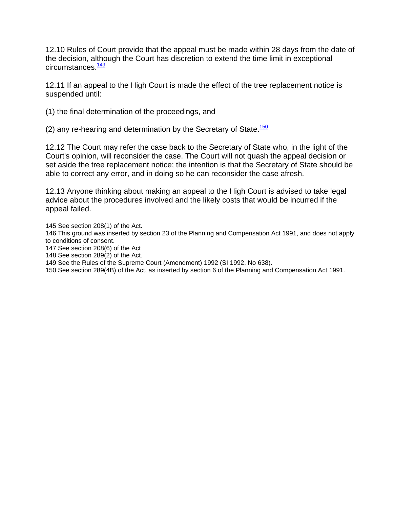<span id="page-69-0"></span>12.10 Rules of Court provide that the appeal must be made within 28 days from the date of the decision, although the Court has discretion to extend the time limit in exceptional circumstances.<sup>[149](#page-69-0)</sup>

12.11 If an appeal to the High Court is made the effect of the tree replacement notice is suspended until:

(1) the final determination of the proceedings, and

(2) any re-hearing and determination by the Secretary of State. $\frac{150}{150}$ 

12.12 The Court may refer the case back to the Secretary of State who, in the light of the Court's opinion, will reconsider the case. The Court will not quash the appeal decision or set aside the tree replacement notice; the intention is that the Secretary of State should be able to correct any error, and in doing so he can reconsider the case afresh.

12.13 Anyone thinking about making an appeal to the High Court is advised to take legal advice about the procedures involved and the likely costs that would be incurred if the appeal failed.

145 See section 208(1) of the Act.

146 This ground was inserted by section 23 of the Planning and Compensation Act 1991, and does not apply to conditions of consent.

147 See section 208(6) of the Act

148 See section 289(2) of the Act.

149 See the Rules of the Supreme Court (Amendment) 1992 (SI 1992, No 638).

150 See section 289(4B) of the Act, as inserted by section 6 of the Planning and Compensation Act 1991.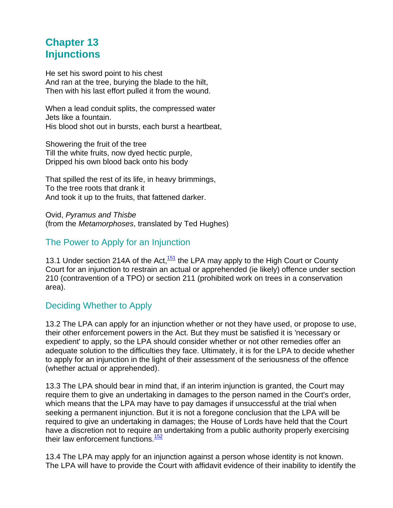# **Chapter 13 Injunctions**

He set his sword point to his chest And ran at the tree, burying the blade to the hilt, Then with his last effort pulled it from the wound.

When a lead conduit splits, the compressed water Jets like a fountain. His blood shot out in bursts, each burst a heartbeat,

Showering the fruit of the tree Till the white fruits, now dyed hectic purple, Dripped his own blood back onto his body

That spilled the rest of its life, in heavy brimmings, To the tree roots that drank it And took it up to the fruits, that fattened darker.

Ovid, *Pyramus and Thisbe*  (from the *Metamorphoses*, translated by Ted Hughes)

# The Power to Apply for an Injunction

13.1 Under section 214A of the Act, $\frac{151}{2}$  the LPA may apply to the High Court or County Court for an injunction to restrain an actual or apprehended (ie likely) offence under section 210 (contravention of a TPO) or section 211 (prohibited work on trees in a conservation area).

# Deciding Whether to Apply

13.2 The LPA can apply for an injunction whether or not they have used, or propose to use, their other enforcement powers in the Act. But they must be satisfied it is 'necessary or expedient' to apply, so the LPA should consider whether or not other remedies offer an adequate solution to the difficulties they face. Ultimately, it is for the LPA to decide whether to apply for an injunction in the light of their assessment of the seriousness of the offence (whether actual or apprehended).

13.3 The LPA should bear in mind that, if an interim injunction is granted, the Court may require them to give an undertaking in damages to the person named in the Court's order, which means that the LPA may have to pay damages if unsuccessful at the trial when seeking a permanent injunction. But it is not a foregone conclusion that the LPA will be required to give an undertaking in damages; the House of Lords have held that the Court have a discretion not to require an undertaking from a public authority properly exercising their law enforcement functions. $\frac{152}{152}$  $\frac{152}{152}$  $\frac{152}{152}$ 

13.4 The LPA may apply for an injunction against a person whose identity is not known. The LPA will have to provide the Court with affidavit evidence of their inability to identify the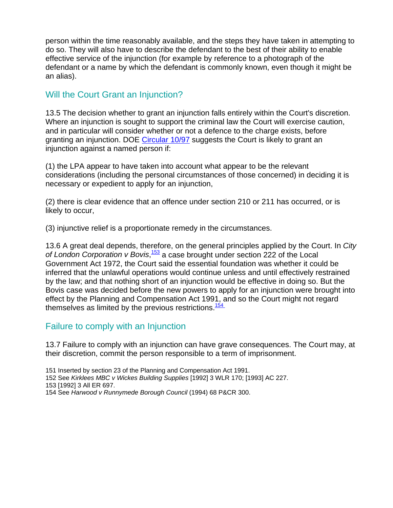<span id="page-71-0"></span>person within the time reasonably available, and the steps they have taken in attempting to do so. They will also have to describe the defendant to the best of their ability to enable effective service of the injunction (for example by reference to a photograph of the defendant or a name by which the defendant is commonly known, even though it might be an alias).

# Will the Court Grant an Injunction?

13.5 The decision whether to grant an injunction falls entirely within the Court's discretion. Where an injunction is sought to support the criminal law the Court will exercise caution, and in particular will consider whether or not a defence to the charge exists, before granting an injunction. DOE [Circular 10/97](http://www.communities.gov.uk/index.asp?id=1144429) suggests the Court is likely to grant an injunction against a named person if:

(1) the LPA appear to have taken into account what appear to be the relevant considerations (including the personal circumstances of those concerned) in deciding it is necessary or expedient to apply for an injunction,

(2) there is clear evidence that an offence under section 210 or 211 has occurred, or is likely to occur,

(3) injunctive relief is a proportionate remedy in the circumstances.

13.6 A great deal depends, therefore, on the general principles applied by the Court. In *City of London Corporation v Bovis*, [153](#page-71-0) a case brought under section 222 of the Local Government Act 1972, the Court said the essential foundation was whether it could be inferred that the unlawful operations would continue unless and until effectively restrained by the law; and that nothing short of an injunction would be effective in doing so. But the Bovis case was decided before the new powers to apply for an injunction were brought into effect by the Planning and Compensation Act 1991, and so the Court might not regard themselves as limited by the previous restrictions. $\frac{154}{154}$ 

## Failure to comply with an Injunction

13.7 Failure to comply with an injunction can have grave consequences. The Court may, at their discretion, commit the person responsible to a term of imprisonment.

151 Inserted by section 23 of the Planning and Compensation Act 1991.

152 See *Kirklees MBC v Wickes Building Supplies* [1992] 3 WLR 170; [1993] AC 227.

- 153 [1992] 3 All ER 697.
- 154 See *Harwood v Runnymede Borough Council* (1994) 68 P&CR 300.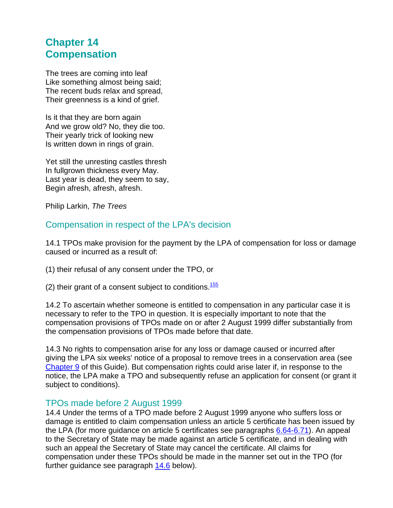# **Chapter 14 Compensation**

The trees are coming into leaf Like something almost being said; The recent buds relax and spread, Their greenness is a kind of grief.

Is it that they are born again And we grow old? No, they die too. Their yearly trick of looking new Is written down in rings of grain.

Yet still the unresting castles thresh In fullgrown thickness every May. Last year is dead, they seem to say, Begin afresh, afresh, afresh.

Philip Larkin, *The Trees*

# Compensation in respect of the LPA's decision

14.1 TPOs make provision for the payment by the LPA of compensation for loss or damage caused or incurred as a result of:

(1) their refusal of any consent under the TPO, or

(2) their grant of a consent subject to conditions.  $155$ 

14.2 To ascertain whether someone is entitled to compensation in any particular case it is necessary to refer to the TPO in question. It is especially important to note that the compensation provisions of TPOs made on or after 2 August 1999 differ substantially from the compensation provisions of TPOs made before that date.

14.3 No rights to compensation arise for any loss or damage caused or incurred after giving the LPA six weeks' notice of a proposal to remove trees in a conservation area (see [Chapter 9](#page-55-0) of this Guide). But compensation rights could arise later if, in response to the notice, the LPA make a TPO and subsequently refuse an application for consent (or grant it subject to conditions).

## TPOs made before 2 August 1999

14.4 Under the terms of a TPO made before 2 August 1999 anyone who suffers loss or damage is entitled to claim compensation unless an article 5 certificate has been issued by the LPA (for more guidance on article 5 certificates see paragraphs  $6.64-6.71$ ). An appeal to the Secretary of State may be made against an article 5 certificate, and in dealing with such an appeal the Secretary of State may cancel the certificate. All claims for compensation under these TPOs should be made in the manner set out in the TPO (for further guidance see paragraph [14.6](#page-73-0) below).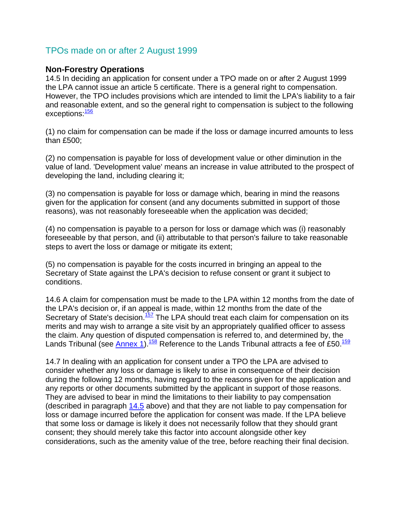# <span id="page-73-0"></span>TPOs made on or after 2 August 1999

### **Non-Forestry Operations**

14.5 In deciding an application for consent under a TPO made on or after 2 August 1999 the LPA cannot issue an article 5 certificate. There is a general right to compensation. However, the TPO includes provisions which are intended to limit the LPA's liability to a fair and reasonable extent, and so the general right to compensation is subject to the following exceptions:  $\frac{156}{156}$  $\frac{156}{156}$  $\frac{156}{156}$ 

(1) no claim for compensation can be made if the loss or damage incurred amounts to less than £500;

(2) no compensation is payable for loss of development value or other diminution in the value of land. 'Development value' means an increase in value attributed to the prospect of developing the land, including clearing it;

(3) no compensation is payable for loss or damage which, bearing in mind the reasons given for the application for consent (and any documents submitted in support of those reasons), was not reasonably foreseeable when the application was decided;

(4) no compensation is payable to a person for loss or damage which was (i) reasonably foreseeable by that person, and (ii) attributable to that person's failure to take reasonable steps to avert the loss or damage or mitigate its extent;

(5) no compensation is payable for the costs incurred in bringing an appeal to the Secretary of State against the LPA's decision to refuse consent or grant it subject to conditions.

14.6 A claim for compensation must be made to the LPA within 12 months from the date of the LPA's decision or, if an appeal is made, within 12 months from the date of the Secretary of State's decision.<sup>[157](#page-74-0)</sup> The LPA should treat each claim for compensation on its merits and may wish to arrange a site visit by an appropriately qualified officer to assess the claim. Any question of disputed compensation is referred to, and determined by, the Lands Tribunal (see [Annex 1](#page-75-0))  $\frac{158}{158}$  $\frac{158}{158}$  $\frac{158}{158}$  Reference to the Lands Tribunal attracts a fee of £50. $\frac{159}{159}$ 

14.7 In dealing with an application for consent under a TPO the LPA are advised to consider whether any loss or damage is likely to arise in consequence of their decision during the following 12 months, having regard to the reasons given for the application and any reports or other documents submitted by the applicant in support of those reasons. They are advised to bear in mind the limitations to their liability to pay compensation (described in paragraph [14.5](#page-73-0) above) and that they are not liable to pay compensation for loss or damage incurred before the application for consent was made. If the LPA believe that some loss or damage is likely it does not necessarily follow that they should grant consent; they should merely take this factor into account alongside other key considerations, such as the amenity value of the tree, before reaching their final decision.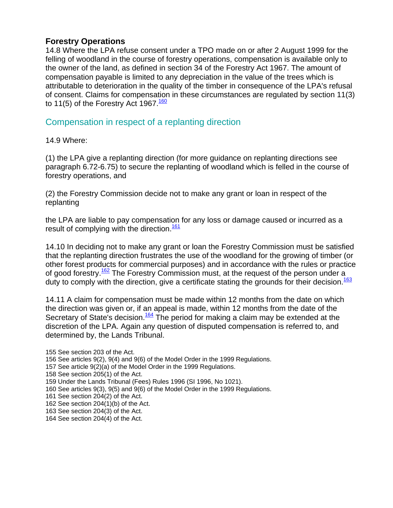### <span id="page-74-0"></span>**Forestry Operations**

14.8 Where the LPA refuse consent under a TPO made on or after 2 August 1999 for the felling of woodland in the course of forestry operations, compensation is available only to the owner of the land, as defined in section 34 of the Forestry Act 1967. The amount of compensation payable is limited to any depreciation in the value of the trees which is attributable to deterioration in the quality of the timber in consequence of the LPA's refusal of consent. Claims for compensation in these circumstances are regulated by section 11(3) to 11(5) of the Forestry Act 1967. $\frac{160}{160}$ 

## Compensation in respect of a replanting direction

14.9 Where:

(1) the LPA give a replanting direction (for more guidance on replanting directions see paragraph 6.72-6.75) to secure the replanting of woodland which is felled in the course of forestry operations, and

(2) the Forestry Commission decide not to make any grant or loan in respect of the replanting

the LPA are liable to pay compensation for any loss or damage caused or incurred as a result of complying with the direction. $\frac{161}{161}$  $\frac{161}{161}$  $\frac{161}{161}$ 

14.10 In deciding not to make any grant or loan the Forestry Commission must be satisfied that the replanting direction frustrates the use of the woodland for the growing of timber (or other forest products for commercial purposes) and in accordance with the rules or practice of good forestry.<sup>162</sup> The Forestry Commission must, at the request of the person under a duty to comply with the direction, give a certificate stating the grounds for their decision.<sup>163</sup>

14.11 A claim for compensation must be made within 12 months from the date on which the direction was given or, if an appeal is made, within 12 months from the date of the Secretary of State's decision. $\frac{164}{104}$  $\frac{164}{104}$  $\frac{164}{104}$  The period for making a claim may be extended at the discretion of the LPA. Again any question of disputed compensation is referred to, and determined by, the Lands Tribunal.

- 156 See articles 9(2), 9(4) and 9(6) of the Model Order in the 1999 Regulations.
- 157 See article 9(2)(a) of the Model Order in the 1999 Regulations.
- 158 See section 205(1) of the Act.
- 159 Under the Lands Tribunal (Fees) Rules 1996 (SI 1996, No 1021).
- 160 See articles 9(3), 9(5) and 9(6) of the Model Order in the 1999 Regulations.
- 161 See section 204(2) of the Act.
- 162 See section 204(1)(b) of the Act.
- 163 See section 204(3) of the Act.
- 164 See section 204(4) of the Act.

<sup>155</sup> See section 203 of the Act.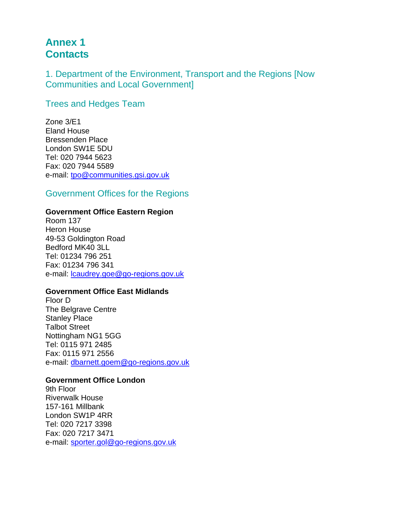# <span id="page-75-0"></span>**Annex 1 Contacts**

1. Department of the Environment, Transport and the Regions [Now Communities and Local Government]

### Trees and Hedges Team

Zone 3/E1 Eland House Bressenden Place London SW1E 5DU Tel: 020 7944 5623 Fax: 020 7944 5589 e-mail: [tpo@communities.gsi.gov.uk](mailto:tpo@communities.gsi.gov.uk) 

## Government Offices for the Regions

### **Government Office Eastern Region**

Room 137 Heron House 49-53 Goldington Road Bedford MK40 3LL Tel: 01234 796 251 Fax: 01234 796 341 e-mail: [lcaudrey.goe@go-regions.gov.uk](mailto:lcaudrey.goe@go-regions.gov.uk) 

### **Government Office East Midlands**

Floor D The Belgrave Centre Stanley Place Talbot Street Nottingham NG1 5GG Tel: 0115 971 2485 Fax: 0115 971 2556 e-mail: [dbarnett.goem@go-regions.gov.uk](mailto:dbarnett.goem@go-regions.gov.uk)

### **Government Office London**

9th Floor Riverwalk House 157-161 Millbank London SW1P 4RR Tel: 020 7217 3398 Fax: 020 7217 3471 e-mail: [sporter.gol@go-regions.gov.uk](mailto:sporter.gol@go-regions.gov.uk)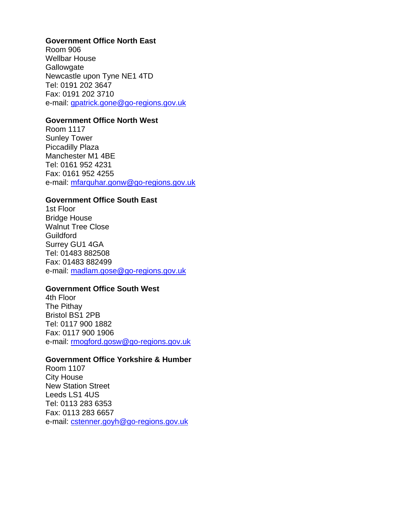### **Government Office North East**

Room 906 Wellbar House **Gallowgate** Newcastle upon Tyne NE1 4TD Tel: 0191 202 3647 Fax: 0191 202 3710 e-mail: [gpatrick.gone@go-regions.gov.uk](mailto:gpatrick.gone@go-regions.gov.uk) 

#### **Government Office North West**

Room 1117 Sunley Tower Piccadilly Plaza Manchester M1 4BE Tel: 0161 952 4231 Fax: 0161 952 4255 e-mail: [mfarquhar.gonw@go-regions.gov.uk](mailto:mfarquhar.gonw@go-regions.gov.uk)

#### **Government Office South East**

1st Floor Bridge House Walnut Tree Close **Guildford** Surrey GU1 4GA Tel: 01483 882508 Fax: 01483 882499 e-mail: [madlam.gose@go-regions.gov.uk](mailto:madlam.gose@go-regions.gov.uk) 

#### **Government Office South West**

4th Floor The Pithay Bristol BS1 2PB Tel: 0117 900 1882 Fax: 0117 900 1906 e-mail: [rmogford.gosw@go-regions.gov.uk](mailto:rmogford.gosw@go-regions.gov.uk)

#### **Government Office Yorkshire & Humber**

Room 1107 City House New Station Street Leeds LS1 4US Tel: 0113 283 6353 Fax: 0113 283 6657 e-mail: [cstenner.goyh@go-regions.gov.uk](mailto:cstenner.goyh@go-regions.gov.uk)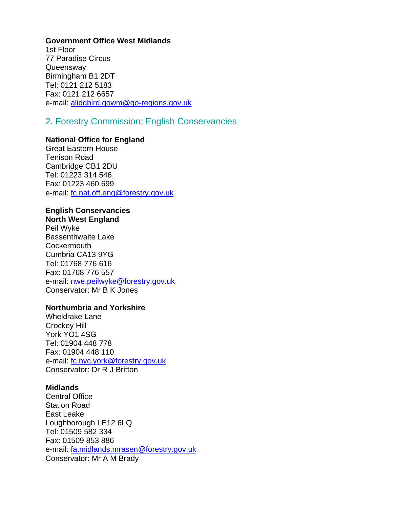#### **Government Office West Midlands**

1st Floor 77 Paradise Circus **Queensway** Birmingham B1 2DT Tel: 0121 212 5183 Fax: 0121 212 6657 e-mail: [alidgbird.gowm@go-regions.gov.uk](mailto:alidgbird.gowm@go-regions.gov.uk)

# 2. Forestry Commission: English Conservancies

### **National Office for England**

Great Eastern House Tenison Road Cambridge CB1 2DU Tel: 01223 314 546 Fax: 01223 460 699 e-mail: [fc.nat.off.eng@forestry.gov.uk](mailto:fc.nat.off.eng@forestry.gov.uk)

### **English Conservancies**

**North West England**  Peil Wyke Bassenthwaite Lake **Cockermouth** Cumbria CA13 9YG Tel: 01768 776 616 Fax: 01768 776 557 e-mail: [nwe.peilwyke@forestry.gov.uk](mailto:nwe.peilwyke@forestry.gov.uk) Conservator: Mr B K Jones

### **Northumbria and Yorkshire**

Wheldrake Lane Crockey Hill York YO1 4SG Tel: 01904 448 778 Fax: 01904 448 110 e-mail: [fc.nyc.york@forestry.gov.uk](mailto:fc.nyc.york@forestry.gov.uk) Conservator: Dr R J Britton

### **Midlands**

Central Office Station Road East Leake Loughborough LE12 6LQ Tel: 01509 582 334 Fax: 01509 853 886 e-mail: [fa.midlands.mrasen@forestry.gov.uk](mailto:fa.midlands.mrasen@forestry.gov.uk)  Conservator: Mr A M Brady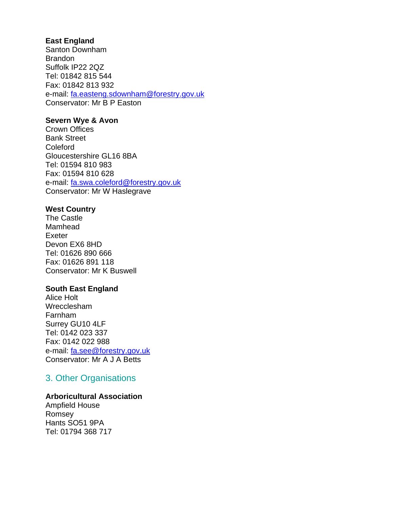### **East England**

Santon Downham Brandon Suffolk IP22 2QZ Tel: 01842 815 544 Fax: 01842 813 932 e-mail: [fa.easteng.sdownham@forestry.gov.uk](mailto:fa.easteng.sdownham@forestry.gov.uk)  Conservator: Mr B P Easton

### **Severn Wye & Avon**

Crown Offices Bank Street Coleford Gloucestershire GL16 8BA Tel: 01594 810 983 Fax: 01594 810 628 e-mail: [fa.swa.coleford@forestry.gov.uk](mailto:fa.swa.coleford@forestry.gov.uk)  Conservator: Mr W Haslegrave

### **West Country**

The Castle Mamhead Exeter Devon EX6 8HD Tel: 01626 890 666 Fax: 01626 891 118 Conservator: Mr K Buswell

### **South East England**

Alice Holt Wrecclesham Farnham Surrey GU10 4LF Tel: 0142 023 337 Fax: 0142 022 988 e-mail: [fa.see@forestry.gov.uk](mailto:fa.see@forestry.gov.uk)  Conservator: Mr A J A Betts

# 3. Other Organisations

### **Arboricultural Association**

Ampfield House Romsey Hants SO51 9PA Tel: 01794 368 717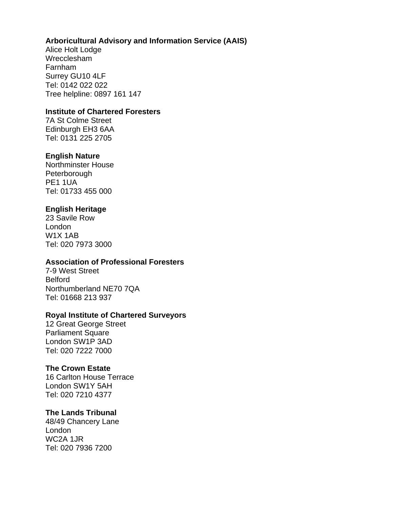### **Arboricultural Advisory and Information Service (AAIS)**

Alice Holt Lodge **Wrecclesham** Farnham Surrey GU10 4LF Tel: 0142 022 022 Tree helpline: 0897 161 147

### **Institute of Chartered Foresters**

7A St Colme Street Edinburgh EH3 6AA Tel: 0131 225 2705

### **English Nature**

Northminster House Peterborough PE1 1UA Tel: 01733 455 000

### **English Heritage**

23 Savile Row London W1X 1AB Tel: 020 7973 3000

### **Association of Professional Foresters**

7-9 West Street Belford Northumberland NE70 7QA Tel: 01668 213 937

### **Royal Institute of Chartered Surveyors**

12 Great George Street Parliament Square London SW1P 3AD Tel: 020 7222 7000

### **The Crown Estate**

16 Carlton House Terrace London SW1Y 5AH Tel: 020 7210 4377

### **The Lands Tribunal**

48/49 Chancery Lane London WC2A 1JR Tel: 020 7936 7200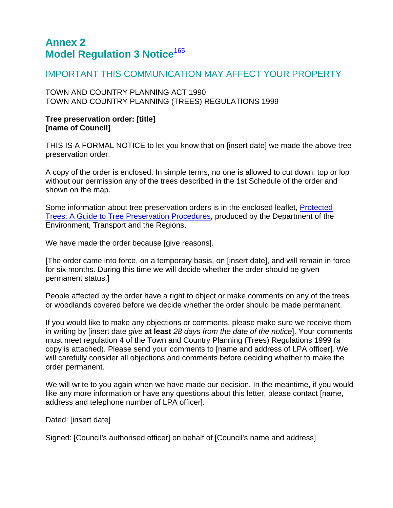# **Annex 2 Model Regulation 3 Notice**<sup>[165](#page-81-0)</sup>

# IMPORTANT THIS COMMUNICATION MAY AFFECT YOUR PROPERTY

TOWN AND COUNTRY PLANNING ACT 1990 TOWN AND COUNTRY PLANNING (TREES) REGULATIONS 1999

### **Tree preservation order: [title] [name of Council]**

THIS IS A FORMAL NOTICE to let you know that on [insert date] we made the above tree preservation order.

A copy of the order is enclosed. In simple terms, no one is allowed to cut down, top or lop without our permission any of the trees described in the 1st Schedule of the order and shown on the map.

Some information about tree preservation orders is in the enclosed leaflet, [Protected](http://www.communities.gov.uk/index.asp?id=1505655)  [Trees: A Guide to Tree Preservation Procedures](http://www.communities.gov.uk/index.asp?id=1505655), produced by the Department of the Environment, Transport and the Regions.

We have made the order because [give reasons].

[The order came into force, on a temporary basis, on [insert date], and will remain in force for six months. During this time we will decide whether the order should be given permanent status.]

People affected by the order have a right to object or make comments on any of the trees or woodlands covered before we decide whether the order should be made permanent.

If you would like to make any objections or comments, please make sure we receive them in writing by [insert date *give* **at least** *28 days from the date of the notice*]. Your comments must meet regulation 4 of the Town and Country Planning (Trees) Regulations 1999 (a copy is attached). Please send your comments to [name and address of LPA officer]. We will carefully consider all objections and comments before deciding whether to make the order permanent.

We will write to you again when we have made our decision. In the meantime, if you would like any more information or have any questions about this letter, please contact [name, address and telephone number of LPA officer].

Dated: [insert date]

Signed: [Council's authorised officer] on behalf of [Council's name and address]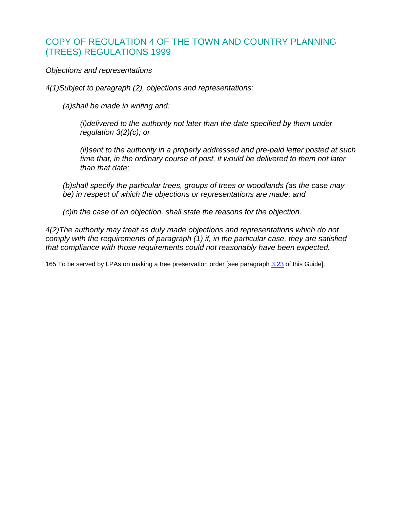# <span id="page-81-0"></span>COPY OF REGULATION 4 OF THE TOWN AND COUNTRY PLANNING (TREES) REGULATIONS 1999

*Objections and representations* 

*4(1)Subject to paragraph (2), objections and representations:* 

*(a)shall be made in writing and:* 

*(i)delivered to the authority not later than the date specified by them under regulation 3(2)(c); or* 

*(ii)sent to the authority in a properly addressed and pre-paid letter posted at such time that, in the ordinary course of post, it would be delivered to them not later than that date;* 

*(b)shall specify the particular trees, groups of trees or woodlands (as the case may be) in respect of which the objections or representations are made; and* 

*(c)in the case of an objection, shall state the reasons for the objection.* 

*4(2)The authority may treat as duly made objections and representations which do not comply with the requirements of paragraph (1) if, in the particular case, they are satisfied that compliance with those requirements could not reasonably have been expected.* 

165 To be served by LPAs on making a tree preservation order [see paragraph [3.23](#page-15-0) of this Guide].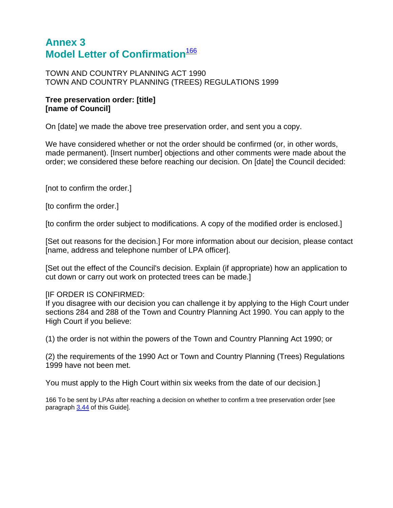# <span id="page-82-0"></span>**Annex 3 Model Letter of Confirmation**<sup>[166](#page-82-0)</sup>

### TOWN AND COUNTRY PLANNING ACT 1990 TOWN AND COUNTRY PLANNING (TREES) REGULATIONS 1999

### **Tree preservation order: [title] [name of Council]**

On [date] we made the above tree preservation order, and sent you a copy.

We have considered whether or not the order should be confirmed (or, in other words, made permanent). [Insert number] objections and other comments were made about the order; we considered these before reaching our decision. On [date] the Council decided:

[not to confirm the order.]

[to confirm the order.]

[to confirm the order subject to modifications. A copy of the modified order is enclosed.]

[Set out reasons for the decision.] For more information about our decision, please contact [name, address and telephone number of LPA officer].

[Set out the effect of the Council's decision. Explain (if appropriate) how an application to cut down or carry out work on protected trees can be made.]

### [IF ORDER IS CONFIRMED:

If you disagree with our decision you can challenge it by applying to the High Court under sections 284 and 288 of the Town and Country Planning Act 1990. You can apply to the High Court if you believe:

(1) the order is not within the powers of the Town and Country Planning Act 1990; or

(2) the requirements of the 1990 Act or Town and Country Planning (Trees) Regulations 1999 have not been met.

You must apply to the High Court within six weeks from the date of our decision.]

166 To be sent by LPAs after reaching a decision on whether to confirm a tree preservation order [see paragraph [3.44](#page-19-0) of this Guide].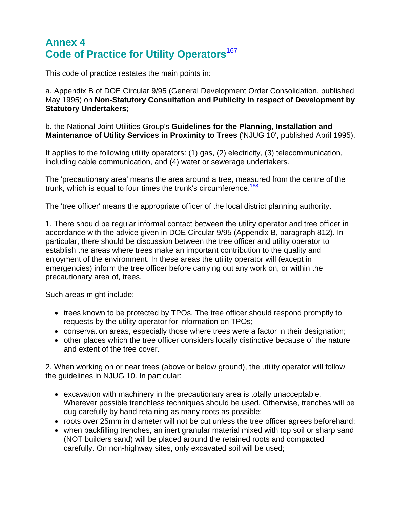# **Annex 4 Code of Practice for Utility Operators**<sup>[167](#page-84-0)</sup>

This code of practice restates the main points in:

a. Appendix B of DOE Circular 9/95 (General Development Order Consolidation, published May 1995) on **Non-Statutory Consultation and Publicity in respect of Development by Statutory Undertakers**;

b. the National Joint Utilities Group's **Guidelines for the Planning, Installation and Maintenance of Utility Services in Proximity to Trees** ('NJUG 10', published April 1995).

It applies to the following utility operators: (1) gas, (2) electricity, (3) telecommunication, including cable communication, and (4) water or sewerage undertakers.

The 'precautionary area' means the area around a tree, measured from the centre of the trunk, which is equal to four times the trunk's circumference.<sup>168</sup>

The 'tree officer' means the appropriate officer of the local district planning authority.

1. There should be regular informal contact between the utility operator and tree officer in accordance with the advice given in DOE Circular 9/95 (Appendix B, paragraph 812). In particular, there should be discussion between the tree officer and utility operator to establish the areas where trees make an important contribution to the quality and enjoyment of the environment. In these areas the utility operator will (except in emergencies) inform the tree officer before carrying out any work on, or within the precautionary area of, trees.

Such areas might include:

- trees known to be protected by TPOs. The tree officer should respond promptly to requests by the utility operator for information on TPOs;
- conservation areas, especially those where trees were a factor in their designation;
- other places which the tree officer considers locally distinctive because of the nature and extent of the tree cover.

2. When working on or near trees (above or below ground), the utility operator will follow the guidelines in NJUG 10. In particular:

- excavation with machinery in the precautionary area is totally unacceptable. Wherever possible trenchless techniques should be used. Otherwise, trenches will be dug carefully by hand retaining as many roots as possible;
- roots over 25mm in diameter will not be cut unless the tree officer agrees beforehand;
- when backfilling trenches, an inert granular material mixed with top soil or sharp sand (NOT builders sand) will be placed around the retained roots and compacted carefully. On non-highway sites, only excavated soil will be used;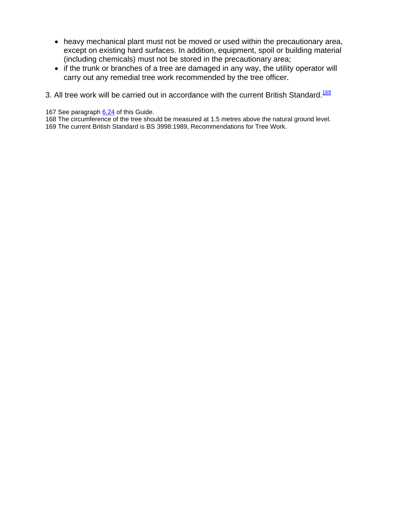- <span id="page-84-0"></span>• heavy mechanical plant must not be moved or used within the precautionary area, except on existing hard surfaces. In addition, equipment, spoil or building material (including chemicals) must not be stored in the precautionary area;
- if the trunk or branches of a tree are damaged in any way, the utility operator will carry out any remedial tree work recommended by the tree officer.
- 3. All tree work will be carried out in accordance with the current British Standard.<sup>[169](#page-84-0)</sup>

167 See paragraph [6.24](#page-36-0) of this Guide.

168 The circumference of the tree should be measured at 1.5 metres above the natural ground level. 169 The current British Standard is BS 3998:1989, Recommendations for Tree Work.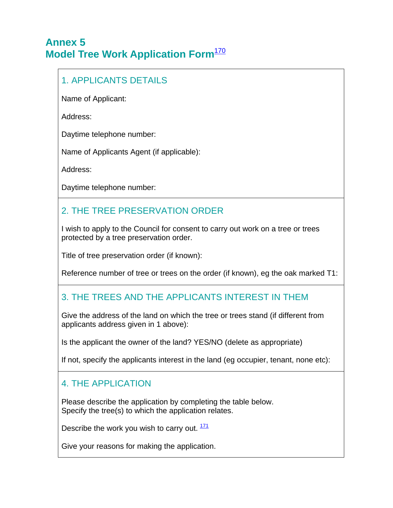# **Annex 5 Model Tree Work Application Form**<sup>[170](#page-86-0)</sup>

# 1. APPLICANTS DETAILS

Name of Applicant:

Address:

Daytime telephone number:

Name of Applicants Agent (if applicable):

Address:

Daytime telephone number:

# 2. THE TREE PRESERVATION ORDER

I wish to apply to the Council for consent to carry out work on a tree or trees protected by a tree preservation order.

Title of tree preservation order (if known):

Reference number of tree or trees on the order (if known), eg the oak marked T1:

# 3. THE TREES AND THE APPLICANTS INTEREST IN THEM

Give the address of the land on which the tree or trees stand (if different from applicants address given in 1 above):

Is the applicant the owner of the land? YES/NO (delete as appropriate)

If not, specify the applicants interest in the land (eg occupier, tenant, none etc):

# 4. THE APPLICATION

Please describe the application by completing the table below. Specify the tree(s) to which the application relates.

Describe the work you wish to carry out.  $\frac{1}{1}$ 

Give your reasons for making the application.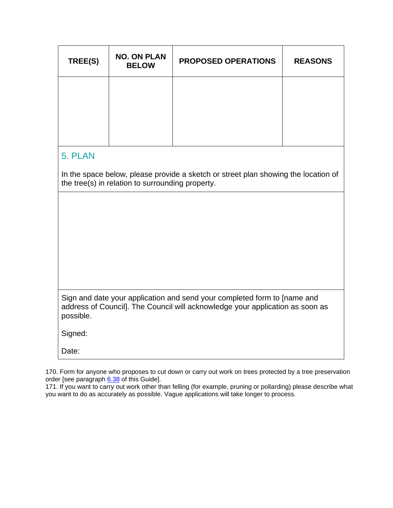<span id="page-86-0"></span>

| TREE(S) | <b>NO. ON PLAN</b><br><b>BELOW</b> | <b>PROPOSED OPERATIONS</b> | <b>REASONS</b> |
|---------|------------------------------------|----------------------------|----------------|
|         |                                    |                            |                |
|         |                                    |                            |                |

# 5. PLAN

In the space below, please provide a sketch or street plan showing the location of the tree(s) in relation to surrounding property.

Sign and date your application and send your completed form to [name and address of Council]. The Council will acknowledge your application as soon as possible.

Signed:

Date:

170. Form for anyone who proposes to cut down or carry out work on trees protected by a tree preservation order [see paragraph [6.38](#page-39-0) of this Guide].

171. If you want to carry out work other than felling (for example, pruning or pollarding) please describe what you want to do as accurately as possible. Vague applications will take longer to process.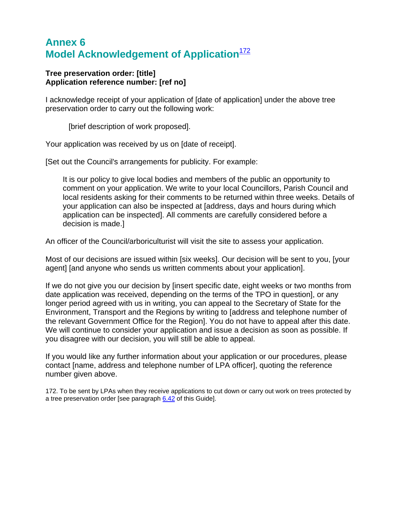# <span id="page-87-0"></span>**Annex 6 Model Acknowledgement of Application**<sup>[172](#page-87-0)</sup>

### **Tree preservation order: [title] Application reference number: [ref no]**

I acknowledge receipt of your application of [date of application] under the above tree preservation order to carry out the following work:

[brief description of work proposed].

Your application was received by us on [date of receipt].

[Set out the Council's arrangements for publicity. For example:

It is our policy to give local bodies and members of the public an opportunity to comment on your application. We write to your local Councillors, Parish Council and local residents asking for their comments to be returned within three weeks. Details of your application can also be inspected at [address, days and hours during which application can be inspected]. All comments are carefully considered before a decision is made.]

An officer of the Council/arboriculturist will visit the site to assess your application.

Most of our decisions are issued within [six weeks]. Our decision will be sent to you, [your agent] [and anyone who sends us written comments about your application].

If we do not give you our decision by [insert specific date, eight weeks or two months from date application was received, depending on the terms of the TPO in question], or any longer period agreed with us in writing, you can appeal to the Secretary of State for the Environment, Transport and the Regions by writing to [address and telephone number of the relevant Government Office for the Region]. You do not have to appeal after this date. We will continue to consider your application and issue a decision as soon as possible. If you disagree with our decision, you will still be able to appeal.

If you would like any further information about your application or our procedures, please contact [name, address and telephone number of LPA officer], quoting the reference number given above.

172. To be sent by LPAs when they receive applications to cut down or carry out work on trees protected by a tree preservation order [see paragraph [6.42](#page-40-0) of this Guide].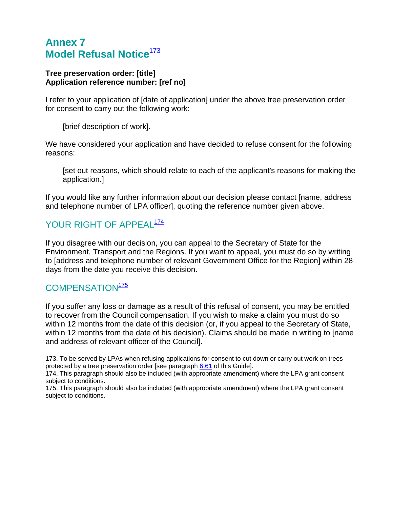# <span id="page-88-0"></span>**Annex 7 Model Refusal Notice**<sup>[173](#page-88-0)</sup>

### **Tree preservation order: [title] Application reference number: [ref no]**

I refer to your application of [date of application] under the above tree preservation order for consent to carry out the following work:

[brief description of work].

We have considered your application and have decided to refuse consent for the following reasons:

[set out reasons, which should relate to each of the applicant's reasons for making the application.]

If you would like any further information about our decision please contact [name, address and telephone number of LPA officer], quoting the reference number given above.

# YOUR RIGHT OF APPEAL<sup>[174](#page-88-0)</sup>

If you disagree with our decision, you can appeal to the Secretary of State for the Environment, Transport and the Regions. If you want to appeal, you must do so by writing to [address and telephone number of relevant Government Office for the Region] within 28 days from the date you receive this decision.

# COMPENSATION<sup>175</sup>

If you suffer any loss or damage as a result of this refusal of consent, you may be entitled to recover from the Council compensation. If you wish to make a claim you must do so within 12 months from the date of this decision (or, if you appeal to the Secretary of State, within 12 months from the date of his decision). Claims should be made in writing to [name and address of relevant officer of the Council].

173. To be served by LPAs when refusing applications for consent to cut down or carry out work on trees protected by a tree preservation order [see paragraph [6.61](#page-43-0) of this Guide].

174. This paragraph should also be included (with appropriate amendment) where the LPA grant consent subject to conditions.

175. This paragraph should also be included (with appropriate amendment) where the LPA grant consent subject to conditions.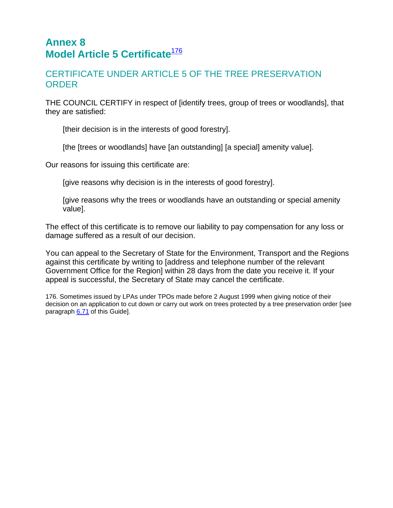# <span id="page-89-0"></span>**Annex 8 Model Article 5 Certificate**<sup>[176](#page-89-0)</sup>

# CERTIFICATE UNDER ARTICLE 5 OF THE TREE PRESERVATION ORDER

THE COUNCIL CERTIFY in respect of [identify trees, group of trees or woodlands], that they are satisfied:

[their decision is in the interests of good forestry].

[the [trees or woodlands] have [an outstanding] [a special] amenity value].

Our reasons for issuing this certificate are:

[give reasons why decision is in the interests of good forestry].

[give reasons why the trees or woodlands have an outstanding or special amenity value].

The effect of this certificate is to remove our liability to pay compensation for any loss or damage suffered as a result of our decision.

You can appeal to the Secretary of State for the Environment, Transport and the Regions against this certificate by writing to [address and telephone number of the relevant Government Office for the Region] within 28 days from the date you receive it. If your appeal is successful, the Secretary of State may cancel the certificate.

176. Sometimes issued by LPAs under TPOs made before 2 August 1999 when giving notice of their decision on an application to cut down or carry out work on trees protected by a tree preservation order [see paragraph [6.71](#page-45-0) of this Guide].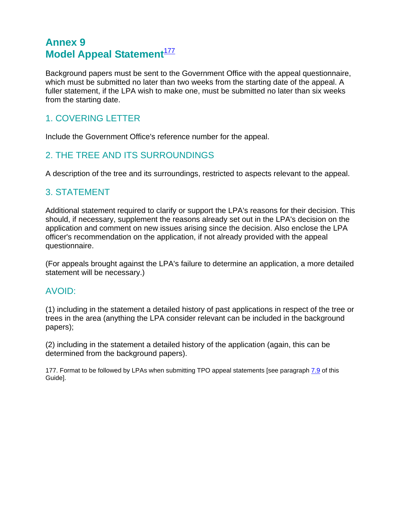# <span id="page-90-0"></span>**Annex 9 Model Appeal Statement**<sup>[177](#page-90-0)</sup>

Background papers must be sent to the Government Office with the appeal questionnaire, which must be submitted no later than two weeks from the starting date of the appeal. A fuller statement, if the LPA wish to make one, must be submitted no later than six weeks from the starting date.

# 1. COVERING LETTER

Include the Government Office's reference number for the appeal.

# 2. THE TREE AND ITS SURROUNDINGS

A description of the tree and its surroundings, restricted to aspects relevant to the appeal.

## 3. STATEMENT

Additional statement required to clarify or support the LPA's reasons for their decision. This should, if necessary, supplement the reasons already set out in the LPA's decision on the application and comment on new issues arising since the decision. Also enclose the LPA officer's recommendation on the application, if not already provided with the appeal questionnaire.

(For appeals brought against the LPA's failure to determine an application, a more detailed statement will be necessary.)

## AVOID:

(1) including in the statement a detailed history of past applications in respect of the tree or trees in the area (anything the LPA consider relevant can be included in the background papers);

(2) including in the statement a detailed history of the application (again, this can be determined from the background papers).

177. Format to be followed by LPAs when submitting TPO appeal statements [see paragraph [7.9](#page-50-0) of this Guide].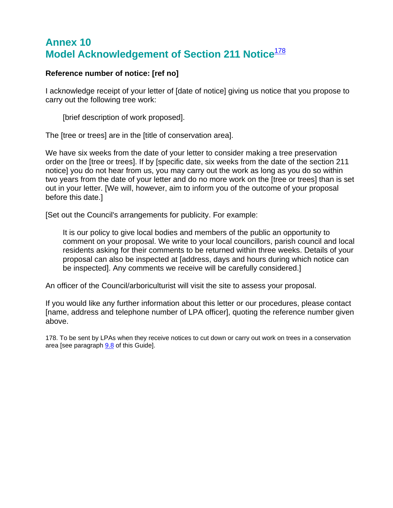# <span id="page-91-0"></span>**Annex 10 Model Acknowledgement of Section 211 Notice**<sup>[178](#page-91-0)</sup>

### **Reference number of notice: [ref no]**

I acknowledge receipt of your letter of [date of notice] giving us notice that you propose to carry out the following tree work:

[brief description of work proposed].

The [tree or trees] are in the [title of conservation area].

We have six weeks from the date of your letter to consider making a tree preservation order on the [tree or trees]. If by [specific date, six weeks from the date of the section 211 notice] you do not hear from us, you may carry out the work as long as you do so within two years from the date of your letter and do no more work on the [tree or trees] than is set out in your letter. [We will, however, aim to inform you of the outcome of your proposal before this date.]

[Set out the Council's arrangements for publicity. For example:

It is our policy to give local bodies and members of the public an opportunity to comment on your proposal. We write to your local councillors, parish council and local residents asking for their comments to be returned within three weeks. Details of your proposal can also be inspected at [address, days and hours during which notice can be inspected]. Any comments we receive will be carefully considered.]

An officer of the Council/arboriculturist will visit the site to assess your proposal.

If you would like any further information about this letter or our procedures, please contact [name, address and telephone number of LPA officer], quoting the reference number given above.

178. To be sent by LPAs when they receive notices to cut down or carry out work on trees in a conservation area [see paragraph  $9.8$  of this Guide].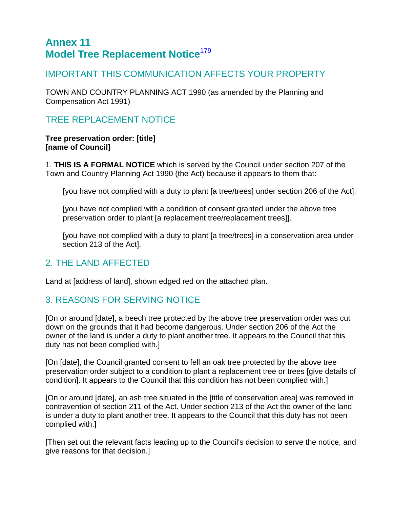# **Annex 11 Model Tree Replacement Notice**<sup>[179](#page-94-0)</sup>

# IMPORTANT THIS COMMUNICATION AFFECTS YOUR PROPERTY

TOWN AND COUNTRY PLANNING ACT 1990 (as amended by the Planning and Compensation Act 1991)

# TREE REPLACEMENT NOTICE

### **Tree preservation order: [title] [name of Council]**

1. **THIS IS A FORMAL NOTICE** which is served by the Council under section 207 of the Town and Country Planning Act 1990 (the Act) because it appears to them that:

[you have not complied with a duty to plant [a tree/trees] under section 206 of the Act].

[you have not complied with a condition of consent granted under the above tree preservation order to plant [a replacement tree/replacement trees]].

[you have not complied with a duty to plant [a tree/trees] in a conservation area under section 213 of the Act].

## 2. THE LAND AFFECTED

Land at [address of land], shown edged red on the attached plan.

# 3. REASONS FOR SERVING NOTICE

[On or around [date], a beech tree protected by the above tree preservation order was cut down on the grounds that it had become dangerous. Under section 206 of the Act the owner of the land is under a duty to plant another tree. It appears to the Council that this duty has not been complied with.]

[On [date], the Council granted consent to fell an oak tree protected by the above tree preservation order subject to a condition to plant a replacement tree or trees [give details of condition]. It appears to the Council that this condition has not been complied with.]

[On or around [date], an ash tree situated in the [title of conservation area] was removed in contravention of section 211 of the Act. Under section 213 of the Act the owner of the land is under a duty to plant another tree. It appears to the Council that this duty has not been complied with.]

[Then set out the relevant facts leading up to the Council's decision to serve the notice, and give reasons for that decision.]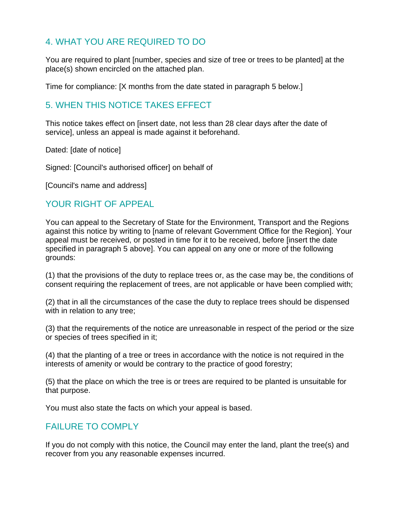# 4. WHAT YOU ARE REQUIRED TO DO

You are required to plant [number, species and size of tree or trees to be planted] at the place(s) shown encircled on the attached plan.

Time for compliance: [X months from the date stated in paragraph 5 below.]

## 5. WHEN THIS NOTICE TAKES EFFECT

This notice takes effect on [insert date, not less than 28 clear days after the date of service], unless an appeal is made against it beforehand.

Dated: [date of notice]

Signed: [Council's authorised officer] on behalf of

[Council's name and address]

# YOUR RIGHT OF APPEAL

You can appeal to the Secretary of State for the Environment, Transport and the Regions against this notice by writing to [name of relevant Government Office for the Region]. Your appeal must be received, or posted in time for it to be received, before [insert the date specified in paragraph 5 above]. You can appeal on any one or more of the following grounds:

(1) that the provisions of the duty to replace trees or, as the case may be, the conditions of consent requiring the replacement of trees, are not applicable or have been complied with;

(2) that in all the circumstances of the case the duty to replace trees should be dispensed with in relation to any tree;

(3) that the requirements of the notice are unreasonable in respect of the period or the size or species of trees specified in it;

(4) that the planting of a tree or trees in accordance with the notice is not required in the interests of amenity or would be contrary to the practice of good forestry;

(5) that the place on which the tree is or trees are required to be planted is unsuitable for that purpose.

You must also state the facts on which your appeal is based.

# FAILURE TO COMPLY

If you do not comply with this notice, the Council may enter the land, plant the tree(s) and recover from you any reasonable expenses incurred.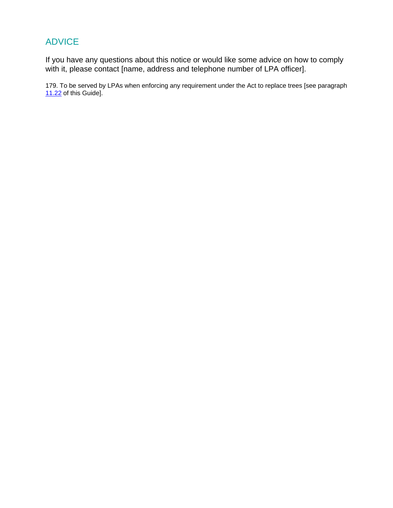# <span id="page-94-0"></span>ADVICE

If you have any questions about this notice or would like some advice on how to comply with it, please contact [name, address and telephone number of LPA officer].

179. To be served by LPAs when enforcing any requirement under the Act to replace trees [see paragraph [11.22](#page-65-0) of this Guide].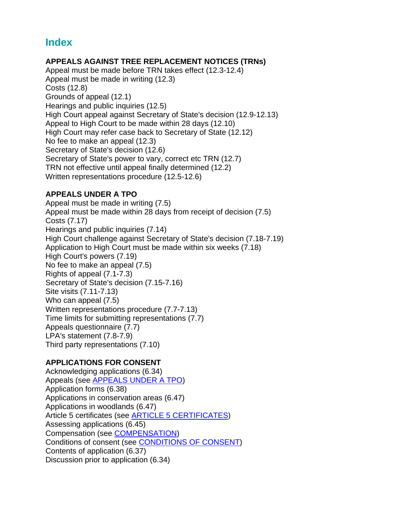# <span id="page-95-0"></span>**Index**

## **APPEALS AGAINST TREE REPLACEMENT NOTICES (TRNs)**

Appeal must be made before TRN takes effect (12.3-12.4) Appeal must be made in writing (12.3) Costs (12.8) Grounds of appeal (12.1) Hearings and public inquiries (12.5) High Court appeal against Secretary of State's decision (12.9-12.13) Appeal to High Court to be made within 28 days (12.10) High Court may refer case back to Secretary of State (12.12) No fee to make an appeal (12.3) Secretary of State's decision (12.6) Secretary of State's power to vary, correct etc TRN (12.7) TRN not effective until appeal finally determined (12.2) Written representations procedure (12.5-12.6)

## **APPEALS UNDER A TPO**

Appeal must be made in writing (7.5) Appeal must be made within 28 days from receipt of decision (7.5) Costs (7.17) Hearings and public inquiries (7.14) High Court challenge against Secretary of State's decision (7.18-7.19) Application to High Court must be made within six weeks (7.18) High Court's powers (7.19) No fee to make an appeal (7.5) Rights of appeal (7.1-7.3) Secretary of State's decision (7.15-7.16) Site visits (7.11-7.13) Who can appeal (7.5) Written representations procedure (7.7-7.13) Time limits for submitting representations (7.7) Appeals questionnaire (7.7) LPA's statement (7.8-7.9) Third party representations (7.10)

## **APPLICATIONS FOR CONSENT**

Acknowledging applications (6.34) Appeals (see [APPEALS UNDER A TPO](#page-95-0)) Application forms (6.38) Applications in conservation areas (6.47) Applications in woodlands (6.47) Article 5 certificates (see [ARTICLE 5 CERTIFICATES\)](#page-96-0) Assessing applications (6.45) Compensation (see [COMPENSATION\)](#page-96-0) Conditions of consent (see [CONDITIONS OF CONSENT\)](#page-97-0) Contents of application (6.37) Discussion prior to application (6.34)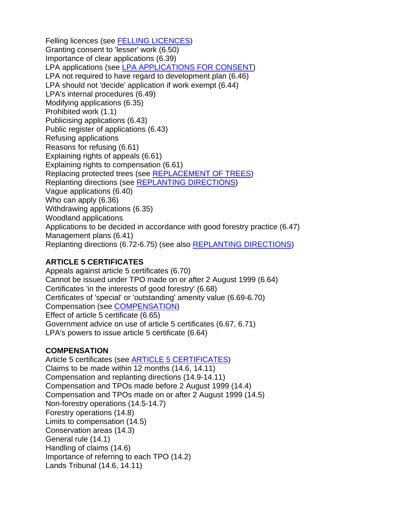<span id="page-96-0"></span>Felling licences (see [FELLING LICENCES](#page-98-0)) Granting consent to 'lesser' work (6.50) Importance of clear applications (6.39) LPA applications (see [LPA APPLICATIONS FOR CONSENT](#page-99-0)) LPA not required to have regard to development plan (6.46) LPA should not 'decide' application if work exempt (6.44) LPA's internal procedures (6.49) Modifying applications (6.35) Prohibited work (1.1) Publicising applications (6.43) Public register of applications (6.43) Refusing applications Reasons for refusing (6.61) Explaining rights of appeals (6.61) Explaining rights to compensation (6.61) Replacing protected trees (see [REPLACEMENT OF TREES](#page-101-0)) Replanting directions (see [REPLANTING DIRECTIONS\)](#page-101-0) Vague applications (6.40) Who can apply (6.36) Withdrawing applications (6.35) Woodland applications Applications to be decided in accordance with good forestry practice (6.47) Management plans (6.41) Replanting directions (6.72-6.75) (see also [REPLANTING DIRECTIONS](#page-101-0))

# **ARTICLE 5 CERTIFICATES**

Appeals against article 5 certificates (6.70) Cannot be issued under TPO made on or after 2 August 1999 (6.64) Certificates 'in the interests of good forestry' (6.68) Certificates of 'special' or 'outstanding' amenity value (6.69-6.70) Compensation (see [COMPENSATION\)](#page-96-0) Effect of article 5 certificate (6.65) Government advice on use of article 5 certificates (6.67, 6.71) LPA's powers to issue article 5 certificate (6.64)

## **COMPENSATION**

Article 5 certificates (see [ARTICLE 5 CERTIFICATES\)](#page-96-0) Claims to be made within 12 months (14.6, 14.11) Compensation and replanting directions (14.9-14.11) Compensation and TPOs made before 2 August 1999 (14.4) Compensation and TPOs made on or after 2 August 1999 (14.5) Non-forestry operations (14.5-14.7) Forestry operations (14.8) Limits to compensation (14.5) Conservation areas (14.3) General rule (14.1) Handling of claims (14.6) Importance of referring to each TPO (14.2) Lands Tribunal (14.6, 14.11)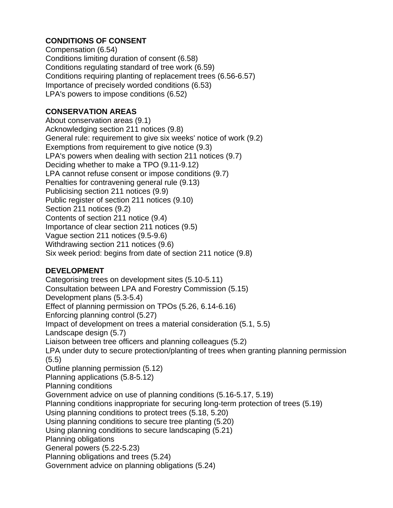## <span id="page-97-0"></span>**CONDITIONS OF CONSENT**

Compensation (6.54) Conditions limiting duration of consent (6.58) Conditions regulating standard of tree work (6.59) Conditions requiring planting of replacement trees (6.56-6.57) Importance of precisely worded conditions (6.53) LPA's powers to impose conditions (6.52)

## **CONSERVATION AREAS**

About conservation areas (9.1) Acknowledging section 211 notices (9.8) General rule: requirement to give six weeks' notice of work (9.2) Exemptions from requirement to give notice (9.3) LPA's powers when dealing with section 211 notices (9.7) Deciding whether to make a TPO (9.11-9.12) LPA cannot refuse consent or impose conditions (9.7) Penalties for contravening general rule (9.13) Publicising section 211 notices (9.9) Public register of section 211 notices (9.10) Section 211 notices (9.2) Contents of section 211 notice (9.4) Importance of clear section 211 notices (9.5) Vague section 211 notices (9.5-9.6) Withdrawing section 211 notices (9.6) Six week period: begins from date of section 211 notice (9.8)

## **DEVELOPMENT**

Categorising trees on development sites (5.10-5.11) Consultation between LPA and Forestry Commission (5.15) Development plans (5.3-5.4) Effect of planning permission on TPOs (5.26, 6.14-6.16) Enforcing planning control (5.27) Impact of development on trees a material consideration (5.1, 5.5) Landscape design (5.7) Liaison between tree officers and planning colleagues (5.2) LPA under duty to secure protection/planting of trees when granting planning permission (5.5) Outline planning permission (5.12) Planning applications (5.8-5.12) Planning conditions Government advice on use of planning conditions (5.16-5.17, 5.19) Planning conditions inappropriate for securing long-term protection of trees (5.19) Using planning conditions to protect trees (5.18, 5.20) Using planning conditions to secure tree planting (5.20) Using planning conditions to secure landscaping (5.21) Planning obligations General powers (5.22-5.23) Planning obligations and trees (5.24) Government advice on planning obligations (5.24)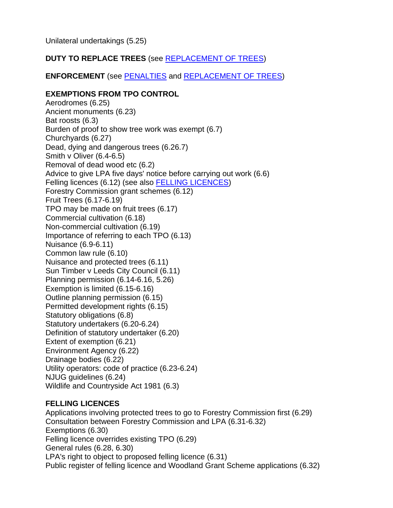<span id="page-98-0"></span>Unilateral undertakings (5.25)

### **DUTY TO REPLACE TREES** (see [REPLACEMENT OF TREES\)](#page-101-0)

**ENFORCEMENT** (see [PENALTIES](#page-100-0) and [REPLACEMENT OF TREES\)](#page-101-0)

### **EXEMPTIONS FROM TPO CONTROL**

Aerodromes (6.25) Ancient monuments (6.23) Bat roosts (6.3) Burden of proof to show tree work was exempt (6.7) Churchyards (6.27) Dead, dying and dangerous trees (6.26.7) Smith v Oliver (6.4-6.5) Removal of dead wood etc (6.2) Advice to give LPA five days' notice before carrying out work (6.6) Felling licences (6.12) (see also [FELLING LICENCES](#page-98-0)) Forestry Commission grant schemes (6.12) Fruit Trees (6.17-6.19) TPO may be made on fruit trees (6.17) Commercial cultivation (6.18) Non-commercial cultivation (6.19) Importance of referring to each TPO (6.13) Nuisance (6.9-6.11) Common law rule (6.10) Nuisance and protected trees (6.11) Sun Timber v Leeds City Council (6.11) Planning permission (6.14-6.16, 5.26) Exemption is limited (6.15-6.16) Outline planning permission (6.15) Permitted development rights (6.15) Statutory obligations (6.8) Statutory undertakers (6.20-6.24) Definition of statutory undertaker (6.20) Extent of exemption (6.21) Environment Agency (6.22) Drainage bodies (6.22) Utility operators: code of practice (6.23-6.24) NJUG guidelines (6.24) Wildlife and Countryside Act 1981 (6.3)

### **FELLING LICENCES**

Applications involving protected trees to go to Forestry Commission first (6.29) Consultation between Forestry Commission and LPA (6.31-6.32) Exemptions (6.30) Felling licence overrides existing TPO (6.29) General rules (6.28, 6.30) LPA's right to object to proposed felling licence (6.31) Public register of felling licence and Woodland Grant Scheme applications (6.32)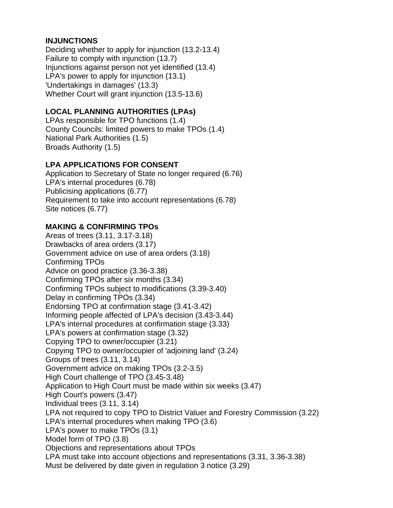### <span id="page-99-0"></span>**INJUNCTIONS**

Deciding whether to apply for injunction (13.2-13.4) Failure to comply with injunction (13.7) Injunctions against person not yet identified (13.4) LPA's power to apply for injunction (13.1) 'Undertakings in damages' (13.3) Whether Court will grant injunction (13.5-13.6)

### **LOCAL PLANNING AUTHORITIES (LPAs)**

LPAs responsible for TPO functions (1.4) County Councils: limited powers to make TPOs (1.4) National Park Authorities (1.5) Broads Authority (1.5)

## **LPA APPLICATIONS FOR CONSENT**

Application to Secretary of State no longer required (6.76) LPA's internal procedures (6.78) Publicising applications (6.77) Requirement to take into account representations (6.78) Site notices (6.77)

### **MAKING & CONFIRMING TPOs**

Areas of trees (3.11, 3.17-3.18) Drawbacks of area orders (3.17) Government advice on use of area orders (3.18) Confirming TPOs Advice on good practice (3.36-3.38) Confirming TPOs after six months (3.34) Confirming TPOs subject to modifications (3.39-3.40) Delay in confirming TPOs (3.34) Endorsing TPO at confirmation stage (3.41-3.42) Informing people affected of LPA's decision (3.43-3.44) LPA's internal procedures at confirmation stage (3.33) LPA's powers at confirmation stage (3.32) Copying TPO to owner/occupier (3.21) Copying TPO to owner/occupier of 'adjoining land' (3.24) Groups of trees (3.11, 3.14) Government advice on making TPOs (3.2-3.5) High Court challenge of TPO (3.45-3.48) Application to High Court must be made within six weeks (3.47) High Court's powers (3.47) Individual trees (3.11, 3.14) LPA not required to copy TPO to District Valuer and Forestry Commission (3.22) LPA's internal procedures when making TPO (3.6) LPA's power to make TPOs (3.1) Model form of TPO (3.8) Objections and representations about TPOs LPA must take into account objections and representations (3.31, 3.36-3.38) Must be delivered by date given in regulation 3 notice (3.29)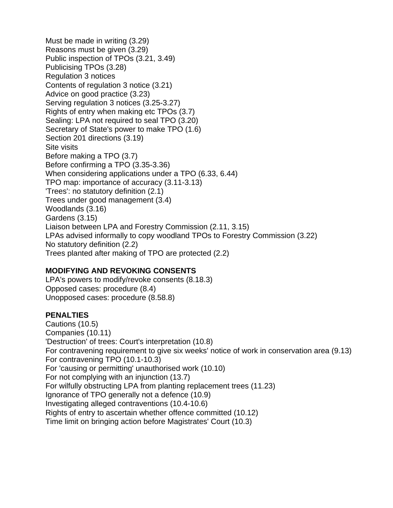<span id="page-100-0"></span>Must be made in writing (3.29) Reasons must be given (3.29) Public inspection of TPOs (3.21, 3.49) Publicising TPOs (3.28) Regulation 3 notices Contents of regulation 3 notice (3.21) Advice on good practice (3.23) Serving regulation 3 notices (3.25-3.27) Rights of entry when making etc TPOs (3.7) Sealing: LPA not required to seal TPO (3.20) Secretary of State's power to make TPO (1.6) Section 201 directions (3.19) Site visits Before making a TPO (3.7) Before confirming a TPO (3.35-3.36) When considering applications under a TPO (6.33, 6.44) TPO map: importance of accuracy (3.11-3.13) 'Trees': no statutory definition (2.1) Trees under good management (3.4) Woodlands (3.16) Gardens (3.15) Liaison between LPA and Forestry Commission (2.11, 3.15) LPAs advised informally to copy woodland TPOs to Forestry Commission (3.22) No statutory definition (2.2) Trees planted after making of TPO are protected (2.2)

### **MODIFYING AND REVOKING CONSENTS**

LPA's powers to modify/revoke consents (8.18.3) Opposed cases: procedure (8.4) Unopposed cases: procedure (8.58.8)

### **PENALTIES**

Cautions (10.5) Companies (10.11) 'Destruction' of trees: Court's interpretation (10.8) For contravening requirement to give six weeks' notice of work in conservation area (9.13) For contravening TPO (10.1-10.3) For 'causing or permitting' unauthorised work (10.10) For not complying with an injunction (13.7) For wilfully obstructing LPA from planting replacement trees (11.23) Ignorance of TPO generally not a defence (10.9) Investigating alleged contraventions (10.4-10.6) Rights of entry to ascertain whether offence committed (10.12) Time limit on bringing action before Magistrates' Court (10.3)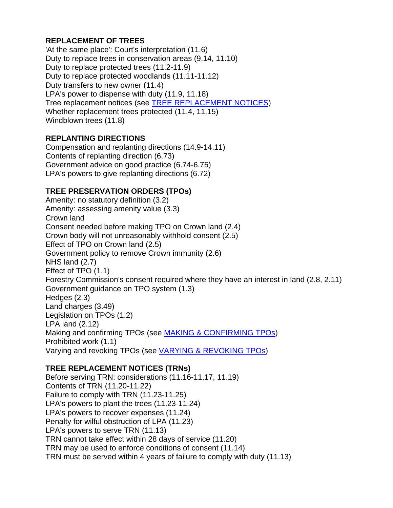## <span id="page-101-0"></span>**REPLACEMENT OF TREES**

'At the same place': Court's interpretation (11.6) Duty to replace trees in conservation areas (9.14, 11.10) Duty to replace protected trees (11.2-11.9) Duty to replace protected woodlands (11.11-11.12) Duty transfers to new owner (11.4) LPA's power to dispense with duty (11.9, 11.18) Tree replacement notices (see [TREE REPLACEMENT NOTICES](#page-101-0)) Whether replacement trees protected (11.4, 11.15) Windblown trees (11.8)

### **REPLANTING DIRECTIONS**

Compensation and replanting directions (14.9-14.11) Contents of replanting direction (6.73) Government advice on good practice (6.74-6.75) LPA's powers to give replanting directions (6.72)

### **TREE PRESERVATION ORDERS (TPOs)**

Amenity: no statutory definition (3.2) Amenity: assessing amenity value (3.3) Crown land Consent needed before making TPO on Crown land (2.4) Crown body will not unreasonably withhold consent (2.5) Effect of TPO on Crown land (2.5) Government policy to remove Crown immunity (2.6) NHS land (2.7) Effect of TPO (1.1) Forestry Commission's consent required where they have an interest in land (2.8, 2.11) Government guidance on TPO system (1.3) Hedges (2.3) Land charges (3.49) Legislation on TPOs (1.2) LPA land (2.12) Making and confirming TPOs (see [MAKING & CONFIRMING TPOs](#page-99-0)) Prohibited work (1.1) Varying and revoking TPOs (see [VARYING & REVOKING TPOs\)](#page-102-0)

## **TREE REPLACEMENT NOTICES (TRNs)**

Before serving TRN: considerations (11.16-11.17, 11.19) Contents of TRN (11.20-11.22) Failure to comply with TRN (11.23-11.25) LPA's powers to plant the trees (11.23-11.24) LPA's powers to recover expenses (11.24) Penalty for wilful obstruction of LPA (11.23) LPA's powers to serve TRN (11.13) TRN cannot take effect within 28 days of service (11.20) TRN may be used to enforce conditions of consent (11.14) TRN must be served within 4 years of failure to comply with duty (11.13)